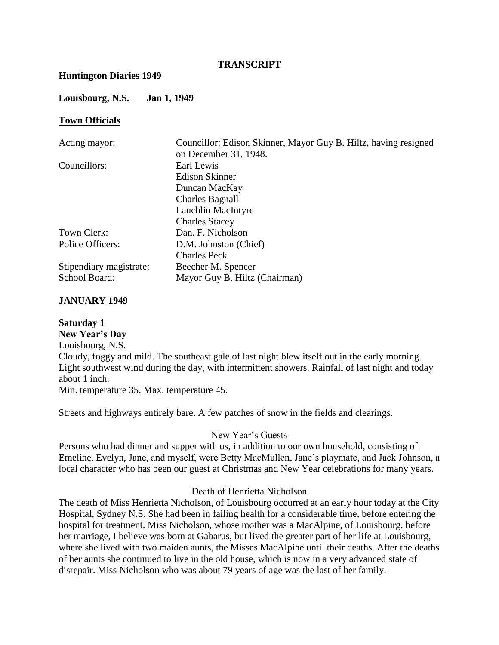## **TRANSCRIPT**

#### **Huntington Diaries 1949**

#### **Louisbourg, N.S. Jan 1, 1949**

#### **Town Officials**

| Councillor: Edison Skinner, Mayor Guy B. Hiltz, having resigned |
|-----------------------------------------------------------------|
| on December 31, 1948.                                           |
| Earl Lewis                                                      |
| Edison Skinner                                                  |
| Duncan MacKay                                                   |
| <b>Charles Bagnall</b>                                          |
| Lauchlin MacIntyre                                              |
| <b>Charles Stacey</b>                                           |
| Dan. F. Nicholson                                               |
| D.M. Johnston (Chief)                                           |
| <b>Charles Peck</b>                                             |
| Beecher M. Spencer                                              |
| Mayor Guy B. Hiltz (Chairman)                                   |
|                                                                 |

## **JANUARY 1949**

#### **Saturday 1**

**New Year's Day** Louisbourg, N.S. Cloudy, foggy and mild. The southeast gale of last night blew itself out in the early morning. Light southwest wind during the day, with intermittent showers. Rainfall of last night and today about 1 inch. Min. temperature 35. Max. temperature 45.

Streets and highways entirely bare. A few patches of snow in the fields and clearings.

#### New Year's Guests

Persons who had dinner and supper with us, in addition to our own household, consisting of Emeline, Evelyn, Jane, and myself, were Betty MacMullen, Jane's playmate, and Jack Johnson, a local character who has been our guest at Christmas and New Year celebrations for many years.

#### Death of Henrietta Nicholson

The death of Miss Henrietta Nicholson, of Louisbourg occurred at an early hour today at the City Hospital, Sydney N.S. She had been in failing health for a considerable time, before entering the hospital for treatment. Miss Nicholson, whose mother was a MacAlpine, of Louisbourg, before her marriage, I believe was born at Gabarus, but lived the greater part of her life at Louisbourg, where she lived with two maiden aunts, the Misses MacAlpine until their deaths. After the deaths of her aunts she continued to live in the old house, which is now in a very advanced state of disrepair. Miss Nicholson who was about 79 years of age was the last of her family.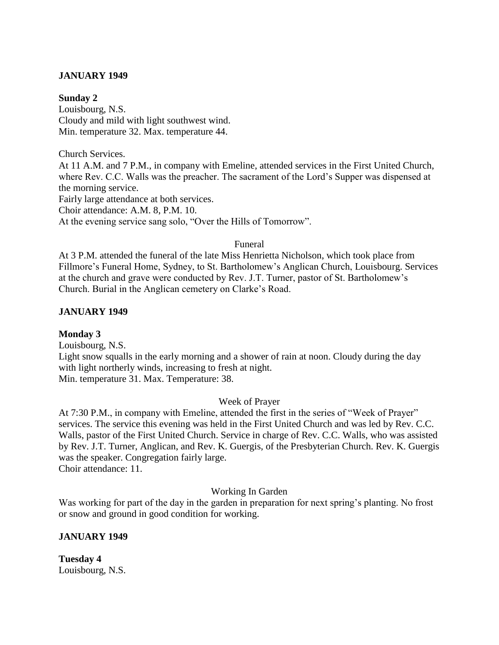## **JANUARY 1949**

#### **Sunday 2**

Louisbourg, N.S. Cloudy and mild with light southwest wind. Min. temperature 32. Max. temperature 44.

Church Services.

At 11 A.M. and 7 P.M., in company with Emeline, attended services in the First United Church, where Rev. C.C. Walls was the preacher. The sacrament of the Lord's Supper was dispensed at the morning service.

Fairly large attendance at both services.

Choir attendance: A.M. 8, P.M. 10.

At the evening service sang solo, "Over the Hills of Tomorrow".

#### Funeral

At 3 P.M. attended the funeral of the late Miss Henrietta Nicholson, which took place from Fillmore's Funeral Home, Sydney, to St. Bartholomew's Anglican Church, Louisbourg. Services at the church and grave were conducted by Rev. J.T. Turner, pastor of St. Bartholomew's Church. Burial in the Anglican cemetery on Clarke's Road.

## **JANUARY 1949**

## **Monday 3**

Louisbourg, N.S.

Light snow squalls in the early morning and a shower of rain at noon. Cloudy during the day with light northerly winds, increasing to fresh at night. Min. temperature 31. Max. Temperature: 38.

## Week of Prayer

At 7:30 P.M., in company with Emeline, attended the first in the series of "Week of Prayer" services. The service this evening was held in the First United Church and was led by Rev. C.C. Walls, pastor of the First United Church. Service in charge of Rev. C.C. Walls, who was assisted by Rev. J.T. Turner, Anglican, and Rev. K. Guergis, of the Presbyterian Church. Rev. K. Guergis was the speaker. Congregation fairly large. Choir attendance: 11.

Working In Garden

Was working for part of the day in the garden in preparation for next spring's planting. No frost or snow and ground in good condition for working.

## **JANUARY 1949**

**Tuesday 4** Louisbourg, N.S.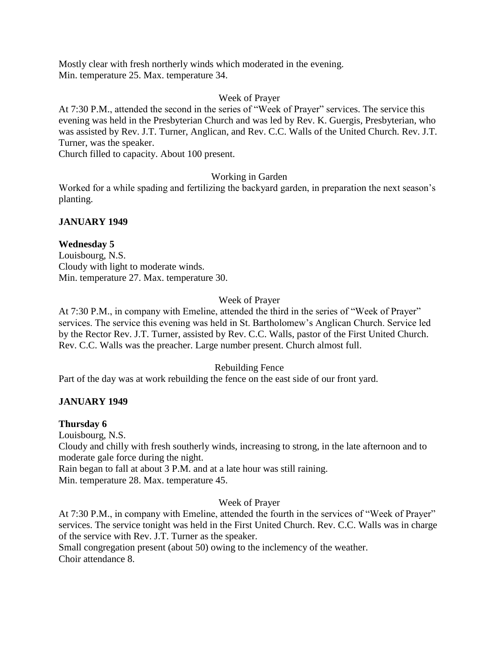Mostly clear with fresh northerly winds which moderated in the evening. Min. temperature 25. Max. temperature 34.

## Week of Prayer

At 7:30 P.M., attended the second in the series of "Week of Prayer" services. The service this evening was held in the Presbyterian Church and was led by Rev. K. Guergis, Presbyterian, who was assisted by Rev. J.T. Turner, Anglican, and Rev. C.C. Walls of the United Church. Rev. J.T. Turner, was the speaker.

Church filled to capacity. About 100 present.

## Working in Garden

Worked for a while spading and fertilizing the backyard garden, in preparation the next season's planting.

## **JANUARY 1949**

## **Wednesday 5**

Louisbourg, N.S. Cloudy with light to moderate winds. Min. temperature 27. Max. temperature 30.

## Week of Prayer

At 7:30 P.M., in company with Emeline, attended the third in the series of "Week of Prayer" services. The service this evening was held in St. Bartholomew's Anglican Church. Service led by the Rector Rev. J.T. Turner, assisted by Rev. C.C. Walls, pastor of the First United Church. Rev. C.C. Walls was the preacher. Large number present. Church almost full.

## Rebuilding Fence

Part of the day was at work rebuilding the fence on the east side of our front yard.

## **JANUARY 1949**

## **Thursday 6**

Louisbourg, N.S.

Cloudy and chilly with fresh southerly winds, increasing to strong, in the late afternoon and to moderate gale force during the night.

Rain began to fall at about 3 P.M. and at a late hour was still raining.

Min. temperature 28. Max. temperature 45.

## Week of Prayer

At 7:30 P.M., in company with Emeline, attended the fourth in the services of "Week of Prayer" services. The service tonight was held in the First United Church. Rev. C.C. Walls was in charge of the service with Rev. J.T. Turner as the speaker.

Small congregation present (about 50) owing to the inclemency of the weather. Choir attendance 8.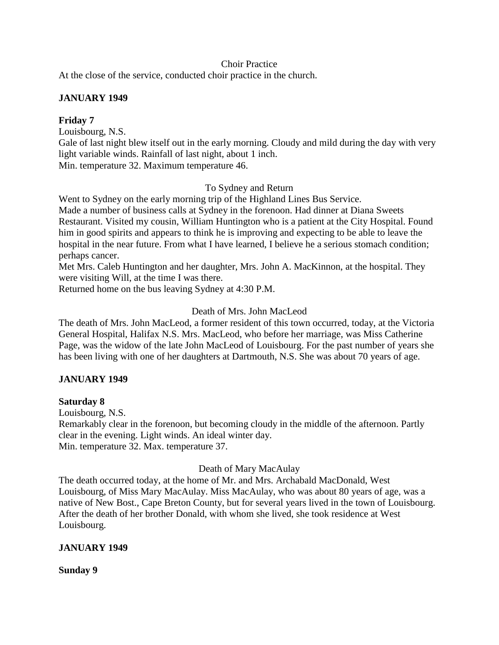## Choir Practice

At the close of the service, conducted choir practice in the church.

## **JANUARY 1949**

## **Friday 7**

Louisbourg, N.S. Gale of last night blew itself out in the early morning. Cloudy and mild during the day with very light variable winds. Rainfall of last night, about 1 inch. Min. temperature 32. Maximum temperature 46.

## To Sydney and Return

Went to Sydney on the early morning trip of the Highland Lines Bus Service. Made a number of business calls at Sydney in the forenoon. Had dinner at Diana Sweets Restaurant. Visited my cousin, William Huntington who is a patient at the City Hospital. Found him in good spirits and appears to think he is improving and expecting to be able to leave the hospital in the near future. From what I have learned, I believe he a serious stomach condition; perhaps cancer.

Met Mrs. Caleb Huntington and her daughter, Mrs. John A. MacKinnon, at the hospital. They were visiting Will, at the time I was there.

Returned home on the bus leaving Sydney at 4:30 P.M.

## Death of Mrs. John MacLeod

The death of Mrs. John MacLeod, a former resident of this town occurred, today, at the Victoria General Hospital, Halifax N.S. Mrs. MacLeod, who before her marriage, was Miss Catherine Page, was the widow of the late John MacLeod of Louisbourg. For the past number of years she has been living with one of her daughters at Dartmouth, N.S. She was about 70 years of age.

## **JANUARY 1949**

## **Saturday 8**

Louisbourg, N.S.

Remarkably clear in the forenoon, but becoming cloudy in the middle of the afternoon. Partly clear in the evening. Light winds. An ideal winter day. Min. temperature 32. Max. temperature 37.

## Death of Mary MacAulay

The death occurred today, at the home of Mr. and Mrs. Archabald MacDonald, West Louisbourg, of Miss Mary MacAulay. Miss MacAulay, who was about 80 years of age, was a native of New Bost., Cape Breton County, but for several years lived in the town of Louisbourg. After the death of her brother Donald, with whom she lived, she took residence at West Louisbourg.

## **JANUARY 1949**

**Sunday 9**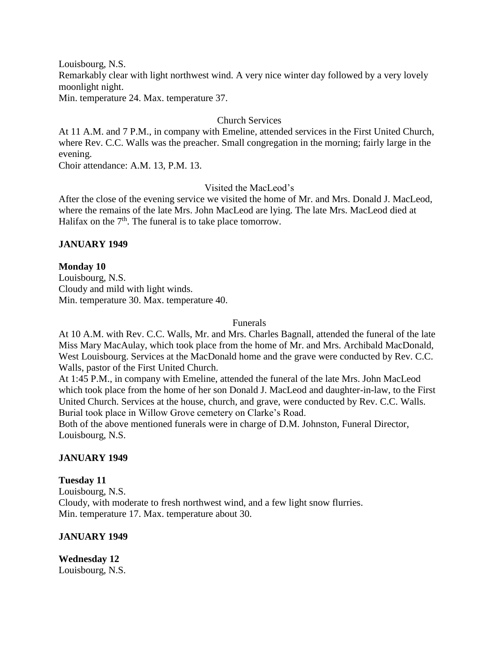Louisbourg, N.S.

Remarkably clear with light northwest wind. A very nice winter day followed by a very lovely moonlight night.

Min. temperature 24. Max. temperature 37.

## Church Services

At 11 A.M. and 7 P.M., in company with Emeline, attended services in the First United Church, where Rev. C.C. Walls was the preacher. Small congregation in the morning; fairly large in the evening.

Choir attendance: A.M. 13, P.M. 13.

## Visited the MacLeod's

After the close of the evening service we visited the home of Mr. and Mrs. Donald J. MacLeod, where the remains of the late Mrs. John MacLeod are lying. The late Mrs. MacLeod died at Halifax on the  $7<sup>th</sup>$ . The funeral is to take place tomorrow.

## **JANUARY 1949**

## **Monday 10**

Louisbourg, N.S. Cloudy and mild with light winds. Min. temperature 30. Max. temperature 40.

#### Funerals

At 10 A.M. with Rev. C.C. Walls, Mr. and Mrs. Charles Bagnall, attended the funeral of the late Miss Mary MacAulay, which took place from the home of Mr. and Mrs. Archibald MacDonald, West Louisbourg. Services at the MacDonald home and the grave were conducted by Rev. C.C. Walls, pastor of the First United Church.

At 1:45 P.M., in company with Emeline, attended the funeral of the late Mrs. John MacLeod which took place from the home of her son Donald J. MacLeod and daughter-in-law, to the First United Church. Services at the house, church, and grave, were conducted by Rev. C.C. Walls. Burial took place in Willow Grove cemetery on Clarke's Road.

Both of the above mentioned funerals were in charge of D.M. Johnston, Funeral Director, Louisbourg, N.S.

## **JANUARY 1949**

## **Tuesday 11**

Louisbourg, N.S. Cloudy, with moderate to fresh northwest wind, and a few light snow flurries. Min. temperature 17. Max. temperature about 30.

## **JANUARY 1949**

**Wednesday 12** Louisbourg, N.S.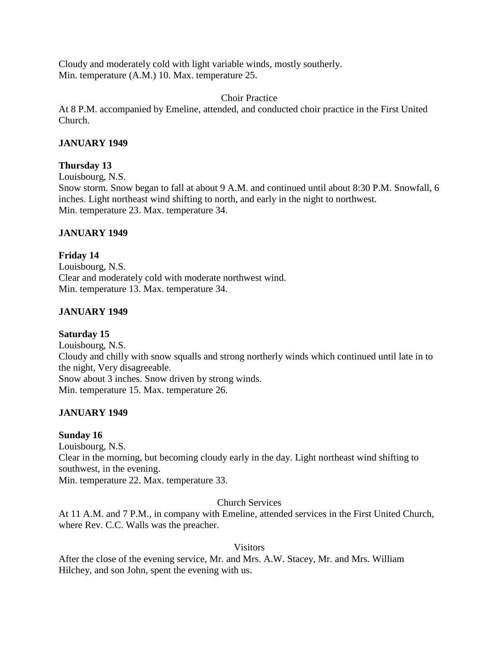Cloudy and moderately cold with light variable winds, mostly southerly. Min. temperature (A.M.) 10. Max. temperature 25.

Choir Practice

At 8 P.M. accompanied by Emeline, attended, and conducted choir practice in the First United Church.

## **JANUARY 1949**

## **Thursday 13**

Louisbourg, N.S.

Snow storm. Snow began to fall at about 9 A.M. and continued until about 8:30 P.M. Snowfall, 6 inches. Light northeast wind shifting to north, and early in the night to northwest. Min. temperature 23. Max. temperature 34.

## **JANUARY 1949**

**Friday 14** Louisbourg, N.S. Clear and moderately cold with moderate northwest wind. Min. temperature 13. Max. temperature 34.

## **JANUARY 1949**

## **Saturday 15**

Louisbourg, N.S. Cloudy and chilly with snow squalls and strong northerly winds which continued until late in to the night, Very disagreeable. Snow about 3 inches. Snow driven by strong winds. Min. temperature 15. Max. temperature 26.

## **JANUARY 1949**

## **Sunday 16**

Louisbourg, N.S. Clear in the morning, but becoming cloudy early in the day. Light northeast wind shifting to southwest, in the evening. Min. temperature 22. Max. temperature 33.

Church Services

At 11 A.M. and 7 P.M., in company with Emeline, attended services in the First United Church, where Rev. C.C. Walls was the preacher.

Visitors

After the close of the evening service, Mr. and Mrs. A.W. Stacey, Mr. and Mrs. William Hilchey, and son John, spent the evening with us.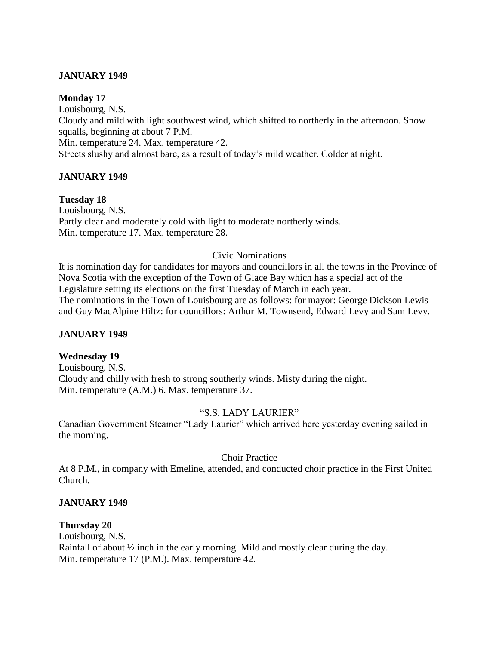## **JANUARY 1949**

#### **Monday 17**

Louisbourg, N.S. Cloudy and mild with light southwest wind, which shifted to northerly in the afternoon. Snow squalls, beginning at about 7 P.M. Min. temperature 24. Max. temperature 42. Streets slushy and almost bare, as a result of today's mild weather. Colder at night.

## **JANUARY 1949**

## **Tuesday 18**

Louisbourg, N.S. Partly clear and moderately cold with light to moderate northerly winds. Min. temperature 17. Max. temperature 28.

#### Civic Nominations

It is nomination day for candidates for mayors and councillors in all the towns in the Province of Nova Scotia with the exception of the Town of Glace Bay which has a special act of the Legislature setting its elections on the first Tuesday of March in each year. The nominations in the Town of Louisbourg are as follows: for mayor: George Dickson Lewis and Guy MacAlpine Hiltz: for councillors: Arthur M. Townsend, Edward Levy and Sam Levy.

## **JANUARY 1949**

## **Wednesday 19**

Louisbourg, N.S. Cloudy and chilly with fresh to strong southerly winds. Misty during the night. Min. temperature (A.M.) 6. Max. temperature 37.

## "S.S. LADY LAURIER"

Canadian Government Steamer "Lady Laurier" which arrived here yesterday evening sailed in the morning.

#### Choir Practice

At 8 P.M., in company with Emeline, attended, and conducted choir practice in the First United Church.

## **JANUARY 1949**

#### **Thursday 20**

Louisbourg, N.S. Rainfall of about ½ inch in the early morning. Mild and mostly clear during the day. Min. temperature 17 (P.M.). Max. temperature 42.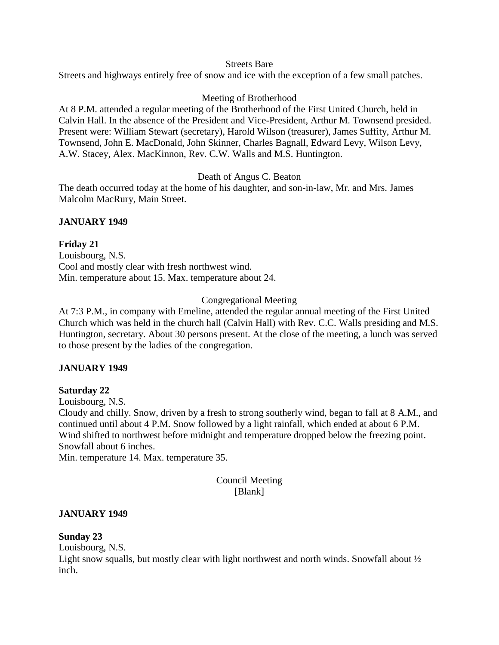#### Streets Bare

Streets and highways entirely free of snow and ice with the exception of a few small patches.

## Meeting of Brotherhood

At 8 P.M. attended a regular meeting of the Brotherhood of the First United Church, held in Calvin Hall. In the absence of the President and Vice-President, Arthur M. Townsend presided. Present were: William Stewart (secretary), Harold Wilson (treasurer), James Suffity, Arthur M. Townsend, John E. MacDonald, John Skinner, Charles Bagnall, Edward Levy, Wilson Levy, A.W. Stacey, Alex. MacKinnon, Rev. C.W. Walls and M.S. Huntington.

## Death of Angus C. Beaton

The death occurred today at the home of his daughter, and son-in-law, Mr. and Mrs. James Malcolm MacRury, Main Street.

## **JANUARY 1949**

**Friday 21** Louisbourg, N.S. Cool and mostly clear with fresh northwest wind. Min. temperature about 15. Max. temperature about 24.

## Congregational Meeting

At 7:3 P.M., in company with Emeline, attended the regular annual meeting of the First United Church which was held in the church hall (Calvin Hall) with Rev. C.C. Walls presiding and M.S. Huntington, secretary. About 30 persons present. At the close of the meeting, a lunch was served to those present by the ladies of the congregation.

## **JANUARY 1949**

## **Saturday 22**

Louisbourg, N.S.

Cloudy and chilly. Snow, driven by a fresh to strong southerly wind, began to fall at 8 A.M., and continued until about 4 P.M. Snow followed by a light rainfall, which ended at about 6 P.M. Wind shifted to northwest before midnight and temperature dropped below the freezing point. Snowfall about 6 inches.

Min. temperature 14. Max. temperature 35.

## Council Meeting [Blank]

## **JANUARY 1949**

## **Sunday 23**

Louisbourg, N.S.

Light snow squalls, but mostly clear with light northwest and north winds. Snowfall about  $\frac{1}{2}$ inch.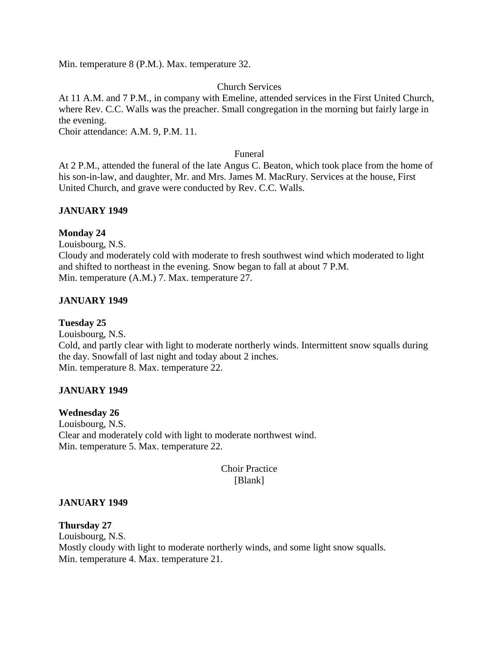Min. temperature 8 (P.M.). Max. temperature 32.

## Church Services

At 11 A.M. and 7 P.M., in company with Emeline, attended services in the First United Church, where Rev. C.C. Walls was the preacher. Small congregation in the morning but fairly large in the evening.

Choir attendance: A.M. 9, P.M. 11.

#### Funeral

At 2 P.M., attended the funeral of the late Angus C. Beaton, which took place from the home of his son-in-law, and daughter, Mr. and Mrs. James M. MacRury. Services at the house, First United Church, and grave were conducted by Rev. C.C. Walls.

## **JANUARY 1949**

## **Monday 24**

Louisbourg, N.S. Cloudy and moderately cold with moderate to fresh southwest wind which moderated to light and shifted to northeast in the evening. Snow began to fall at about 7 P.M. Min. temperature (A.M.) 7. Max. temperature 27.

## **JANUARY 1949**

## **Tuesday 25**

Louisbourg, N.S. Cold, and partly clear with light to moderate northerly winds. Intermittent snow squalls during the day. Snowfall of last night and today about 2 inches. Min. temperature 8. Max. temperature 22.

## **JANUARY 1949**

## **Wednesday 26**

Louisbourg, N.S. Clear and moderately cold with light to moderate northwest wind. Min. temperature 5. Max. temperature 22.

## Choir Practice [Blank]

## **JANUARY 1949**

#### **Thursday 27**

Louisbourg, N.S. Mostly cloudy with light to moderate northerly winds, and some light snow squalls. Min. temperature 4. Max. temperature 21.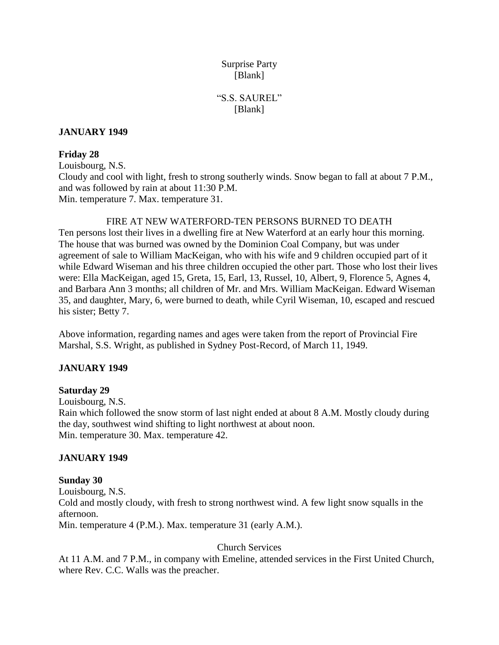# Surprise Party [Blank]

# "S.S. SAUREL" [Blank]

## **JANUARY 1949**

## **Friday 28**

Louisbourg, N.S. Cloudy and cool with light, fresh to strong southerly winds. Snow began to fall at about 7 P.M., and was followed by rain at about 11:30 P.M. Min. temperature 7. Max. temperature 31.

FIRE AT NEW WATERFORD-TEN PERSONS BURNED TO DEATH Ten persons lost their lives in a dwelling fire at New Waterford at an early hour this morning. The house that was burned was owned by the Dominion Coal Company, but was under agreement of sale to William MacKeigan, who with his wife and 9 children occupied part of it while Edward Wiseman and his three children occupied the other part. Those who lost their lives were: Ella MacKeigan, aged 15, Greta, 15, Earl, 13, Russel, 10, Albert, 9, Florence 5, Agnes 4, and Barbara Ann 3 months; all children of Mr. and Mrs. William MacKeigan. Edward Wiseman 35, and daughter, Mary, 6, were burned to death, while Cyril Wiseman, 10, escaped and rescued his sister; Betty 7.

Above information, regarding names and ages were taken from the report of Provincial Fire Marshal, S.S. Wright, as published in Sydney Post-Record, of March 11, 1949.

## **JANUARY 1949**

## **Saturday 29**

Louisbourg, N.S. Rain which followed the snow storm of last night ended at about 8 A.M. Mostly cloudy during the day, southwest wind shifting to light northwest at about noon. Min. temperature 30. Max. temperature 42.

## **JANUARY 1949**

## **Sunday 30**

Louisbourg, N.S. Cold and mostly cloudy, with fresh to strong northwest wind. A few light snow squalls in the afternoon.

Min. temperature 4 (P.M.). Max. temperature 31 (early A.M.).

## Church Services

At 11 A.M. and 7 P.M., in company with Emeline, attended services in the First United Church, where Rev. C.C. Walls was the preacher.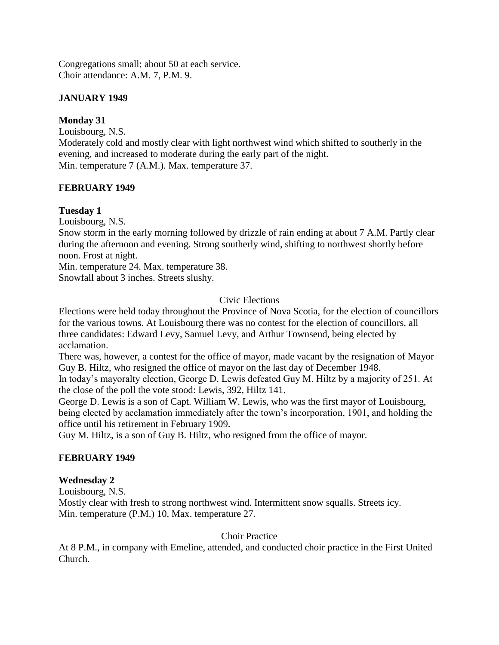Congregations small; about 50 at each service. Choir attendance: A.M. 7, P.M. 9.

## **JANUARY 1949**

## **Monday 31**

Louisbourg, N.S.

Moderately cold and mostly clear with light northwest wind which shifted to southerly in the evening, and increased to moderate during the early part of the night. Min. temperature 7 (A.M.). Max. temperature 37.

## **FEBRUARY 1949**

## **Tuesday 1**

Louisbourg, N.S.

Snow storm in the early morning followed by drizzle of rain ending at about 7 A.M. Partly clear during the afternoon and evening. Strong southerly wind, shifting to northwest shortly before noon. Frost at night.

Min. temperature 24. Max. temperature 38. Snowfall about 3 inches. Streets slushy.

## Civic Elections

Elections were held today throughout the Province of Nova Scotia, for the election of councillors for the various towns. At Louisbourg there was no contest for the election of councillors, all three candidates: Edward Levy, Samuel Levy, and Arthur Townsend, being elected by acclamation.

There was, however, a contest for the office of mayor, made vacant by the resignation of Mayor Guy B. Hiltz, who resigned the office of mayor on the last day of December 1948.

In today's mayoralty election, George D. Lewis defeated Guy M. Hiltz by a majority of 251. At the close of the poll the vote stood: Lewis, 392, Hiltz 141.

George D. Lewis is a son of Capt. William W. Lewis, who was the first mayor of Louisbourg, being elected by acclamation immediately after the town's incorporation, 1901, and holding the office until his retirement in February 1909.

Guy M. Hiltz, is a son of Guy B. Hiltz, who resigned from the office of mayor.

## **FEBRUARY 1949**

## **Wednesday 2**

Louisbourg, N.S.

Mostly clear with fresh to strong northwest wind. Intermittent snow squalls. Streets icy. Min. temperature (P.M.) 10. Max. temperature 27.

## Choir Practice

At 8 P.M., in company with Emeline, attended, and conducted choir practice in the First United Church.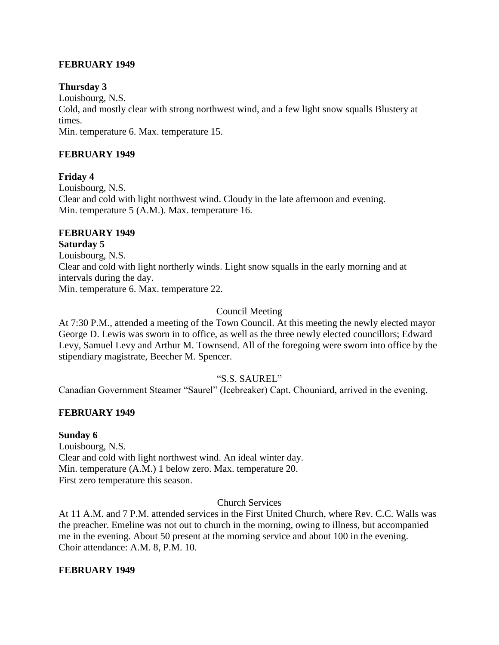## **FEBRUARY 1949**

## **Thursday 3**

Louisbourg, N.S.

Cold, and mostly clear with strong northwest wind, and a few light snow squalls Blustery at times.

Min. temperature 6. Max. temperature 15.

## **FEBRUARY 1949**

## **Friday 4**

Louisbourg, N.S. Clear and cold with light northwest wind. Cloudy in the late afternoon and evening. Min. temperature 5 (A.M.). Max. temperature 16.

#### **FEBRUARY 1949 Saturday 5**

Louisbourg, N.S. Clear and cold with light northerly winds. Light snow squalls in the early morning and at intervals during the day. Min. temperature 6. Max. temperature 22.

## Council Meeting

At 7:30 P.M., attended a meeting of the Town Council. At this meeting the newly elected mayor George D. Lewis was sworn in to office, as well as the three newly elected councillors; Edward Levy, Samuel Levy and Arthur M. Townsend. All of the foregoing were sworn into office by the stipendiary magistrate, Beecher M. Spencer.

## "S.S. SAUREL"

Canadian Government Steamer "Saurel" (Icebreaker) Capt. Chouniard, arrived in the evening.

## **FEBRUARY 1949**

## **Sunday 6**

Louisbourg, N.S. Clear and cold with light northwest wind. An ideal winter day. Min. temperature (A.M.) 1 below zero. Max. temperature 20. First zero temperature this season.

## Church Services

At 11 A.M. and 7 P.M. attended services in the First United Church, where Rev. C.C. Walls was the preacher. Emeline was not out to church in the morning, owing to illness, but accompanied me in the evening. About 50 present at the morning service and about 100 in the evening. Choir attendance: A.M. 8, P.M. 10.

## **FEBRUARY 1949**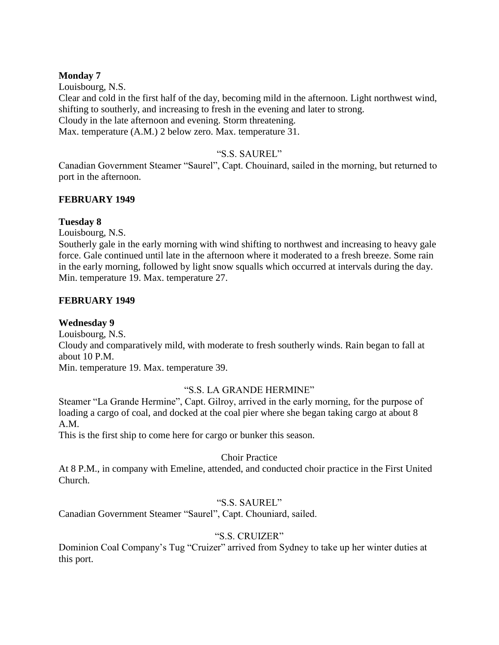## **Monday 7**

Louisbourg, N.S. Clear and cold in the first half of the day, becoming mild in the afternoon. Light northwest wind, shifting to southerly, and increasing to fresh in the evening and later to strong. Cloudy in the late afternoon and evening. Storm threatening. Max. temperature (A.M.) 2 below zero. Max. temperature 31.

## "S.S. SAUREL"

Canadian Government Steamer "Saurel", Capt. Chouinard, sailed in the morning, but returned to port in the afternoon.

## **FEBRUARY 1949**

## **Tuesday 8**

Louisbourg, N.S.

Southerly gale in the early morning with wind shifting to northwest and increasing to heavy gale force. Gale continued until late in the afternoon where it moderated to a fresh breeze. Some rain in the early morning, followed by light snow squalls which occurred at intervals during the day. Min. temperature 19. Max. temperature 27.

## **FEBRUARY 1949**

## **Wednesday 9**

Louisbourg, N.S. Cloudy and comparatively mild, with moderate to fresh southerly winds. Rain began to fall at about 10 P.M. Min. temperature 19. Max. temperature 39.

## "S.S. LA GRANDE HERMINE"

Steamer "La Grande Hermine", Capt. Gilroy, arrived in the early morning, for the purpose of loading a cargo of coal, and docked at the coal pier where she began taking cargo at about 8 A.M.

This is the first ship to come here for cargo or bunker this season.

## Choir Practice

At 8 P.M., in company with Emeline, attended, and conducted choir practice in the First United Church.

## "S.S. SAUREL"

Canadian Government Steamer "Saurel", Capt. Chouniard, sailed.

## "S.S. CRUIZER"

Dominion Coal Company's Tug "Cruizer" arrived from Sydney to take up her winter duties at this port.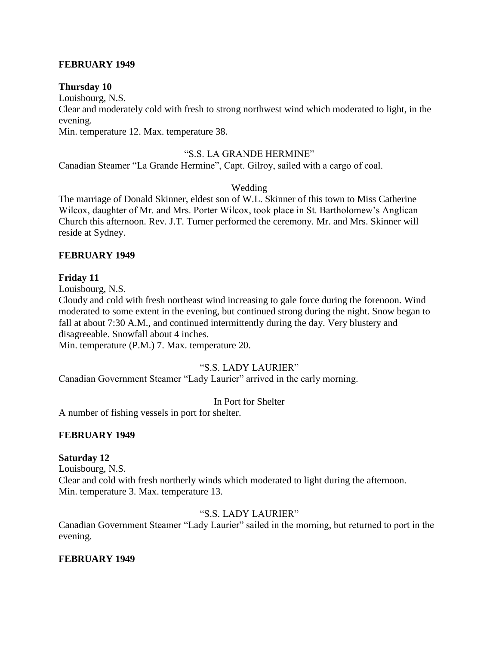## **FEBRUARY 1949**

#### **Thursday 10**

Louisbourg, N.S.

Clear and moderately cold with fresh to strong northwest wind which moderated to light, in the evening.

Min. temperature 12. Max. temperature 38.

#### "S.S. LA GRANDE HERMINE"

Canadian Steamer "La Grande Hermine", Capt. Gilroy, sailed with a cargo of coal.

#### Wedding

The marriage of Donald Skinner, eldest son of W.L. Skinner of this town to Miss Catherine Wilcox, daughter of Mr. and Mrs. Porter Wilcox, took place in St. Bartholomew's Anglican Church this afternoon. Rev. J.T. Turner performed the ceremony. Mr. and Mrs. Skinner will reside at Sydney.

#### **FEBRUARY 1949**

#### **Friday 11**

Louisbourg, N.S.

Cloudy and cold with fresh northeast wind increasing to gale force during the forenoon. Wind moderated to some extent in the evening, but continued strong during the night. Snow began to fall at about 7:30 A.M., and continued intermittently during the day. Very blustery and disagreeable. Snowfall about 4 inches.

Min. temperature (P.M.) 7. Max. temperature 20.

## "S.S. LADY LAURIER"

Canadian Government Steamer "Lady Laurier" arrived in the early morning.

In Port for Shelter

A number of fishing vessels in port for shelter.

## **FEBRUARY 1949**

## **Saturday 12**

Louisbourg, N.S. Clear and cold with fresh northerly winds which moderated to light during the afternoon. Min. temperature 3. Max. temperature 13.

## "S.S. LADY LAURIER"

Canadian Government Steamer "Lady Laurier" sailed in the morning, but returned to port in the evening.

## **FEBRUARY 1949**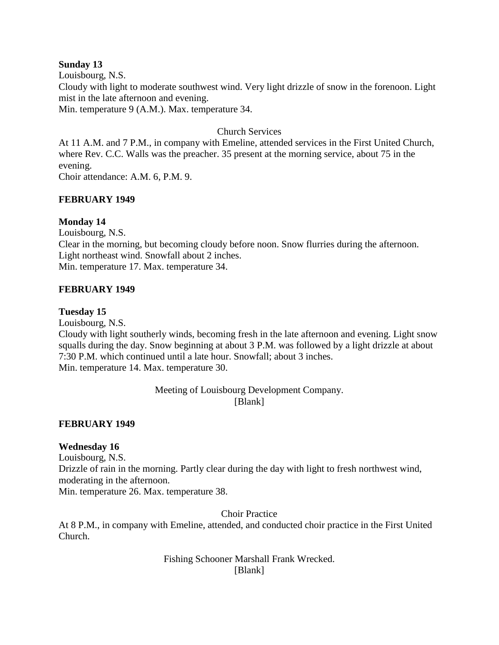## **Sunday 13**

Louisbourg, N.S. Cloudy with light to moderate southwest wind. Very light drizzle of snow in the forenoon. Light mist in the late afternoon and evening. Min. temperature 9 (A.M.). Max. temperature 34.

## Church Services

At 11 A.M. and 7 P.M., in company with Emeline, attended services in the First United Church, where Rev. C.C. Walls was the preacher. 35 present at the morning service, about 75 in the evening.

Choir attendance: A.M. 6, P.M. 9.

## **FEBRUARY 1949**

## **Monday 14**

Louisbourg, N.S. Clear in the morning, but becoming cloudy before noon. Snow flurries during the afternoon. Light northeast wind. Snowfall about 2 inches. Min. temperature 17. Max. temperature 34.

## **FEBRUARY 1949**

## **Tuesday 15**

Louisbourg, N.S.

Cloudy with light southerly winds, becoming fresh in the late afternoon and evening. Light snow squalls during the day. Snow beginning at about 3 P.M. was followed by a light drizzle at about 7:30 P.M. which continued until a late hour. Snowfall; about 3 inches. Min. temperature 14. Max. temperature 30.

> Meeting of Louisbourg Development Company. [Blank]

## **FEBRUARY 1949**

## **Wednesday 16**

Louisbourg, N.S. Drizzle of rain in the morning. Partly clear during the day with light to fresh northwest wind, moderating in the afternoon.

Min. temperature 26. Max. temperature 38.

Choir Practice

At 8 P.M., in company with Emeline, attended, and conducted choir practice in the First United Church.

> Fishing Schooner Marshall Frank Wrecked. [Blank]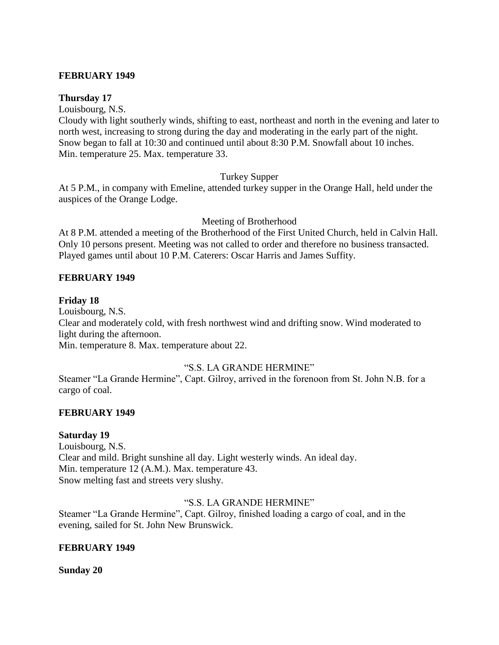## **FEBRUARY 1949**

#### **Thursday 17**

Louisbourg, N.S.

Cloudy with light southerly winds, shifting to east, northeast and north in the evening and later to north west, increasing to strong during the day and moderating in the early part of the night. Snow began to fall at 10:30 and continued until about 8:30 P.M. Snowfall about 10 inches. Min. temperature 25. Max. temperature 33.

## Turkey Supper

At 5 P.M., in company with Emeline, attended turkey supper in the Orange Hall, held under the auspices of the Orange Lodge.

#### Meeting of Brotherhood

At 8 P.M. attended a meeting of the Brotherhood of the First United Church, held in Calvin Hall. Only 10 persons present. Meeting was not called to order and therefore no business transacted. Played games until about 10 P.M. Caterers: Oscar Harris and James Suffity.

#### **FEBRUARY 1949**

#### **Friday 18**

Louisbourg, N.S.

Clear and moderately cold, with fresh northwest wind and drifting snow. Wind moderated to light during the afternoon.

Min. temperature 8. Max. temperature about 22.

## "S.S. LA GRANDE HERMINE"

Steamer "La Grande Hermine", Capt. Gilroy, arrived in the forenoon from St. John N.B. for a cargo of coal.

## **FEBRUARY 1949**

#### **Saturday 19**

Louisbourg, N.S. Clear and mild. Bright sunshine all day. Light westerly winds. An ideal day. Min. temperature 12 (A.M.). Max. temperature 43. Snow melting fast and streets very slushy.

## "S.S. LA GRANDE HERMINE"

Steamer "La Grande Hermine", Capt. Gilroy, finished loading a cargo of coal, and in the evening, sailed for St. John New Brunswick.

#### **FEBRUARY 1949**

**Sunday 20**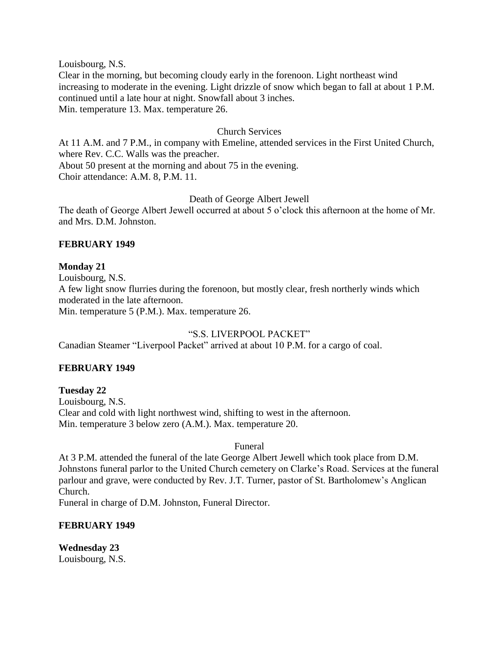Louisbourg, N.S.

Clear in the morning, but becoming cloudy early in the forenoon. Light northeast wind increasing to moderate in the evening. Light drizzle of snow which began to fall at about 1 P.M. continued until a late hour at night. Snowfall about 3 inches. Min. temperature 13. Max. temperature 26.

#### Church Services

At 11 A.M. and 7 P.M., in company with Emeline, attended services in the First United Church, where Rev. C.C. Walls was the preacher. About 50 present at the morning and about 75 in the evening. Choir attendance: A.M. 8, P.M. 11.

## Death of George Albert Jewell

The death of George Albert Jewell occurred at about 5 o'clock this afternoon at the home of Mr. and Mrs. D.M. Johnston.

## **FEBRUARY 1949**

#### **Monday 21**

Louisbourg, N.S. A few light snow flurries during the forenoon, but mostly clear, fresh northerly winds which moderated in the late afternoon. Min. temperature 5 (P.M.). Max. temperature 26.

## "S.S. LIVERPOOL PACKET"

Canadian Steamer "Liverpool Packet" arrived at about 10 P.M. for a cargo of coal.

## **FEBRUARY 1949**

**Tuesday 22** Louisbourg, N.S. Clear and cold with light northwest wind, shifting to west in the afternoon. Min. temperature 3 below zero (A.M.). Max. temperature 20.

#### Funeral

At 3 P.M. attended the funeral of the late George Albert Jewell which took place from D.M. Johnstons funeral parlor to the United Church cemetery on Clarke's Road. Services at the funeral parlour and grave, were conducted by Rev. J.T. Turner, pastor of St. Bartholomew's Anglican Church.

Funeral in charge of D.M. Johnston, Funeral Director.

#### **FEBRUARY 1949**

**Wednesday 23** Louisbourg, N.S.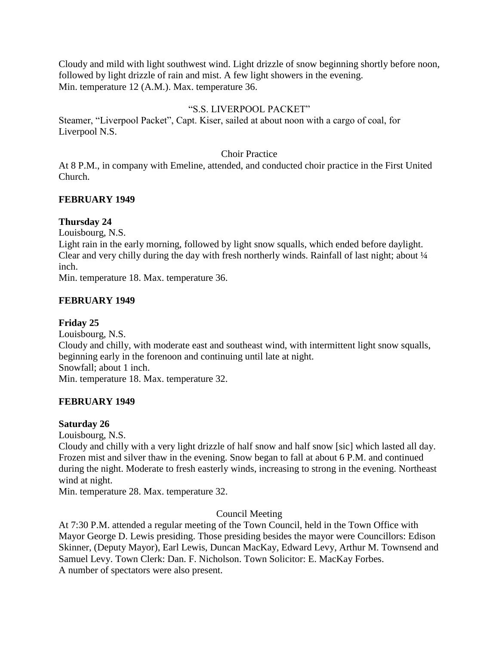Cloudy and mild with light southwest wind. Light drizzle of snow beginning shortly before noon, followed by light drizzle of rain and mist. A few light showers in the evening. Min. temperature 12 (A.M.). Max. temperature 36.

## "S.S. LIVERPOOL PACKET"

Steamer, "Liverpool Packet", Capt. Kiser, sailed at about noon with a cargo of coal, for Liverpool N.S.

## Choir Practice

At 8 P.M., in company with Emeline, attended, and conducted choir practice in the First United Church.

## **FEBRUARY 1949**

## **Thursday 24**

Louisbourg, N.S.

Light rain in the early morning, followed by light snow squalls, which ended before daylight. Clear and very chilly during the day with fresh northerly winds. Rainfall of last night; about  $\frac{1}{4}$ inch.

Min. temperature 18. Max. temperature 36.

## **FEBRUARY 1949**

## **Friday 25**

Louisbourg, N.S. Cloudy and chilly, with moderate east and southeast wind, with intermittent light snow squalls, beginning early in the forenoon and continuing until late at night. Snowfall; about 1 inch. Min. temperature 18. Max. temperature 32.

## **FEBRUARY 1949**

## **Saturday 26**

Louisbourg, N.S.

Cloudy and chilly with a very light drizzle of half snow and half snow [sic] which lasted all day. Frozen mist and silver thaw in the evening. Snow began to fall at about 6 P.M. and continued during the night. Moderate to fresh easterly winds, increasing to strong in the evening. Northeast wind at night.

Min. temperature 28. Max. temperature 32.

## Council Meeting

At 7:30 P.M. attended a regular meeting of the Town Council, held in the Town Office with Mayor George D. Lewis presiding. Those presiding besides the mayor were Councillors: Edison Skinner, (Deputy Mayor), Earl Lewis, Duncan MacKay, Edward Levy, Arthur M. Townsend and Samuel Levy. Town Clerk: Dan. F. Nicholson. Town Solicitor: E. MacKay Forbes. A number of spectators were also present.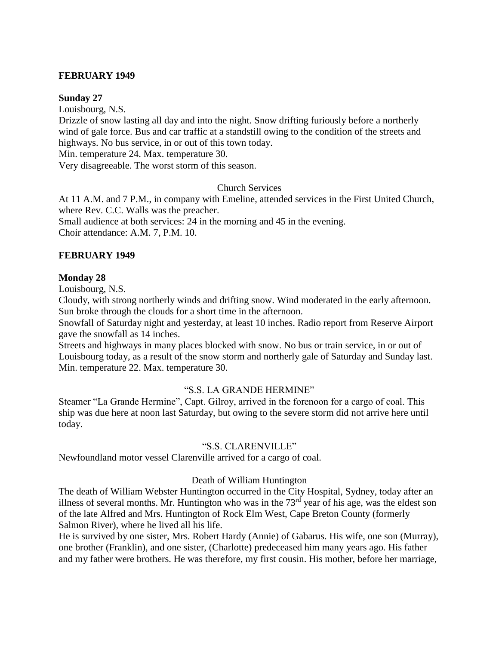## **FEBRUARY 1949**

#### **Sunday 27**

Louisbourg, N.S. Drizzle of snow lasting all day and into the night. Snow drifting furiously before a northerly wind of gale force. Bus and car traffic at a standstill owing to the condition of the streets and highways. No bus service, in or out of this town today.

Min. temperature 24. Max. temperature 30.

Very disagreeable. The worst storm of this season.

## Church Services

At 11 A.M. and 7 P.M., in company with Emeline, attended services in the First United Church, where Rev. C.C. Walls was the preacher. Small audience at both services: 24 in the morning and 45 in the evening. Choir attendance: A.M. 7, P.M. 10.

#### **FEBRUARY 1949**

#### **Monday 28**

Louisbourg, N.S.

Cloudy, with strong northerly winds and drifting snow. Wind moderated in the early afternoon. Sun broke through the clouds for a short time in the afternoon.

Snowfall of Saturday night and yesterday, at least 10 inches. Radio report from Reserve Airport gave the snowfall as 14 inches.

Streets and highways in many places blocked with snow. No bus or train service, in or out of Louisbourg today, as a result of the snow storm and northerly gale of Saturday and Sunday last. Min. temperature 22. Max. temperature 30.

## "S.S. LA GRANDE HERMINE"

Steamer "La Grande Hermine", Capt. Gilroy, arrived in the forenoon for a cargo of coal. This ship was due here at noon last Saturday, but owing to the severe storm did not arrive here until today.

#### "S.S. CLARENVILLE"

Newfoundland motor vessel Clarenville arrived for a cargo of coal.

## Death of William Huntington

The death of William Webster Huntington occurred in the City Hospital, Sydney, today after an illness of several months. Mr. Huntington who was in the  $73<sup>rd</sup>$  year of his age, was the eldest son of the late Alfred and Mrs. Huntington of Rock Elm West, Cape Breton County (formerly Salmon River), where he lived all his life.

He is survived by one sister, Mrs. Robert Hardy (Annie) of Gabarus. His wife, one son (Murray), one brother (Franklin), and one sister, (Charlotte) predeceased him many years ago. His father and my father were brothers. He was therefore, my first cousin. His mother, before her marriage,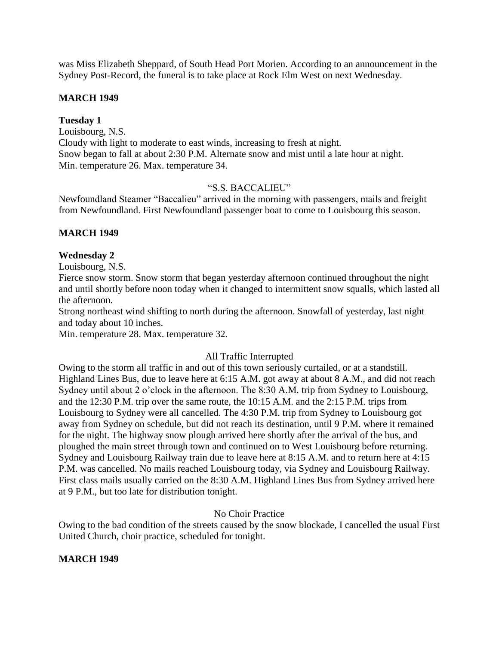was Miss Elizabeth Sheppard, of South Head Port Morien. According to an announcement in the Sydney Post-Record, the funeral is to take place at Rock Elm West on next Wednesday.

## **MARCH 1949**

## **Tuesday 1**

Louisbourg, N.S. Cloudy with light to moderate to east winds, increasing to fresh at night. Snow began to fall at about 2:30 P.M. Alternate snow and mist until a late hour at night. Min. temperature 26. Max. temperature 34.

## "S.S. BACCALIEU"

Newfoundland Steamer "Baccalieu" arrived in the morning with passengers, mails and freight from Newfoundland. First Newfoundland passenger boat to come to Louisbourg this season.

## **MARCH 1949**

## **Wednesday 2**

Louisbourg, N.S.

Fierce snow storm. Snow storm that began yesterday afternoon continued throughout the night and until shortly before noon today when it changed to intermittent snow squalls, which lasted all the afternoon.

Strong northeast wind shifting to north during the afternoon. Snowfall of yesterday, last night and today about 10 inches.

Min. temperature 28. Max. temperature 32.

## All Traffic Interrupted

Owing to the storm all traffic in and out of this town seriously curtailed, or at a standstill. Highland Lines Bus, due to leave here at 6:15 A.M. got away at about 8 A.M., and did not reach Sydney until about 2 o'clock in the afternoon. The 8:30 A.M. trip from Sydney to Louisbourg, and the 12:30 P.M. trip over the same route, the 10:15 A.M. and the 2:15 P.M. trips from Louisbourg to Sydney were all cancelled. The 4:30 P.M. trip from Sydney to Louisbourg got away from Sydney on schedule, but did not reach its destination, until 9 P.M. where it remained for the night. The highway snow plough arrived here shortly after the arrival of the bus, and ploughed the main street through town and continued on to West Louisbourg before returning. Sydney and Louisbourg Railway train due to leave here at 8:15 A.M. and to return here at 4:15 P.M. was cancelled. No mails reached Louisbourg today, via Sydney and Louisbourg Railway. First class mails usually carried on the 8:30 A.M. Highland Lines Bus from Sydney arrived here at 9 P.M., but too late for distribution tonight.

## No Choir Practice

Owing to the bad condition of the streets caused by the snow blockade, I cancelled the usual First United Church, choir practice, scheduled for tonight.

## **MARCH 1949**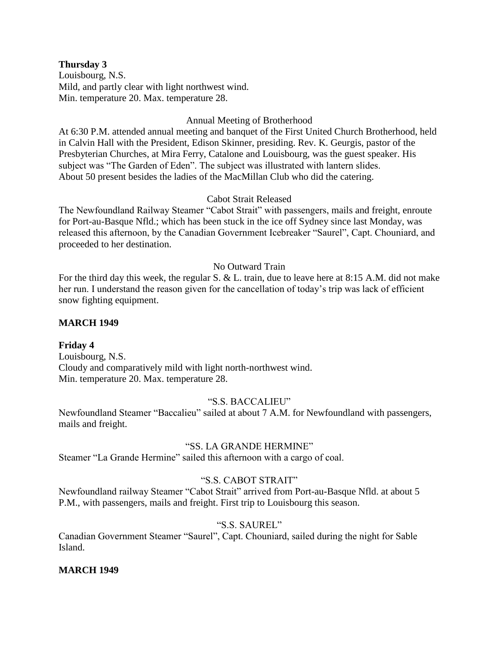#### **Thursday 3**

Louisbourg, N.S. Mild, and partly clear with light northwest wind. Min. temperature 20. Max. temperature 28.

## Annual Meeting of Brotherhood

At 6:30 P.M. attended annual meeting and banquet of the First United Church Brotherhood, held in Calvin Hall with the President, Edison Skinner, presiding. Rev. K. Geurgis, pastor of the Presbyterian Churches, at Mira Ferry, Catalone and Louisbourg, was the guest speaker. His subject was "The Garden of Eden". The subject was illustrated with lantern slides. About 50 present besides the ladies of the MacMillan Club who did the catering.

## Cabot Strait Released

The Newfoundland Railway Steamer "Cabot Strait" with passengers, mails and freight, enroute for Port-au-Basque Nfld.; which has been stuck in the ice off Sydney since last Monday, was released this afternoon, by the Canadian Government Icebreaker "Saurel", Capt. Chouniard, and proceeded to her destination.

## No Outward Train

For the third day this week, the regular S. & L. train, due to leave here at 8:15 A.M. did not make her run. I understand the reason given for the cancellation of today's trip was lack of efficient snow fighting equipment.

## **MARCH 1949**

## **Friday 4**

Louisbourg, N.S. Cloudy and comparatively mild with light north-northwest wind. Min. temperature 20. Max. temperature 28.

## "S.S. BACCALIEU"

Newfoundland Steamer "Baccalieu" sailed at about 7 A.M. for Newfoundland with passengers, mails and freight.

## "SS. LA GRANDE HERMINE"

Steamer "La Grande Hermine" sailed this afternoon with a cargo of coal.

## "S.S. CABOT STRAIT"

Newfoundland railway Steamer "Cabot Strait" arrived from Port-au-Basque Nfld. at about 5 P.M., with passengers, mails and freight. First trip to Louisbourg this season.

## "S.S. SAUREL"

Canadian Government Steamer "Saurel", Capt. Chouniard, sailed during the night for Sable Island.

## **MARCH 1949**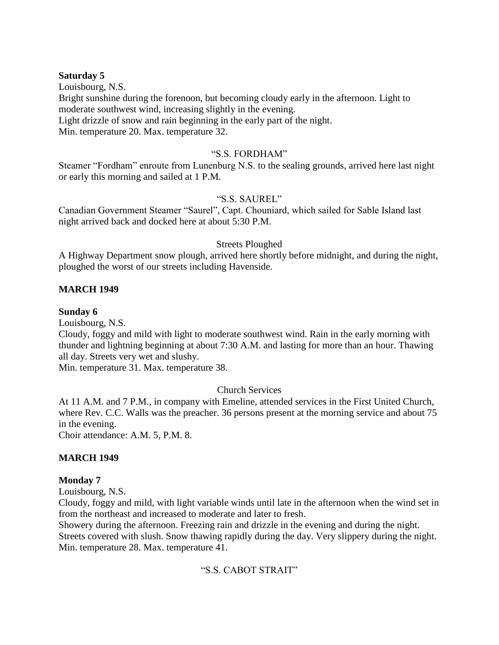## **Saturday 5**

Louisbourg, N.S. Bright sunshine during the forenoon, but becoming cloudy early in the afternoon. Light to moderate southwest wind, increasing slightly in the evening. Light drizzle of snow and rain beginning in the early part of the night. Min. temperature 20. Max. temperature 32.

#### "S.S. FORDHAM"

Steamer "Fordham" enroute from Lunenburg N.S. to the sealing grounds, arrived here last night or early this morning and sailed at 1 P.M.

## "S.S. SAUREL"

Canadian Government Steamer "Saurel", Capt. Chouniard, which sailed for Sable Island last night arrived back and docked here at about 5:30 P.M.

## Streets Ploughed

A Highway Department snow plough, arrived here shortly before midnight, and during the night, ploughed the worst of our streets including Havenside.

## **MARCH 1949**

#### **Sunday 6**

Louisbourg, N.S.

Cloudy, foggy and mild with light to moderate southwest wind. Rain in the early morning with thunder and lightning beginning at about 7:30 A.M. and lasting for more than an hour. Thawing all day. Streets very wet and slushy.

Min. temperature 31. Max. temperature 38.

## Church Services

At 11 A.M. and 7 P.M., in company with Emeline, attended services in the First United Church, where Rev. C.C. Walls was the preacher. 36 persons present at the morning service and about 75 in the evening.

Choir attendance: A.M. 5, P.M. 8.

## **MARCH 1949**

## **Monday 7**

Louisbourg, N.S.

Cloudy, foggy and mild, with light variable winds until late in the afternoon when the wind set in from the northeast and increased to moderate and later to fresh.

Showery during the afternoon. Freezing rain and drizzle in the evening and during the night. Streets covered with slush. Snow thawing rapidly during the day. Very slippery during the night. Min. temperature 28. Max. temperature 41.

## "S.S. CABOT STRAIT"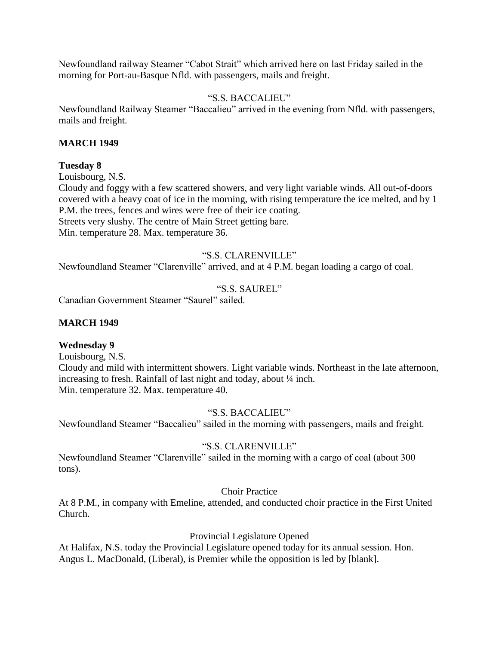Newfoundland railway Steamer "Cabot Strait" which arrived here on last Friday sailed in the morning for Port-au-Basque Nfld. with passengers, mails and freight.

## "S.S. BACCALIEU"

Newfoundland Railway Steamer "Baccalieu" arrived in the evening from Nfld. with passengers, mails and freight.

## **MARCH 1949**

#### **Tuesday 8**

Louisbourg, N.S.

Cloudy and foggy with a few scattered showers, and very light variable winds. All out-of-doors covered with a heavy coat of ice in the morning, with rising temperature the ice melted, and by 1 P.M. the trees, fences and wires were free of their ice coating. Streets very slushy. The centre of Main Street getting bare.

Min. temperature 28. Max. temperature 36.

## "S.S. CLARENVILLE"

Newfoundland Steamer "Clarenville" arrived, and at 4 P.M. began loading a cargo of coal.

## "S.S. SAUREL"

Canadian Government Steamer "Saurel" sailed.

## **MARCH 1949**

## **Wednesday 9**

Louisbourg, N.S.

Cloudy and mild with intermittent showers. Light variable winds. Northeast in the late afternoon, increasing to fresh. Rainfall of last night and today, about ¼ inch. Min. temperature 32. Max. temperature 40.

"S.S. BACCALIEU"

Newfoundland Steamer "Baccalieu" sailed in the morning with passengers, mails and freight.

## "S.S. CLARENVILLE"

Newfoundland Steamer "Clarenville" sailed in the morning with a cargo of coal (about 300 tons).

Choir Practice

At 8 P.M., in company with Emeline, attended, and conducted choir practice in the First United Church.

Provincial Legislature Opened

At Halifax, N.S. today the Provincial Legislature opened today for its annual session. Hon. Angus L. MacDonald, (Liberal), is Premier while the opposition is led by [blank].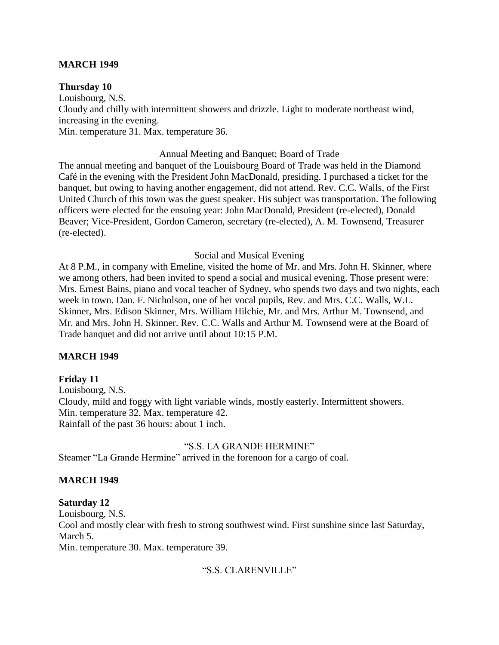## **MARCH 1949**

## **Thursday 10**

Louisbourg, N.S. Cloudy and chilly with intermittent showers and drizzle. Light to moderate northeast wind, increasing in the evening. Min. temperature 31. Max. temperature 36.

#### Annual Meeting and Banquet; Board of Trade

The annual meeting and banquet of the Louisbourg Board of Trade was held in the Diamond Café in the evening with the President John MacDonald, presiding. I purchased a ticket for the banquet, but owing to having another engagement, did not attend. Rev. C.C. Walls, of the First United Church of this town was the guest speaker. His subject was transportation. The following officers were elected for the ensuing year: John MacDonald, President (re-elected), Donald Beaver; Vice-President, Gordon Cameron, secretary (re-elected), A. M. Townsend, Treasurer (re-elected).

#### Social and Musical Evening

At 8 P.M., in company with Emeline, visited the home of Mr. and Mrs. John H. Skinner, where we among others, had been invited to spend a social and musical evening. Those present were: Mrs. Ernest Bains, piano and vocal teacher of Sydney, who spends two days and two nights, each week in town. Dan. F. Nicholson, one of her vocal pupils, Rev. and Mrs. C.C. Walls, W.L. Skinner, Mrs. Edison Skinner, Mrs. William Hilchie, Mr. and Mrs. Arthur M. Townsend, and Mr. and Mrs. John H. Skinner. Rev. C.C. Walls and Arthur M. Townsend were at the Board of Trade banquet and did not arrive until about 10:15 P.M.

## **MARCH 1949**

## **Friday 11**

Louisbourg, N.S. Cloudy, mild and foggy with light variable winds, mostly easterly. Intermittent showers. Min. temperature 32. Max. temperature 42. Rainfall of the past 36 hours: about 1 inch.

#### "S.S. LA GRANDE HERMINE"

Steamer "La Grande Hermine" arrived in the forenoon for a cargo of coal.

## **MARCH 1949**

## **Saturday 12**

Louisbourg, N.S.

Cool and mostly clear with fresh to strong southwest wind. First sunshine since last Saturday, March 5.

Min. temperature 30. Max. temperature 39.

## "S.S. CLARENVILLE"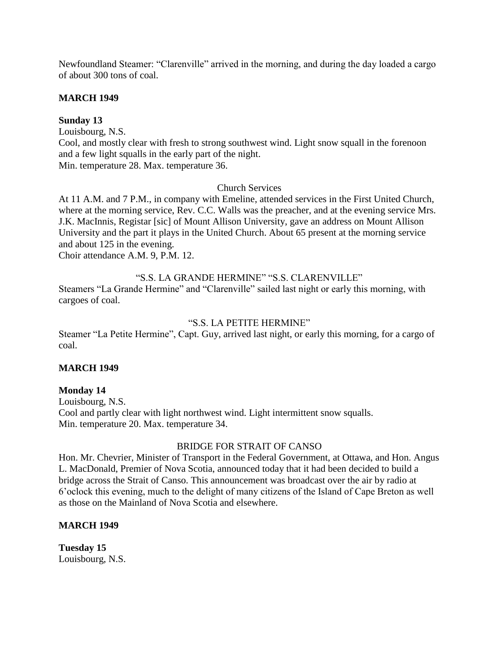Newfoundland Steamer: "Clarenville" arrived in the morning, and during the day loaded a cargo of about 300 tons of coal.

## **MARCH 1949**

## **Sunday 13**

Louisbourg, N.S.

Cool, and mostly clear with fresh to strong southwest wind. Light snow squall in the forenoon and a few light squalls in the early part of the night. Min. temperature 28. Max. temperature 36.

Church Services

At 11 A.M. and 7 P.M., in company with Emeline, attended services in the First United Church, where at the morning service, Rev. C.C. Walls was the preacher, and at the evening service Mrs. J.K. MacInnis, Registar [sic] of Mount Allison University, gave an address on Mount Allison University and the part it plays in the United Church. About 65 present at the morning service and about 125 in the evening.

Choir attendance A.M. 9, P.M. 12.

## "S.S. LA GRANDE HERMINE" "S.S. CLARENVILLE"

Steamers "La Grande Hermine" and "Clarenville" sailed last night or early this morning, with cargoes of coal.

## "S.S. LA PETITE HERMINE"

Steamer "La Petite Hermine", Capt. Guy, arrived last night, or early this morning, for a cargo of coal.

## **MARCH 1949**

## **Monday 14**

Louisbourg, N.S. Cool and partly clear with light northwest wind. Light intermittent snow squalls. Min. temperature 20. Max. temperature 34.

## BRIDGE FOR STRAIT OF CANSO

Hon. Mr. Chevrier, Minister of Transport in the Federal Government, at Ottawa, and Hon. Angus L. MacDonald, Premier of Nova Scotia, announced today that it had been decided to build a bridge across the Strait of Canso. This announcement was broadcast over the air by radio at 6'oclock this evening, much to the delight of many citizens of the Island of Cape Breton as well as those on the Mainland of Nova Scotia and elsewhere.

## **MARCH 1949**

**Tuesday 15** Louisbourg, N.S.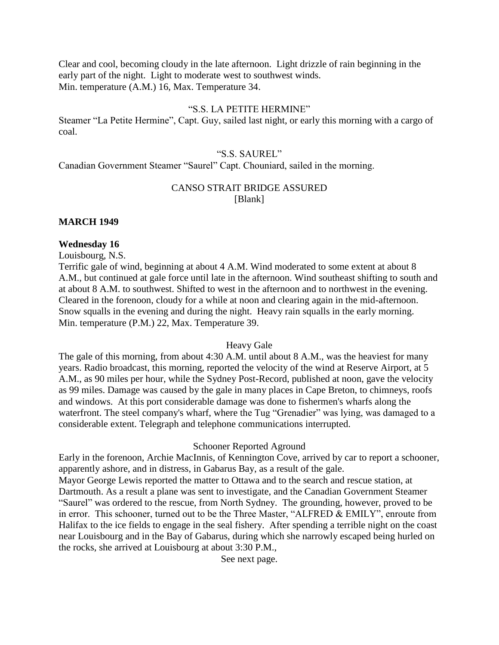Clear and cool, becoming cloudy in the late afternoon. Light drizzle of rain beginning in the early part of the night. Light to moderate west to southwest winds. Min. temperature (A.M.) 16, Max. Temperature 34.

#### "S.S. LA PETITE HERMINE"

Steamer "La Petite Hermine", Capt. Guy, sailed last night, or early this morning with a cargo of coal.

#### "S.S. SAUREL"

Canadian Government Steamer "Saurel" Capt. Chouniard, sailed in the morning.

## CANSO STRAIT BRIDGE ASSURED [Blank]

#### **MARCH 1949**

#### **Wednesday 16**

Louisbourg, N.S.

Terrific gale of wind, beginning at about 4 A.M. Wind moderated to some extent at about 8 A.M., but continued at gale force until late in the afternoon. Wind southeast shifting to south and at about 8 A.M. to southwest. Shifted to west in the afternoon and to northwest in the evening. Cleared in the forenoon, cloudy for a while at noon and clearing again in the mid-afternoon. Snow squalls in the evening and during the night. Heavy rain squalls in the early morning. Min. temperature (P.M.) 22, Max. Temperature 39.

#### Heavy Gale

The gale of this morning, from about 4:30 A.M. until about 8 A.M., was the heaviest for many years. Radio broadcast, this morning, reported the velocity of the wind at Reserve Airport, at 5 A.M., as 90 miles per hour, while the Sydney Post-Record, published at noon, gave the velocity as 99 miles. Damage was caused by the gale in many places in Cape Breton, to chimneys, roofs and windows. At this port considerable damage was done to fishermen's wharfs along the waterfront. The steel company's wharf, where the Tug "Grenadier" was lying, was damaged to a considerable extent. Telegraph and telephone communications interrupted.

#### Schooner Reported Aground

Early in the forenoon, Archie MacInnis, of Kennington Cove, arrived by car to report a schooner, apparently ashore, and in distress, in Gabarus Bay, as a result of the gale. Mayor George Lewis reported the matter to Ottawa and to the search and rescue station, at Dartmouth. As a result a plane was sent to investigate, and the Canadian Government Steamer "Saurel" was ordered to the rescue, from North Sydney. The grounding, however, proved to be in error. This schooner, turned out to be the Three Master, "ALFRED & EMILY", enroute from Halifax to the ice fields to engage in the seal fishery. After spending a terrible night on the coast near Louisbourg and in the Bay of Gabarus, during which she narrowly escaped being hurled on the rocks, she arrived at Louisbourg at about 3:30 P.M.,

See next page.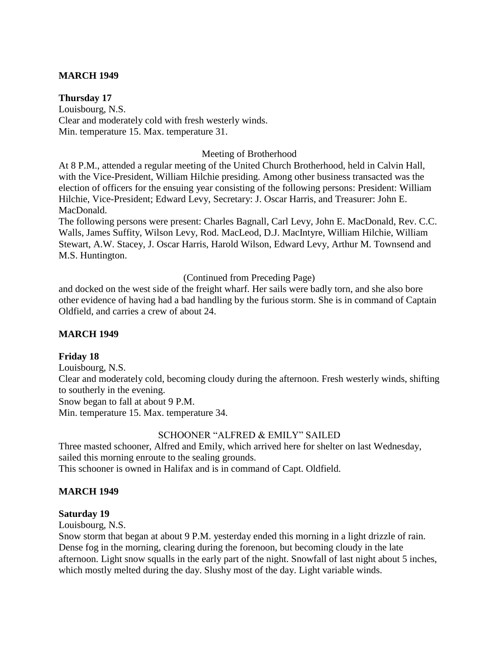## **MARCH 1949**

## **Thursday 17**

Louisbourg, N.S. Clear and moderately cold with fresh westerly winds. Min. temperature 15. Max. temperature 31.

## Meeting of Brotherhood

At 8 P.M., attended a regular meeting of the United Church Brotherhood, held in Calvin Hall, with the Vice-President, William Hilchie presiding. Among other business transacted was the election of officers for the ensuing year consisting of the following persons: President: William Hilchie, Vice-President; Edward Levy, Secretary: J. Oscar Harris, and Treasurer: John E. MacDonald.

The following persons were present: Charles Bagnall, Carl Levy, John E. MacDonald, Rev. C.C. Walls, James Suffity, Wilson Levy, Rod. MacLeod, D.J. MacIntyre, William Hilchie, William Stewart, A.W. Stacey, J. Oscar Harris, Harold Wilson, Edward Levy, Arthur M. Townsend and M.S. Huntington.

(Continued from Preceding Page)

and docked on the west side of the freight wharf. Her sails were badly torn, and she also bore other evidence of having had a bad handling by the furious storm. She is in command of Captain Oldfield, and carries a crew of about 24.

## **MARCH 1949**

## **Friday 18**

Louisbourg, N.S. Clear and moderately cold, becoming cloudy during the afternoon. Fresh westerly winds, shifting to southerly in the evening. Snow began to fall at about 9 P.M. Min. temperature 15. Max. temperature 34.

## SCHOONER "ALFRED & EMILY" SAILED

Three masted schooner, Alfred and Emily, which arrived here for shelter on last Wednesday, sailed this morning enroute to the sealing grounds. This schooner is owned in Halifax and is in command of Capt. Oldfield.

## **MARCH 1949**

#### **Saturday 19**

Louisbourg, N.S.

Snow storm that began at about 9 P.M. yesterday ended this morning in a light drizzle of rain. Dense fog in the morning, clearing during the forenoon, but becoming cloudy in the late afternoon. Light snow squalls in the early part of the night. Snowfall of last night about 5 inches, which mostly melted during the day. Slushy most of the day. Light variable winds.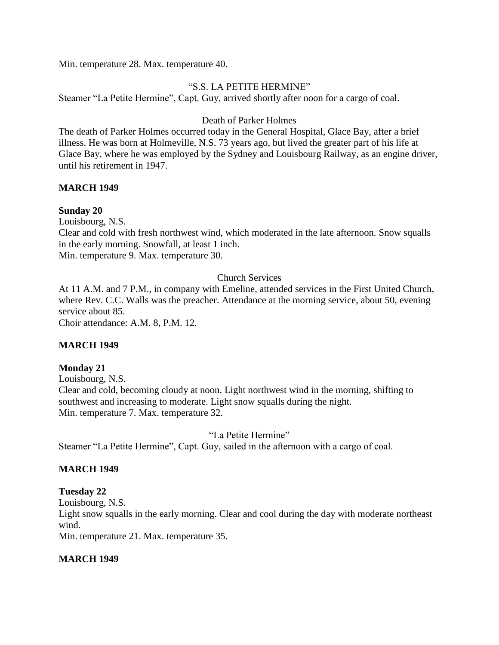Min. temperature 28. Max. temperature 40.

## "S.S. LA PETITE HERMINE"

Steamer "La Petite Hermine", Capt. Guy, arrived shortly after noon for a cargo of coal.

## Death of Parker Holmes

The death of Parker Holmes occurred today in the General Hospital, Glace Bay, after a brief illness. He was born at Holmeville, N.S. 73 years ago, but lived the greater part of his life at Glace Bay, where he was employed by the Sydney and Louisbourg Railway, as an engine driver, until his retirement in 1947.

## **MARCH 1949**

## **Sunday 20**

Louisbourg, N.S.

Clear and cold with fresh northwest wind, which moderated in the late afternoon. Snow squalls in the early morning. Snowfall, at least 1 inch.

Min. temperature 9. Max. temperature 30.

## Church Services

At 11 A.M. and 7 P.M., in company with Emeline, attended services in the First United Church, where Rev. C.C. Walls was the preacher. Attendance at the morning service, about 50, evening service about 85.

Choir attendance: A.M. 8, P.M. 12.

## **MARCH 1949**

## **Monday 21**

Louisbourg, N.S. Clear and cold, becoming cloudy at noon. Light northwest wind in the morning, shifting to southwest and increasing to moderate. Light snow squalls during the night. Min. temperature 7. Max. temperature 32.

"La Petite Hermine"

Steamer "La Petite Hermine", Capt. Guy, sailed in the afternoon with a cargo of coal.

## **MARCH 1949**

## **Tuesday 22**

Louisbourg, N.S.

Light snow squalls in the early morning. Clear and cool during the day with moderate northeast wind.

Min. temperature 21. Max. temperature 35.

## **MARCH 1949**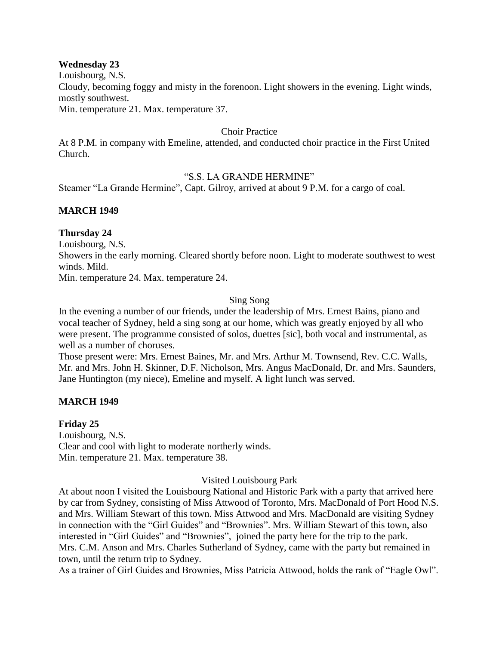#### **Wednesday 23**

Louisbourg, N.S.

Cloudy, becoming foggy and misty in the forenoon. Light showers in the evening. Light winds, mostly southwest.

Min. temperature 21. Max. temperature 37.

## Choir Practice

At 8 P.M. in company with Emeline, attended, and conducted choir practice in the First United Church.

## "S.S. LA GRANDE HERMINE"

Steamer "La Grande Hermine", Capt. Gilroy, arrived at about 9 P.M. for a cargo of coal.

## **MARCH 1949**

## **Thursday 24**

Louisbourg, N.S.

Showers in the early morning. Cleared shortly before noon. Light to moderate southwest to west winds. Mild.

Min. temperature 24. Max. temperature 24.

## Sing Song

In the evening a number of our friends, under the leadership of Mrs. Ernest Bains, piano and vocal teacher of Sydney, held a sing song at our home, which was greatly enjoyed by all who were present. The programme consisted of solos, duettes [sic], both vocal and instrumental, as well as a number of choruses.

Those present were: Mrs. Ernest Baines, Mr. and Mrs. Arthur M. Townsend, Rev. C.C. Walls, Mr. and Mrs. John H. Skinner, D.F. Nicholson, Mrs. Angus MacDonald, Dr. and Mrs. Saunders, Jane Huntington (my niece), Emeline and myself. A light lunch was served.

## **MARCH 1949**

## **Friday 25**

Louisbourg, N.S. Clear and cool with light to moderate northerly winds. Min. temperature 21. Max. temperature 38.

## Visited Louisbourg Park

At about noon I visited the Louisbourg National and Historic Park with a party that arrived here by car from Sydney, consisting of Miss Attwood of Toronto, Mrs. MacDonald of Port Hood N.S. and Mrs. William Stewart of this town. Miss Attwood and Mrs. MacDonald are visiting Sydney in connection with the "Girl Guides" and "Brownies". Mrs. William Stewart of this town, also interested in "Girl Guides" and "Brownies", joined the party here for the trip to the park. Mrs. C.M. Anson and Mrs. Charles Sutherland of Sydney, came with the party but remained in town, until the return trip to Sydney.

As a trainer of Girl Guides and Brownies, Miss Patricia Attwood, holds the rank of "Eagle Owl".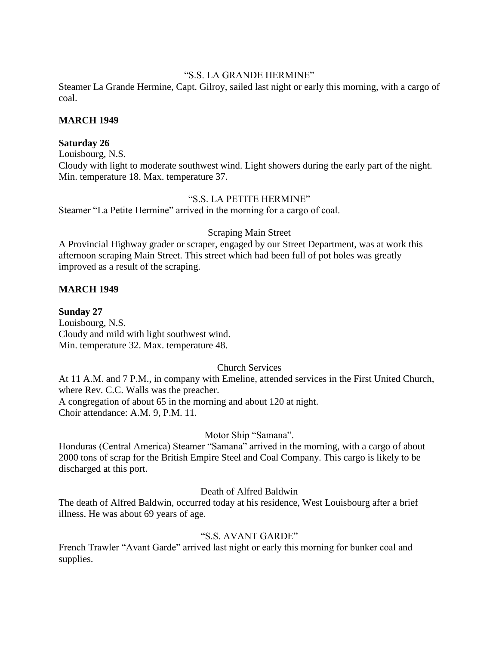## "S.S. LA GRANDE HERMINE"

Steamer La Grande Hermine, Capt. Gilroy, sailed last night or early this morning, with a cargo of coal.

#### **MARCH 1949**

#### **Saturday 26**

Louisbourg, N.S. Cloudy with light to moderate southwest wind. Light showers during the early part of the night. Min. temperature 18. Max. temperature 37.

## "S.S. LA PETITE HERMINE"

Steamer "La Petite Hermine" arrived in the morning for a cargo of coal.

#### Scraping Main Street

A Provincial Highway grader or scraper, engaged by our Street Department, was at work this afternoon scraping Main Street. This street which had been full of pot holes was greatly improved as a result of the scraping.

## **MARCH 1949**

#### **Sunday 27**

Louisbourg, N.S. Cloudy and mild with light southwest wind. Min. temperature 32. Max. temperature 48.

## Church Services

At 11 A.M. and 7 P.M., in company with Emeline, attended services in the First United Church, where Rev. C.C. Walls was the preacher. A congregation of about 65 in the morning and about 120 at night. Choir attendance: A.M. 9, P.M. 11.

## Motor Ship "Samana".

Honduras (Central America) Steamer "Samana" arrived in the morning, with a cargo of about 2000 tons of scrap for the British Empire Steel and Coal Company. This cargo is likely to be discharged at this port.

## Death of Alfred Baldwin

The death of Alfred Baldwin, occurred today at his residence, West Louisbourg after a brief illness. He was about 69 years of age.

## "S.S. AVANT GARDE"

French Trawler "Avant Garde" arrived last night or early this morning for bunker coal and supplies.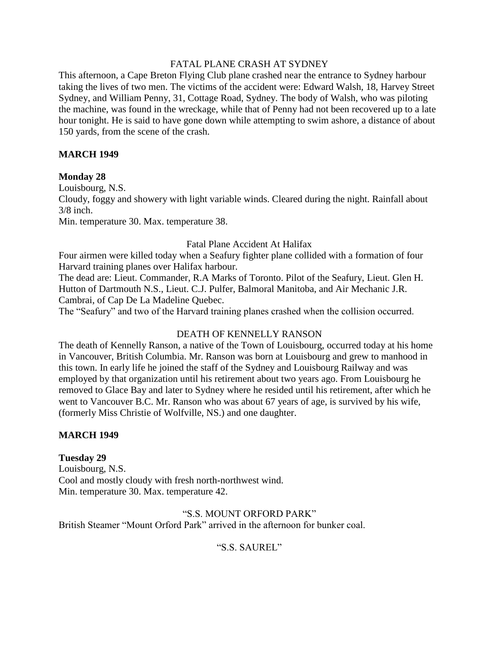## FATAL PLANE CRASH AT SYDNEY

This afternoon, a Cape Breton Flying Club plane crashed near the entrance to Sydney harbour taking the lives of two men. The victims of the accident were: Edward Walsh, 18, Harvey Street Sydney, and William Penny, 31, Cottage Road, Sydney. The body of Walsh, who was piloting the machine, was found in the wreckage, while that of Penny had not been recovered up to a late hour tonight. He is said to have gone down while attempting to swim ashore, a distance of about 150 yards, from the scene of the crash.

## **MARCH 1949**

## **Monday 28**

Louisbourg, N.S.

Cloudy, foggy and showery with light variable winds. Cleared during the night. Rainfall about 3/8 inch.

Min. temperature 30. Max. temperature 38.

#### Fatal Plane Accident At Halifax

Four airmen were killed today when a Seafury fighter plane collided with a formation of four Harvard training planes over Halifax harbour.

The dead are: Lieut. Commander, R.A Marks of Toronto. Pilot of the Seafury, Lieut. Glen H. Hutton of Dartmouth N.S., Lieut. C.J. Pulfer, Balmoral Manitoba, and Air Mechanic J.R. Cambrai, of Cap De La Madeline Quebec.

The "Seafury" and two of the Harvard training planes crashed when the collision occurred.

## DEATH OF KENNELLY RANSON

The death of Kennelly Ranson, a native of the Town of Louisbourg, occurred today at his home in Vancouver, British Columbia. Mr. Ranson was born at Louisbourg and grew to manhood in this town. In early life he joined the staff of the Sydney and Louisbourg Railway and was employed by that organization until his retirement about two years ago. From Louisbourg he removed to Glace Bay and later to Sydney where he resided until his retirement, after which he went to Vancouver B.C. Mr. Ranson who was about 67 years of age, is survived by his wife, (formerly Miss Christie of Wolfville, NS.) and one daughter.

## **MARCH 1949**

**Tuesday 29** Louisbourg, N.S. Cool and mostly cloudy with fresh north-northwest wind. Min. temperature 30. Max. temperature 42.

"S.S. MOUNT ORFORD PARK" British Steamer "Mount Orford Park" arrived in the afternoon for bunker coal.

"S.S. SAUREL"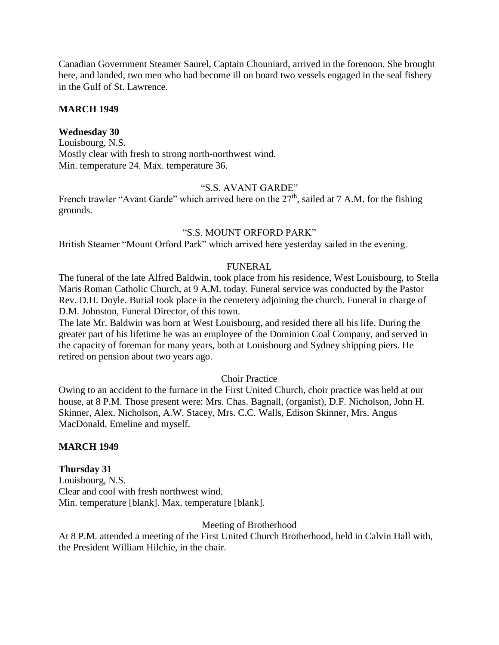Canadian Government Steamer Saurel, Captain Chouniard, arrived in the forenoon. She brought here, and landed, two men who had become ill on board two vessels engaged in the seal fishery in the Gulf of St. Lawrence.

#### **MARCH 1949**

# **Wednesday 30**

Louisbourg, N.S. Mostly clear with fresh to strong north-northwest wind. Min. temperature 24. Max. temperature 36.

## "S.S. AVANT GARDE"

French trawler "Avant Garde" which arrived here on the  $27<sup>th</sup>$ , sailed at 7 A.M. for the fishing grounds.

#### "S.S. MOUNT ORFORD PARK"

British Steamer "Mount Orford Park" which arrived here yesterday sailed in the evening.

#### FUNERAL

The funeral of the late Alfred Baldwin, took place from his residence, West Louisbourg, to Stella Maris Roman Catholic Church, at 9 A.M. today. Funeral service was conducted by the Pastor Rev. D.H. Doyle. Burial took place in the cemetery adjoining the church. Funeral in charge of D.M. Johnston, Funeral Director, of this town.

The late Mr. Baldwin was born at West Louisbourg, and resided there all his life. During the greater part of his lifetime he was an employee of the Dominion Coal Company, and served in the capacity of foreman for many years, both at Louisbourg and Sydney shipping piers. He retired on pension about two years ago.

#### Choir Practice

Owing to an accident to the furnace in the First United Church, choir practice was held at our house, at 8 P.M. Those present were: Mrs. Chas. Bagnall, (organist), D.F. Nicholson, John H. Skinner, Alex. Nicholson, A.W. Stacey, Mrs. C.C. Walls, Edison Skinner, Mrs. Angus MacDonald, Emeline and myself.

#### **MARCH 1949**

#### **Thursday 31**

Louisbourg, N.S. Clear and cool with fresh northwest wind. Min. temperature [blank]. Max. temperature [blank].

Meeting of Brotherhood

At 8 P.M. attended a meeting of the First United Church Brotherhood, held in Calvin Hall with, the President William Hilchie, in the chair.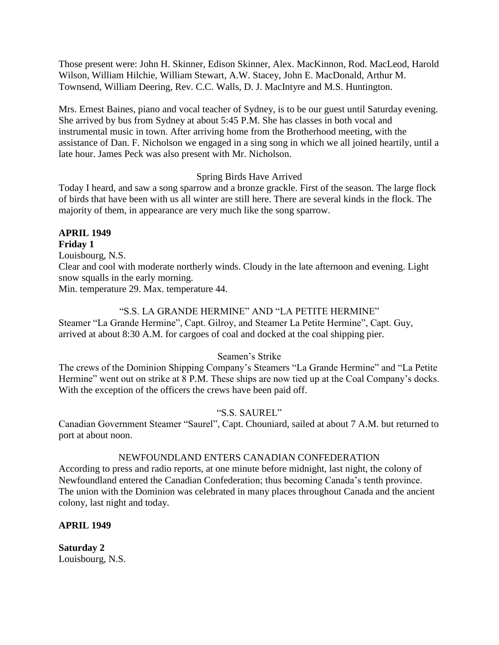Those present were: John H. Skinner, Edison Skinner, Alex. MacKinnon, Rod. MacLeod, Harold Wilson, William Hilchie, William Stewart, A.W. Stacey, John E. MacDonald, Arthur M. Townsend, William Deering, Rev. C.C. Walls, D. J. MacIntyre and M.S. Huntington.

Mrs. Ernest Baines, piano and vocal teacher of Sydney, is to be our guest until Saturday evening. She arrived by bus from Sydney at about 5:45 P.M. She has classes in both vocal and instrumental music in town. After arriving home from the Brotherhood meeting, with the assistance of Dan. F. Nicholson we engaged in a sing song in which we all joined heartily, until a late hour. James Peck was also present with Mr. Nicholson.

## Spring Birds Have Arrived

Today I heard, and saw a song sparrow and a bronze grackle. First of the season. The large flock of birds that have been with us all winter are still here. There are several kinds in the flock. The majority of them, in appearance are very much like the song sparrow.

#### **APRIL 1949 Friday 1**

Louisbourg, N.S.

Clear and cool with moderate northerly winds. Cloudy in the late afternoon and evening. Light snow squalls in the early morning.

Min. temperature 29. Max. temperature 44.

## "S.S. LA GRANDE HERMINE" AND "LA PETITE HERMINE"

Steamer "La Grande Hermine", Capt. Gilroy, and Steamer La Petite Hermine", Capt. Guy, arrived at about 8:30 A.M. for cargoes of coal and docked at the coal shipping pier.

## Seamen's Strike

The crews of the Dominion Shipping Company's Steamers "La Grande Hermine" and "La Petite Hermine" went out on strike at 8 P.M. These ships are now tied up at the Coal Company's docks. With the exception of the officers the crews have been paid off.

# "S.S. SAUREL"

Canadian Government Steamer "Saurel", Capt. Chouniard, sailed at about 7 A.M. but returned to port at about noon.

## NEWFOUNDLAND ENTERS CANADIAN CONFEDERATION

According to press and radio reports, at one minute before midnight, last night, the colony of Newfoundland entered the Canadian Confederation; thus becoming Canada's tenth province. The union with the Dominion was celebrated in many places throughout Canada and the ancient colony, last night and today.

## **APRIL 1949**

**Saturday 2** Louisbourg, N.S.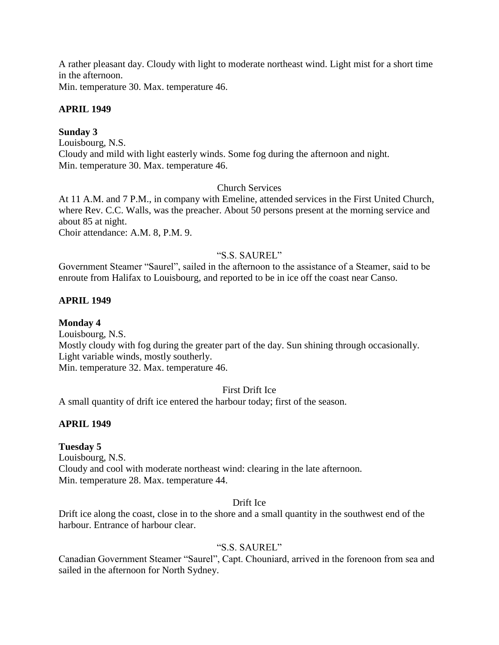A rather pleasant day. Cloudy with light to moderate northeast wind. Light mist for a short time in the afternoon.

Min. temperature 30. Max. temperature 46.

## **APRIL 1949**

# **Sunday 3**

Louisbourg, N.S. Cloudy and mild with light easterly winds. Some fog during the afternoon and night. Min. temperature 30. Max. temperature 46.

## Church Services

At 11 A.M. and 7 P.M., in company with Emeline, attended services in the First United Church, where Rev. C.C. Walls, was the preacher. About 50 persons present at the morning service and about 85 at night.

Choir attendance: A.M. 8, P.M. 9.

# "S.S. SAUREL"

Government Steamer "Saurel", sailed in the afternoon to the assistance of a Steamer, said to be enroute from Halifax to Louisbourg, and reported to be in ice off the coast near Canso.

## **APRIL 1949**

**Monday 4** Louisbourg, N.S. Mostly cloudy with fog during the greater part of the day. Sun shining through occasionally. Light variable winds, mostly southerly. Min. temperature 32. Max. temperature 46.

# First Drift Ice

A small quantity of drift ice entered the harbour today; first of the season.

# **APRIL 1949**

## **Tuesday 5**

Louisbourg, N.S. Cloudy and cool with moderate northeast wind: clearing in the late afternoon. Min. temperature 28. Max. temperature 44.

## Drift Ice

Drift ice along the coast, close in to the shore and a small quantity in the southwest end of the harbour. Entrance of harbour clear.

## "S.S. SAUREL"

Canadian Government Steamer "Saurel", Capt. Chouniard, arrived in the forenoon from sea and sailed in the afternoon for North Sydney.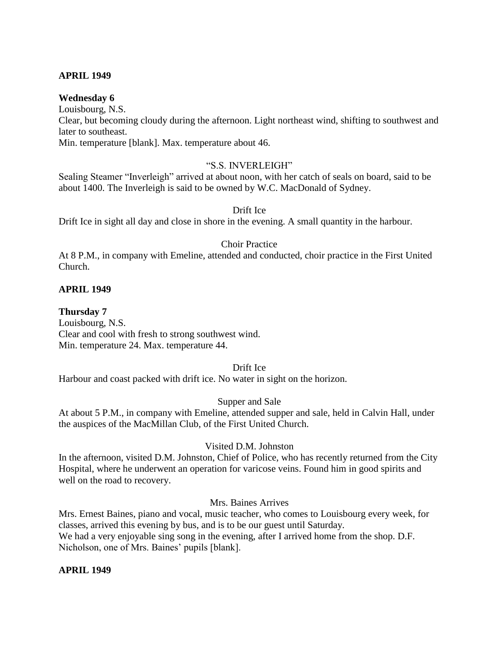## **APRIL 1949**

## **Wednesday 6**

Louisbourg, N.S. Clear, but becoming cloudy during the afternoon. Light northeast wind, shifting to southwest and later to southeast. Min. temperature [blank]. Max. temperature about 46.

#### "S.S. INVERLEIGH"

Sealing Steamer "Inverleigh" arrived at about noon, with her catch of seals on board, said to be about 1400. The Inverleigh is said to be owned by W.C. MacDonald of Sydney.

#### Drift Ice

Drift Ice in sight all day and close in shore in the evening. A small quantity in the harbour.

#### Choir Practice

At 8 P.M., in company with Emeline, attended and conducted, choir practice in the First United Church.

## **APRIL 1949**

#### **Thursday 7**

Louisbourg, N.S. Clear and cool with fresh to strong southwest wind. Min. temperature 24. Max. temperature 44.

#### Drift Ice

Harbour and coast packed with drift ice. No water in sight on the horizon.

#### Supper and Sale

At about 5 P.M., in company with Emeline, attended supper and sale, held in Calvin Hall, under the auspices of the MacMillan Club, of the First United Church.

#### Visited D.M. Johnston

In the afternoon, visited D.M. Johnston, Chief of Police, who has recently returned from the City Hospital, where he underwent an operation for varicose veins. Found him in good spirits and well on the road to recovery.

## Mrs. Baines Arrives

Mrs. Ernest Baines, piano and vocal, music teacher, who comes to Louisbourg every week, for classes, arrived this evening by bus, and is to be our guest until Saturday. We had a very enjoyable sing song in the evening, after I arrived home from the shop. D.F. Nicholson, one of Mrs. Baines' pupils [blank].

#### **APRIL 1949**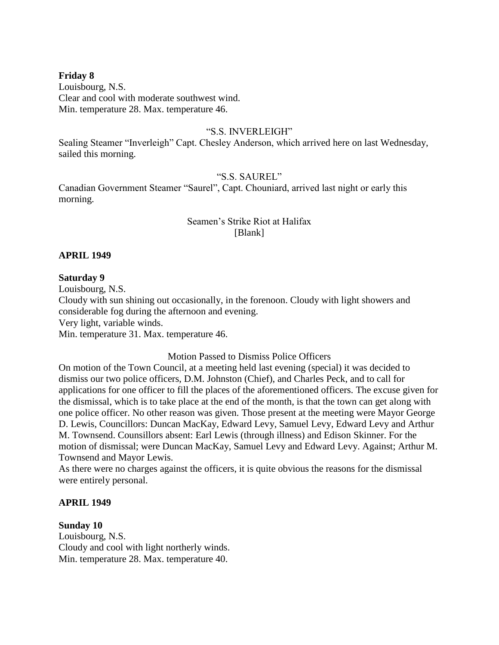## **Friday 8**

Louisbourg, N.S. Clear and cool with moderate southwest wind. Min. temperature 28. Max. temperature 46.

#### "S.S. INVERLEIGH"

Sealing Steamer "Inverleigh" Capt. Chesley Anderson, which arrived here on last Wednesday, sailed this morning.

# "S.S. SAUREL"

Canadian Government Steamer "Saurel", Capt. Chouniard, arrived last night or early this morning.

## Seamen's Strike Riot at Halifax [Blank]

#### **APRIL 1949**

#### **Saturday 9**

Louisbourg, N.S.

Cloudy with sun shining out occasionally, in the forenoon. Cloudy with light showers and considerable fog during the afternoon and evening.

Very light, variable winds.

Min. temperature 31. Max. temperature 46.

Motion Passed to Dismiss Police Officers

On motion of the Town Council, at a meeting held last evening (special) it was decided to dismiss our two police officers, D.M. Johnston (Chief), and Charles Peck, and to call for applications for one officer to fill the places of the aforementioned officers. The excuse given for the dismissal, which is to take place at the end of the month, is that the town can get along with one police officer. No other reason was given. Those present at the meeting were Mayor George D. Lewis, Councillors: Duncan MacKay, Edward Levy, Samuel Levy, Edward Levy and Arthur M. Townsend. Counsillors absent: Earl Lewis (through illness) and Edison Skinner. For the motion of dismissal; were Duncan MacKay, Samuel Levy and Edward Levy. Against; Arthur M. Townsend and Mayor Lewis.

As there were no charges against the officers, it is quite obvious the reasons for the dismissal were entirely personal.

#### **APRIL 1949**

#### **Sunday 10**

Louisbourg, N.S. Cloudy and cool with light northerly winds. Min. temperature 28. Max. temperature 40.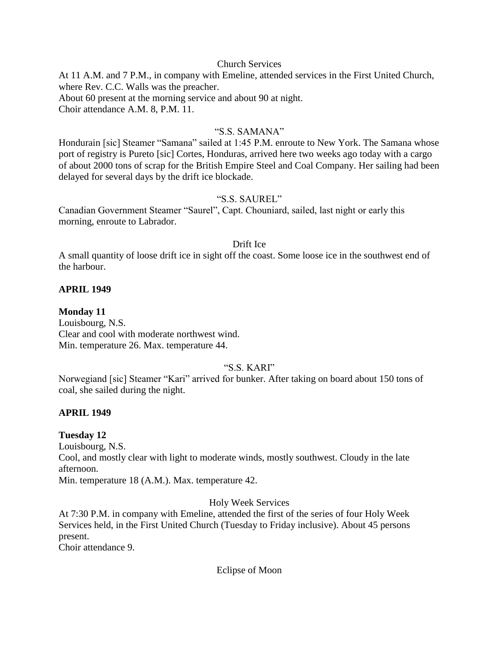#### Church Services

At 11 A.M. and 7 P.M., in company with Emeline, attended services in the First United Church, where Rev. C.C. Walls was the preacher. About 60 present at the morning service and about 90 at night. Choir attendance A.M. 8, P.M. 11.

### "S.S. SAMANA"

Hondurain [sic] Steamer "Samana" sailed at 1:45 P.M. enroute to New York. The Samana whose port of registry is Pureto [sic] Cortes, Honduras, arrived here two weeks ago today with a cargo of about 2000 tons of scrap for the British Empire Steel and Coal Company. Her sailing had been delayed for several days by the drift ice blockade.

### "S.S. SAUREL"

Canadian Government Steamer "Saurel", Capt. Chouniard, sailed, last night or early this morning, enroute to Labrador.

#### Drift Ice

A small quantity of loose drift ice in sight off the coast. Some loose ice in the southwest end of the harbour.

### **APRIL 1949**

### **Monday 11**

Louisbourg, N.S. Clear and cool with moderate northwest wind. Min. temperature 26. Max. temperature 44.

### "S.S. KARI"

Norwegiand [sic] Steamer "Kari" arrived for bunker. After taking on board about 150 tons of coal, she sailed during the night.

### **APRIL 1949**

### **Tuesday 12**

Louisbourg, N.S.

Cool, and mostly clear with light to moderate winds, mostly southwest. Cloudy in the late afternoon.

Min. temperature 18 (A.M.). Max. temperature 42.

Holy Week Services

At 7:30 P.M. in company with Emeline, attended the first of the series of four Holy Week Services held, in the First United Church (Tuesday to Friday inclusive). About 45 persons present.

Choir attendance 9.

Eclipse of Moon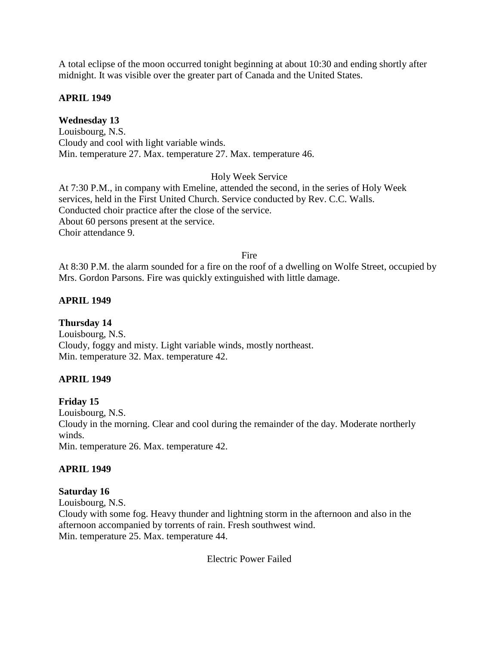A total eclipse of the moon occurred tonight beginning at about 10:30 and ending shortly after midnight. It was visible over the greater part of Canada and the United States.

### **APRIL 1949**

# **Wednesday 13**

Louisbourg, N.S. Cloudy and cool with light variable winds. Min. temperature 27. Max. temperature 27. Max. temperature 46.

### Holy Week Service

At 7:30 P.M., in company with Emeline, attended the second, in the series of Holy Week services, held in the First United Church. Service conducted by Rev. C.C. Walls. Conducted choir practice after the close of the service. About 60 persons present at the service. Choir attendance 9.

### Fire

At 8:30 P.M. the alarm sounded for a fire on the roof of a dwelling on Wolfe Street, occupied by Mrs. Gordon Parsons. Fire was quickly extinguished with little damage.

### **APRIL 1949**

**Thursday 14** Louisbourg, N.S. Cloudy, foggy and misty. Light variable winds, mostly northeast. Min. temperature 32. Max. temperature 42.

# **APRIL 1949**

# **Friday 15**

Louisbourg, N.S. Cloudy in the morning. Clear and cool during the remainder of the day. Moderate northerly winds. Min. temperature 26. Max. temperature 42.

### **APRIL 1949**

### **Saturday 16**

Louisbourg, N.S. Cloudy with some fog. Heavy thunder and lightning storm in the afternoon and also in the afternoon accompanied by torrents of rain. Fresh southwest wind. Min. temperature 25. Max. temperature 44.

Electric Power Failed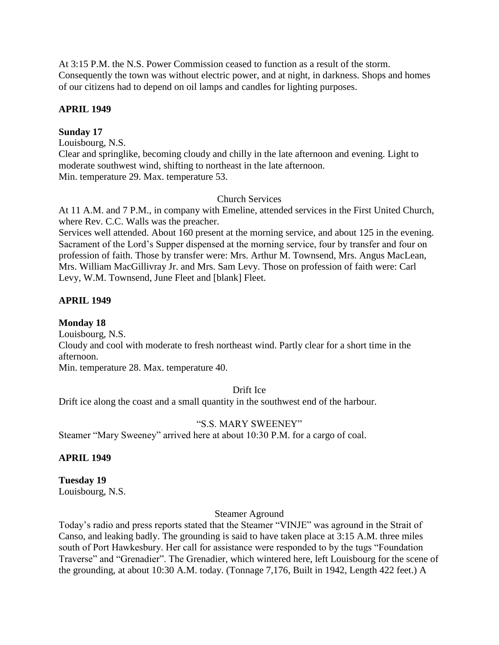At 3:15 P.M. the N.S. Power Commission ceased to function as a result of the storm. Consequently the town was without electric power, and at night, in darkness. Shops and homes of our citizens had to depend on oil lamps and candles for lighting purposes.

### **APRIL 1949**

### **Sunday 17**

Louisbourg, N.S. Clear and springlike, becoming cloudy and chilly in the late afternoon and evening. Light to moderate southwest wind, shifting to northeast in the late afternoon. Min. temperature 29. Max. temperature 53.

### Church Services

At 11 A.M. and 7 P.M., in company with Emeline, attended services in the First United Church, where Rev. C.C. Walls was the preacher.

Services well attended. About 160 present at the morning service, and about 125 in the evening. Sacrament of the Lord's Supper dispensed at the morning service, four by transfer and four on profession of faith. Those by transfer were: Mrs. Arthur M. Townsend, Mrs. Angus MacLean, Mrs. William MacGillivray Jr. and Mrs. Sam Levy. Those on profession of faith were: Carl Levy, W.M. Townsend, June Fleet and [blank] Fleet.

### **APRIL 1949**

**Monday 18** Louisbourg, N.S.

Cloudy and cool with moderate to fresh northeast wind. Partly clear for a short time in the afternoon.

Min. temperature 28. Max. temperature 40.

### Drift Ice

Drift ice along the coast and a small quantity in the southwest end of the harbour.

# "S.S. MARY SWEENEY"

Steamer "Mary Sweeney" arrived here at about 10:30 P.M. for a cargo of coal.

# **APRIL 1949**

**Tuesday 19** Louisbourg, N.S.

### Steamer Aground

Today's radio and press reports stated that the Steamer "VINJE" was aground in the Strait of Canso, and leaking badly. The grounding is said to have taken place at 3:15 A.M. three miles south of Port Hawkesbury. Her call for assistance were responded to by the tugs "Foundation Traverse" and "Grenadier". The Grenadier, which wintered here, left Louisbourg for the scene of the grounding, at about 10:30 A.M. today. (Tonnage 7,176, Built in 1942, Length 422 feet.) A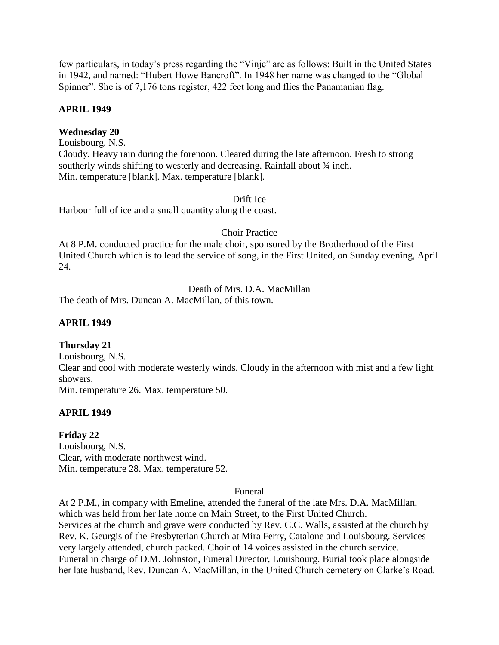few particulars, in today's press regarding the "Vinje" are as follows: Built in the United States in 1942, and named: "Hubert Howe Bancroft". In 1948 her name was changed to the "Global Spinner". She is of 7,176 tons register, 422 feet long and flies the Panamanian flag.

### **APRIL 1949**

### **Wednesday 20**

Louisbourg, N.S. Cloudy. Heavy rain during the forenoon. Cleared during the late afternoon. Fresh to strong southerly winds shifting to westerly and decreasing. Rainfall about  $\frac{3}{4}$  inch. Min. temperature [blank]. Max. temperature [blank].

### Drift Ice

Harbour full of ice and a small quantity along the coast.

### Choir Practice

At 8 P.M. conducted practice for the male choir, sponsored by the Brotherhood of the First United Church which is to lead the service of song, in the First United, on Sunday evening, April 24.

### Death of Mrs. D.A. MacMillan

The death of Mrs. Duncan A. MacMillan, of this town.

### **APRIL 1949**

### **Thursday 21**

Louisbourg, N.S. Clear and cool with moderate westerly winds. Cloudy in the afternoon with mist and a few light showers. Min. temperature 26. Max. temperature 50.

### **APRIL 1949**

# **Friday 22**

Louisbourg, N.S. Clear, with moderate northwest wind. Min. temperature 28. Max. temperature 52.

### Funeral

At 2 P.M., in company with Emeline, attended the funeral of the late Mrs. D.A. MacMillan, which was held from her late home on Main Street, to the First United Church. Services at the church and grave were conducted by Rev. C.C. Walls, assisted at the church by Rev. K. Geurgis of the Presbyterian Church at Mira Ferry, Catalone and Louisbourg. Services very largely attended, church packed. Choir of 14 voices assisted in the church service. Funeral in charge of D.M. Johnston, Funeral Director, Louisbourg. Burial took place alongside her late husband, Rev. Duncan A. MacMillan, in the United Church cemetery on Clarke's Road.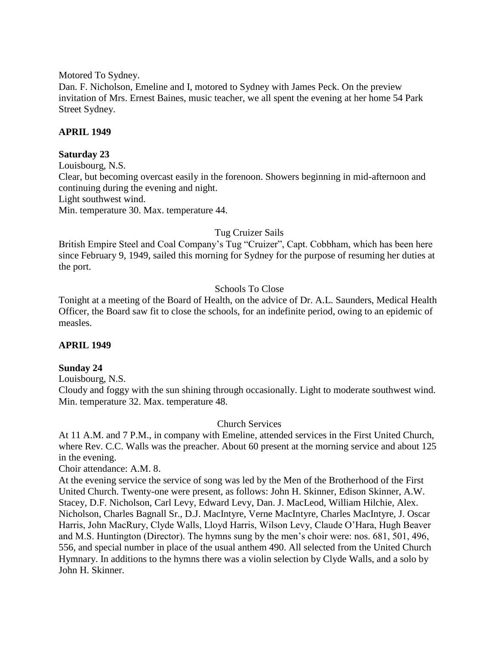Motored To Sydney.

Dan. F. Nicholson, Emeline and I, motored to Sydney with James Peck. On the preview invitation of Mrs. Ernest Baines, music teacher, we all spent the evening at her home 54 Park Street Sydney.

### **APRIL 1949**

#### **Saturday 23**

Louisbourg, N.S. Clear, but becoming overcast easily in the forenoon. Showers beginning in mid-afternoon and continuing during the evening and night. Light southwest wind. Min. temperature 30. Max. temperature 44.

### Tug Cruizer Sails

British Empire Steel and Coal Company's Tug "Cruizer", Capt. Cobbham, which has been here since February 9, 1949, sailed this morning for Sydney for the purpose of resuming her duties at the port.

### Schools To Close

Tonight at a meeting of the Board of Health, on the advice of Dr. A.L. Saunders, Medical Health Officer, the Board saw fit to close the schools, for an indefinite period, owing to an epidemic of measles.

### **APRIL 1949**

### **Sunday 24**

Louisbourg, N.S.

Cloudy and foggy with the sun shining through occasionally. Light to moderate southwest wind. Min. temperature 32. Max. temperature 48.

### Church Services

At 11 A.M. and 7 P.M., in company with Emeline, attended services in the First United Church, where Rev. C.C. Walls was the preacher. About 60 present at the morning service and about 125 in the evening.

Choir attendance: A.M. 8.

At the evening service the service of song was led by the Men of the Brotherhood of the First United Church. Twenty-one were present, as follows: John H. Skinner, Edison Skinner, A.W. Stacey, D.F. Nicholson, Carl Levy, Edward Levy, Dan. J. MacLeod, William Hilchie, Alex. Nicholson, Charles Bagnall Sr., D.J. MacIntyre, Verne MacIntyre, Charles MacIntyre, J. Oscar Harris, John MacRury, Clyde Walls, Lloyd Harris, Wilson Levy, Claude O'Hara, Hugh Beaver and M.S. Huntington (Director). The hymns sung by the men's choir were: nos. 681, 501, 496, 556, and special number in place of the usual anthem 490. All selected from the United Church Hymnary. In additions to the hymns there was a violin selection by Clyde Walls, and a solo by John H. Skinner.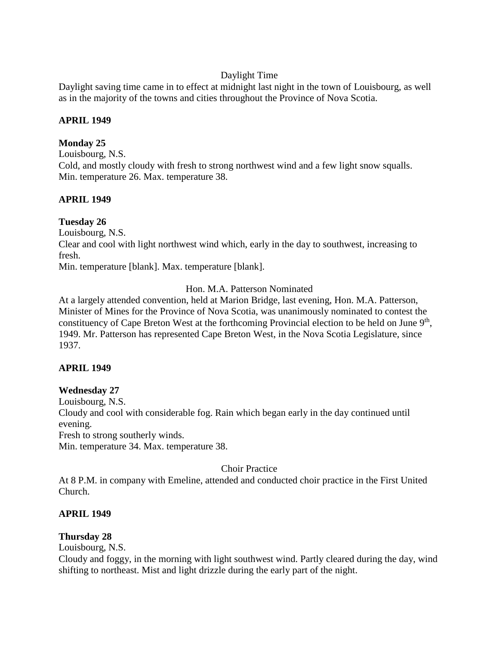# Daylight Time

Daylight saving time came in to effect at midnight last night in the town of Louisbourg, as well as in the majority of the towns and cities throughout the Province of Nova Scotia.

### **APRIL 1949**

# **Monday 25**

Louisbourg, N.S. Cold, and mostly cloudy with fresh to strong northwest wind and a few light snow squalls. Min. temperature 26. Max. temperature 38.

# **APRIL 1949**

# **Tuesday 26**

Louisbourg, N.S.

Clear and cool with light northwest wind which, early in the day to southwest, increasing to fresh.

Min. temperature [blank]. Max. temperature [blank].

# Hon. M.A. Patterson Nominated

At a largely attended convention, held at Marion Bridge, last evening, Hon. M.A. Patterson, Minister of Mines for the Province of Nova Scotia, was unanimously nominated to contest the constituency of Cape Breton West at the forthcoming Provincial election to be held on June 9<sup>th</sup>, 1949. Mr. Patterson has represented Cape Breton West, in the Nova Scotia Legislature, since 1937.

# **APRIL 1949**

# **Wednesday 27**

Louisbourg, N.S.

Cloudy and cool with considerable fog. Rain which began early in the day continued until evening.

Fresh to strong southerly winds.

Min. temperature 34. Max. temperature 38.

# Choir Practice

At 8 P.M. in company with Emeline, attended and conducted choir practice in the First United Church.

# **APRIL 1949**

# **Thursday 28**

Louisbourg, N.S.

Cloudy and foggy, in the morning with light southwest wind. Partly cleared during the day, wind shifting to northeast. Mist and light drizzle during the early part of the night.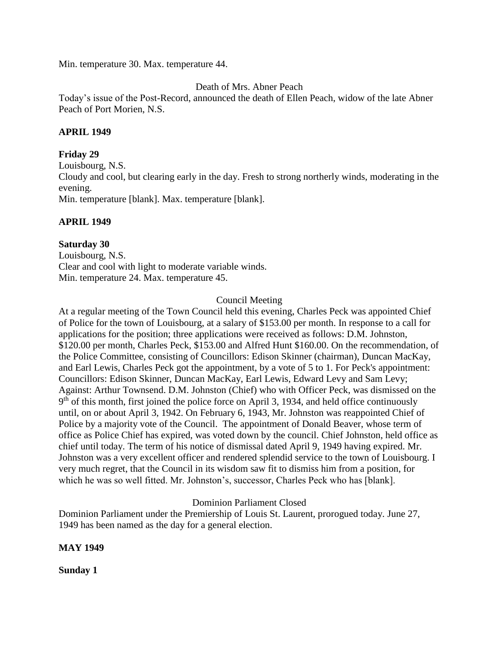Min. temperature 30. Max. temperature 44.

### Death of Mrs. Abner Peach

Today's issue of the Post-Record, announced the death of Ellen Peach, widow of the late Abner Peach of Port Morien, N.S.

### **APRIL 1949**

#### **Friday 29**

Louisbourg, N.S. Cloudy and cool, but clearing early in the day. Fresh to strong northerly winds, moderating in the evening. Min. temperature [blank]. Max. temperature [blank].

### **APRIL 1949**

### **Saturday 30**

Louisbourg, N.S. Clear and cool with light to moderate variable winds. Min. temperature 24. Max. temperature 45.

#### Council Meeting

At a regular meeting of the Town Council held this evening, Charles Peck was appointed Chief of Police for the town of Louisbourg, at a salary of \$153.00 per month. In response to a call for applications for the position; three applications were received as follows: D.M. Johnston, \$120.00 per month, Charles Peck, \$153.00 and Alfred Hunt \$160.00. On the recommendation, of the Police Committee, consisting of Councillors: Edison Skinner (chairman), Duncan MacKay, and Earl Lewis, Charles Peck got the appointment, by a vote of 5 to 1. For Peck's appointment: Councillors: Edison Skinner, Duncan MacKay, Earl Lewis, Edward Levy and Sam Levy; Against: Arthur Townsend. D.M. Johnston (Chief) who with Officer Peck, was dismissed on the 9<sup>th</sup> of this month, first joined the police force on April 3, 1934, and held office continuously until, on or about April 3, 1942. On February 6, 1943, Mr. Johnston was reappointed Chief of Police by a majority vote of the Council. The appointment of Donald Beaver, whose term of office as Police Chief has expired, was voted down by the council. Chief Johnston, held office as chief until today. The term of his notice of dismissal dated April 9, 1949 having expired. Mr. Johnston was a very excellent officer and rendered splendid service to the town of Louisbourg. I very much regret, that the Council in its wisdom saw fit to dismiss him from a position, for which he was so well fitted. Mr. Johnston's, successor, Charles Peck who has [blank].

### Dominion Parliament Closed

Dominion Parliament under the Premiership of Louis St. Laurent, prorogued today. June 27, 1949 has been named as the day for a general election.

#### **MAY 1949**

**Sunday 1**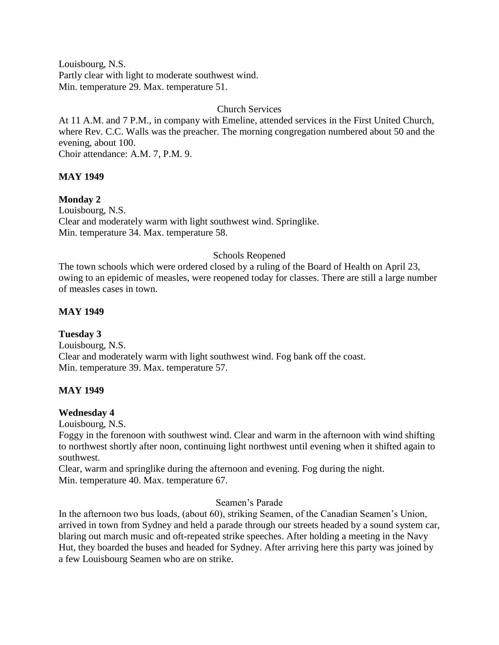Louisbourg, N.S. Partly clear with light to moderate southwest wind. Min. temperature 29. Max. temperature 51.

### Church Services

At 11 A.M. and 7 P.M., in company with Emeline, attended services in the First United Church, where Rev. C.C. Walls was the preacher. The morning congregation numbered about 50 and the evening, about 100.

Choir attendance: A.M. 7, P.M. 9.

# **MAY 1949**

**Monday 2**

Louisbourg, N.S. Clear and moderately warm with light southwest wind. Springlike. Min. temperature 34. Max. temperature 58.

# Schools Reopened

The town schools which were ordered closed by a ruling of the Board of Health on April 23, owing to an epidemic of measles, were reopened today for classes. There are still a large number of measles cases in town.

# **MAY 1949**

**Tuesday 3** Louisbourg, N.S. Clear and moderately warm with light southwest wind. Fog bank off the coast. Min. temperature 39. Max. temperature 57.

# **MAY 1949**

# **Wednesday 4**

Louisbourg, N.S.

Foggy in the forenoon with southwest wind. Clear and warm in the afternoon with wind shifting to northwest shortly after noon, continuing light northwest until evening when it shifted again to southwest.

Clear, warm and springlike during the afternoon and evening. Fog during the night. Min. temperature 40. Max. temperature 67.

# Seamen's Parade

In the afternoon two bus loads, (about 60), striking Seamen, of the Canadian Seamen's Union, arrived in town from Sydney and held a parade through our streets headed by a sound system car, blaring out march music and oft-repeated strike speeches. After holding a meeting in the Navy Hut, they boarded the buses and headed for Sydney. After arriving here this party was joined by a few Louisbourg Seamen who are on strike.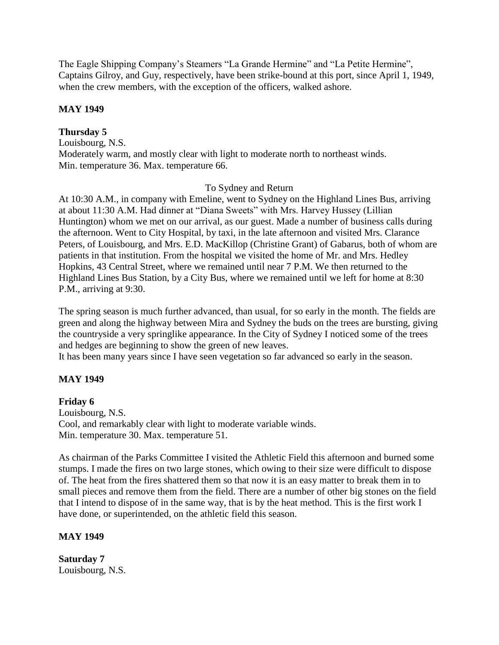The Eagle Shipping Company's Steamers "La Grande Hermine" and "La Petite Hermine", Captains Gilroy, and Guy, respectively, have been strike-bound at this port, since April 1, 1949, when the crew members, with the exception of the officers, walked ashore.

### **MAY 1949**

# **Thursday 5**

Louisbourg, N.S. Moderately warm, and mostly clear with light to moderate north to northeast winds. Min. temperature 36. Max. temperature 66.

### To Sydney and Return

At 10:30 A.M., in company with Emeline, went to Sydney on the Highland Lines Bus, arriving at about 11:30 A.M. Had dinner at "Diana Sweets" with Mrs. Harvey Hussey (Lillian Huntington) whom we met on our arrival, as our guest. Made a number of business calls during the afternoon. Went to City Hospital, by taxi, in the late afternoon and visited Mrs. Clarance Peters, of Louisbourg, and Mrs. E.D. MacKillop (Christine Grant) of Gabarus, both of whom are patients in that institution. From the hospital we visited the home of Mr. and Mrs. Hedley Hopkins, 43 Central Street, where we remained until near 7 P.M. We then returned to the Highland Lines Bus Station, by a City Bus, where we remained until we left for home at 8:30 P.M., arriving at 9:30.

The spring season is much further advanced, than usual, for so early in the month. The fields are green and along the highway between Mira and Sydney the buds on the trees are bursting, giving the countryside a very springlike appearance. In the City of Sydney I noticed some of the trees and hedges are beginning to show the green of new leaves.

It has been many years since I have seen vegetation so far advanced so early in the season.

# **MAY 1949**

# **Friday 6**

Louisbourg, N.S. Cool, and remarkably clear with light to moderate variable winds. Min. temperature 30. Max. temperature 51.

As chairman of the Parks Committee I visited the Athletic Field this afternoon and burned some stumps. I made the fires on two large stones, which owing to their size were difficult to dispose of. The heat from the fires shattered them so that now it is an easy matter to break them in to small pieces and remove them from the field. There are a number of other big stones on the field that I intend to dispose of in the same way, that is by the heat method. This is the first work I have done, or superintended, on the athletic field this season.

# **MAY 1949**

**Saturday 7** Louisbourg, N.S.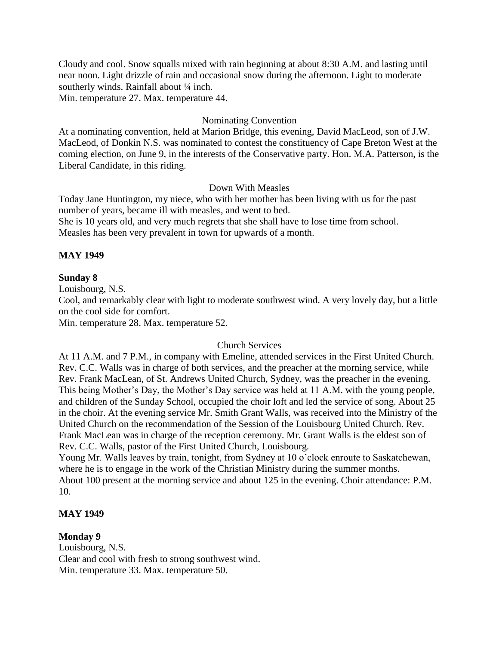Cloudy and cool. Snow squalls mixed with rain beginning at about 8:30 A.M. and lasting until near noon. Light drizzle of rain and occasional snow during the afternoon. Light to moderate southerly winds. Rainfall about 1/4 inch.

Min. temperature 27. Max. temperature 44.

### Nominating Convention

At a nominating convention, held at Marion Bridge, this evening, David MacLeod, son of J.W. MacLeod, of Donkin N.S. was nominated to contest the constituency of Cape Breton West at the coming election, on June 9, in the interests of the Conservative party. Hon. M.A. Patterson, is the Liberal Candidate, in this riding.

### Down With Measles

Today Jane Huntington, my niece, who with her mother has been living with us for the past number of years, became ill with measles, and went to bed.

She is 10 years old, and very much regrets that she shall have to lose time from school. Measles has been very prevalent in town for upwards of a month.

### **MAY 1949**

### **Sunday 8**

Louisbourg, N.S.

Cool, and remarkably clear with light to moderate southwest wind. A very lovely day, but a little on the cool side for comfort.

Min. temperature 28. Max. temperature 52.

### Church Services

At 11 A.M. and 7 P.M., in company with Emeline, attended services in the First United Church. Rev. C.C. Walls was in charge of both services, and the preacher at the morning service, while Rev. Frank MacLean, of St. Andrews United Church, Sydney, was the preacher in the evening. This being Mother's Day, the Mother's Day service was held at 11 A.M. with the young people, and children of the Sunday School, occupied the choir loft and led the service of song. About 25 in the choir. At the evening service Mr. Smith Grant Walls, was received into the Ministry of the United Church on the recommendation of the Session of the Louisbourg United Church. Rev. Frank MacLean was in charge of the reception ceremony. Mr. Grant Walls is the eldest son of Rev. C.C. Walls, pastor of the First United Church, Louisbourg.

Young Mr. Walls leaves by train, tonight, from Sydney at 10 o'clock enroute to Saskatchewan, where he is to engage in the work of the Christian Ministry during the summer months. About 100 present at the morning service and about 125 in the evening. Choir attendance: P.M. 10.

### **MAY 1949**

# **Monday 9**

Louisbourg, N.S. Clear and cool with fresh to strong southwest wind. Min. temperature 33. Max. temperature 50.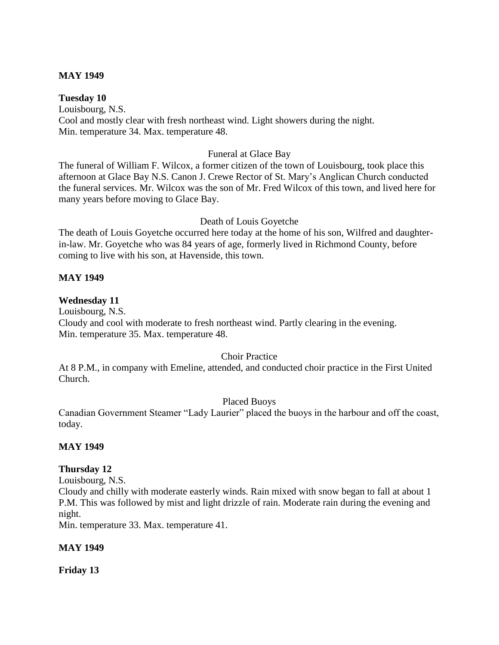### **MAY 1949**

**Tuesday 10**

Louisbourg, N.S. Cool and mostly clear with fresh northeast wind. Light showers during the night. Min. temperature 34. Max. temperature 48.

### Funeral at Glace Bay

The funeral of William F. Wilcox, a former citizen of the town of Louisbourg, took place this afternoon at Glace Bay N.S. Canon J. Crewe Rector of St. Mary's Anglican Church conducted the funeral services. Mr. Wilcox was the son of Mr. Fred Wilcox of this town, and lived here for many years before moving to Glace Bay.

### Death of Louis Goyetche

The death of Louis Goyetche occurred here today at the home of his son, Wilfred and daughterin-law. Mr. Goyetche who was 84 years of age, formerly lived in Richmond County, before coming to live with his son, at Havenside, this town.

# **MAY 1949**

### **Wednesday 11**

Louisbourg, N.S. Cloudy and cool with moderate to fresh northeast wind. Partly clearing in the evening. Min. temperature 35. Max. temperature 48.

# Choir Practice

At 8 P.M., in company with Emeline, attended, and conducted choir practice in the First United Church.

### Placed Buoys

Canadian Government Steamer "Lady Laurier" placed the buoys in the harbour and off the coast, today.

### **MAY 1949**

### **Thursday 12**

Louisbourg, N.S.

Cloudy and chilly with moderate easterly winds. Rain mixed with snow began to fall at about 1 P.M. This was followed by mist and light drizzle of rain. Moderate rain during the evening and night.

Min. temperature 33. Max. temperature 41.

### **MAY 1949**

**Friday 13**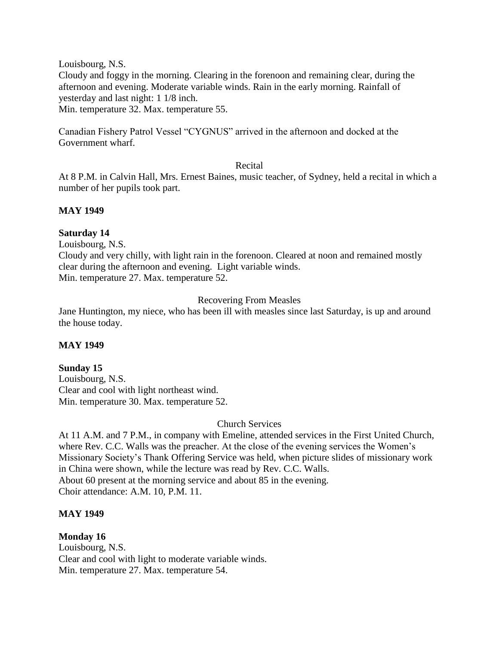Louisbourg, N.S.

Cloudy and foggy in the morning. Clearing in the forenoon and remaining clear, during the afternoon and evening. Moderate variable winds. Rain in the early morning. Rainfall of yesterday and last night: 1 1/8 inch.

Min. temperature 32. Max. temperature 55.

Canadian Fishery Patrol Vessel "CYGNUS" arrived in the afternoon and docked at the Government wharf.

#### Recital

At 8 P.M. in Calvin Hall, Mrs. Ernest Baines, music teacher, of Sydney, held a recital in which a number of her pupils took part.

### **MAY 1949**

### **Saturday 14**

Louisbourg, N.S.

Cloudy and very chilly, with light rain in the forenoon. Cleared at noon and remained mostly clear during the afternoon and evening. Light variable winds. Min. temperature 27. Max. temperature 52.

### Recovering From Measles

Jane Huntington, my niece, who has been ill with measles since last Saturday, is up and around the house today.

### **MAY 1949**

# **Sunday 15**

Louisbourg, N.S. Clear and cool with light northeast wind. Min. temperature 30. Max. temperature 52.

### Church Services

At 11 A.M. and 7 P.M., in company with Emeline, attended services in the First United Church, where Rev. C.C. Walls was the preacher. At the close of the evening services the Women's Missionary Society's Thank Offering Service was held, when picture slides of missionary work in China were shown, while the lecture was read by Rev. C.C. Walls. About 60 present at the morning service and about 85 in the evening. Choir attendance: A.M. 10, P.M. 11.

### **MAY 1949**

# **Monday 16**

Louisbourg, N.S. Clear and cool with light to moderate variable winds. Min. temperature 27. Max. temperature 54.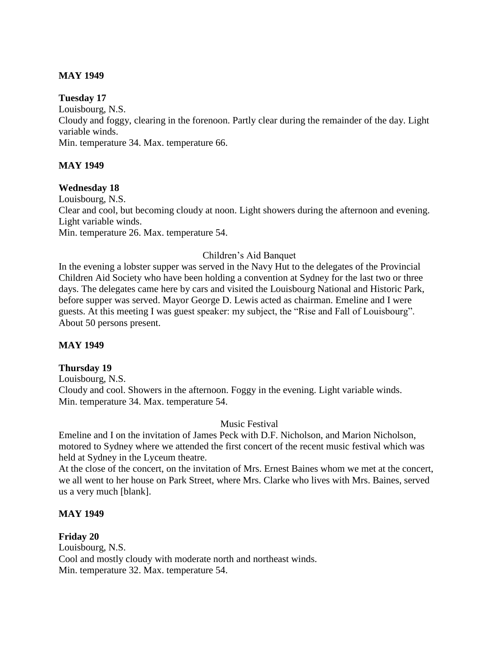### **MAY 1949**

#### **Tuesday 17**

Louisbourg, N.S. Cloudy and foggy, clearing in the forenoon. Partly clear during the remainder of the day. Light variable winds. Min. temperature 34. Max. temperature 66.

### **MAY 1949**

#### **Wednesday 18**

Louisbourg, N.S. Clear and cool, but becoming cloudy at noon. Light showers during the afternoon and evening. Light variable winds. Min. temperature 26. Max. temperature 54.

### Children's Aid Banquet

In the evening a lobster supper was served in the Navy Hut to the delegates of the Provincial Children Aid Society who have been holding a convention at Sydney for the last two or three days. The delegates came here by cars and visited the Louisbourg National and Historic Park, before supper was served. Mayor George D. Lewis acted as chairman. Emeline and I were guests. At this meeting I was guest speaker: my subject, the "Rise and Fall of Louisbourg". About 50 persons present.

### **MAY 1949**

### **Thursday 19**

Louisbourg, N.S. Cloudy and cool. Showers in the afternoon. Foggy in the evening. Light variable winds. Min. temperature 34. Max. temperature 54.

### Music Festival

Emeline and I on the invitation of James Peck with D.F. Nicholson, and Marion Nicholson, motored to Sydney where we attended the first concert of the recent music festival which was held at Sydney in the Lyceum theatre.

At the close of the concert, on the invitation of Mrs. Ernest Baines whom we met at the concert, we all went to her house on Park Street, where Mrs. Clarke who lives with Mrs. Baines, served us a very much [blank].

### **MAY 1949**

**Friday 20** Louisbourg, N.S. Cool and mostly cloudy with moderate north and northeast winds. Min. temperature 32. Max. temperature 54.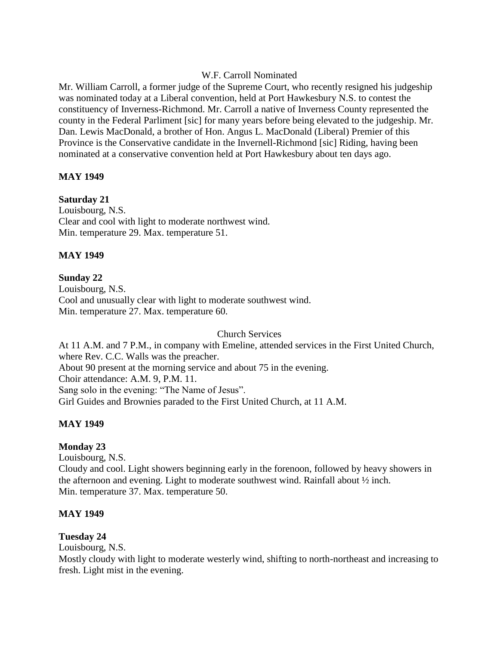### W.F. Carroll Nominated

Mr. William Carroll, a former judge of the Supreme Court, who recently resigned his judgeship was nominated today at a Liberal convention, held at Port Hawkesbury N.S. to contest the constituency of Inverness-Richmond. Mr. Carroll a native of Inverness County represented the county in the Federal Parliment [sic] for many years before being elevated to the judgeship. Mr. Dan. Lewis MacDonald, a brother of Hon. Angus L. MacDonald (Liberal) Premier of this Province is the Conservative candidate in the Invernell-Richmond [sic] Riding, having been nominated at a conservative convention held at Port Hawkesbury about ten days ago.

### **MAY 1949**

### **Saturday 21**

Louisbourg, N.S. Clear and cool with light to moderate northwest wind. Min. temperature 29. Max. temperature 51.

### **MAY 1949**

### **Sunday 22**

Louisbourg, N.S. Cool and unusually clear with light to moderate southwest wind. Min. temperature 27. Max. temperature 60.

Church Services

At 11 A.M. and 7 P.M., in company with Emeline, attended services in the First United Church, where Rev. C.C. Walls was the preacher. About 90 present at the morning service and about 75 in the evening. Choir attendance: A.M. 9, P.M. 11. Sang solo in the evening: "The Name of Jesus". Girl Guides and Brownies paraded to the First United Church, at 11 A.M.

# **MAY 1949**

# **Monday 23**

Louisbourg, N.S. Cloudy and cool. Light showers beginning early in the forenoon, followed by heavy showers in the afternoon and evening. Light to moderate southwest wind. Rainfall about ½ inch. Min. temperature 37. Max. temperature 50.

### **MAY 1949**

### **Tuesday 24**

Louisbourg, N.S.

Mostly cloudy with light to moderate westerly wind, shifting to north-northeast and increasing to fresh. Light mist in the evening.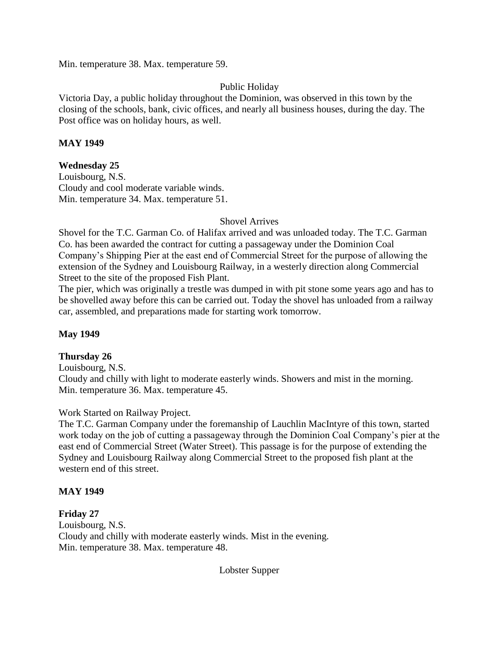Min. temperature 38. Max. temperature 59.

# Public Holiday

Victoria Day, a public holiday throughout the Dominion, was observed in this town by the closing of the schools, bank, civic offices, and nearly all business houses, during the day. The Post office was on holiday hours, as well.

### **MAY 1949**

### **Wednesday 25**

Louisbourg, N.S. Cloudy and cool moderate variable winds. Min. temperature 34. Max. temperature 51.

### Shovel Arrives

Shovel for the T.C. Garman Co. of Halifax arrived and was unloaded today. The T.C. Garman Co. has been awarded the contract for cutting a passageway under the Dominion Coal Company's Shipping Pier at the east end of Commercial Street for the purpose of allowing the extension of the Sydney and Louisbourg Railway, in a westerly direction along Commercial Street to the site of the proposed Fish Plant.

The pier, which was originally a trestle was dumped in with pit stone some years ago and has to be shovelled away before this can be carried out. Today the shovel has unloaded from a railway car, assembled, and preparations made for starting work tomorrow.

### **May 1949**

# **Thursday 26**

Louisbourg, N.S. Cloudy and chilly with light to moderate easterly winds. Showers and mist in the morning. Min. temperature 36. Max. temperature 45.

# Work Started on Railway Project.

The T.C. Garman Company under the foremanship of Lauchlin MacIntyre of this town, started work today on the job of cutting a passageway through the Dominion Coal Company's pier at the east end of Commercial Street (Water Street). This passage is for the purpose of extending the Sydney and Louisbourg Railway along Commercial Street to the proposed fish plant at the western end of this street.

### **MAY 1949**

# **Friday 27**

Louisbourg, N.S. Cloudy and chilly with moderate easterly winds. Mist in the evening. Min. temperature 38. Max. temperature 48.

Lobster Supper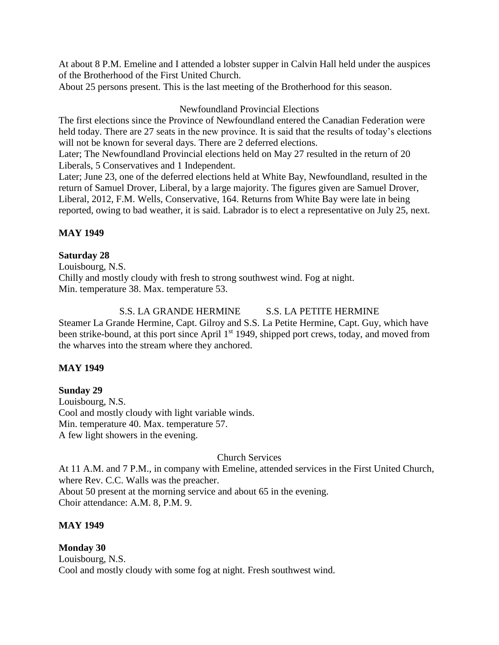At about 8 P.M. Emeline and I attended a lobster supper in Calvin Hall held under the auspices of the Brotherhood of the First United Church.

About 25 persons present. This is the last meeting of the Brotherhood for this season.

### Newfoundland Provincial Elections

The first elections since the Province of Newfoundland entered the Canadian Federation were held today. There are 27 seats in the new province. It is said that the results of today's elections will not be known for several days. There are 2 deferred elections.

Later; The Newfoundland Provincial elections held on May 27 resulted in the return of 20 Liberals, 5 Conservatives and 1 Independent.

Later; June 23, one of the deferred elections held at White Bay, Newfoundland, resulted in the return of Samuel Drover, Liberal, by a large majority. The figures given are Samuel Drover, Liberal, 2012, F.M. Wells, Conservative, 164. Returns from White Bay were late in being reported, owing to bad weather, it is said. Labrador is to elect a representative on July 25, next.

# **MAY 1949**

### **Saturday 28**

Louisbourg, N.S. Chilly and mostly cloudy with fresh to strong southwest wind. Fog at night. Min. temperature 38. Max. temperature 53.

# S.S. LA GRANDE HERMINE S.S. LA PETITE HERMINE

Steamer La Grande Hermine, Capt. Gilroy and S.S. La Petite Hermine, Capt. Guy, which have been strike-bound, at this port since April 1<sup>st</sup> 1949, shipped port crews, today, and moved from the wharves into the stream where they anchored.

# **MAY 1949**

**Sunday 29** Louisbourg, N.S. Cool and mostly cloudy with light variable winds. Min. temperature 40. Max. temperature 57. A few light showers in the evening.

# Church Services

At 11 A.M. and 7 P.M., in company with Emeline, attended services in the First United Church, where Rev. C.C. Walls was the preacher. About 50 present at the morning service and about 65 in the evening. Choir attendance: A.M. 8, P.M. 9.

# **MAY 1949**

# **Monday 30**

Louisbourg, N.S. Cool and mostly cloudy with some fog at night. Fresh southwest wind.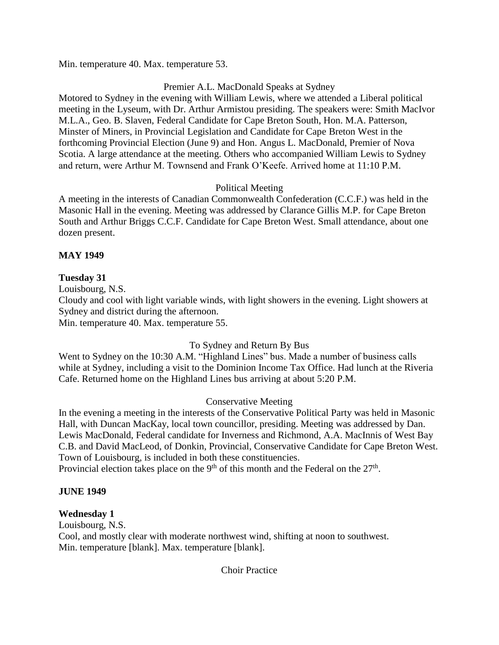Min. temperature 40. Max. temperature 53.

# Premier A.L. MacDonald Speaks at Sydney

Motored to Sydney in the evening with William Lewis, where we attended a Liberal political meeting in the Lyseum, with Dr. Arthur Armistou presiding. The speakers were: Smith MacIvor M.L.A., Geo. B. Slaven, Federal Candidate for Cape Breton South, Hon. M.A. Patterson, Minster of Miners, in Provincial Legislation and Candidate for Cape Breton West in the forthcoming Provincial Election (June 9) and Hon. Angus L. MacDonald, Premier of Nova Scotia. A large attendance at the meeting. Others who accompanied William Lewis to Sydney and return, were Arthur M. Townsend and Frank O'Keefe. Arrived home at 11:10 P.M.

# Political Meeting

A meeting in the interests of Canadian Commonwealth Confederation (C.C.F.) was held in the Masonic Hall in the evening. Meeting was addressed by Clarance Gillis M.P. for Cape Breton South and Arthur Briggs C.C.F. Candidate for Cape Breton West. Small attendance, about one dozen present.

# **MAY 1949**

# **Tuesday 31**

Louisbourg, N.S.

Cloudy and cool with light variable winds, with light showers in the evening. Light showers at Sydney and district during the afternoon.

Min. temperature 40. Max. temperature 55.

# To Sydney and Return By Bus

Went to Sydney on the 10:30 A.M. "Highland Lines" bus. Made a number of business calls while at Sydney, including a visit to the Dominion Income Tax Office. Had lunch at the Riveria Cafe. Returned home on the Highland Lines bus arriving at about 5:20 P.M.

# Conservative Meeting

In the evening a meeting in the interests of the Conservative Political Party was held in Masonic Hall, with Duncan MacKay, local town councillor, presiding. Meeting was addressed by Dan. Lewis MacDonald, Federal candidate for Inverness and Richmond, A.A. MacInnis of West Bay C.B. and David MacLeod, of Donkin, Provincial, Conservative Candidate for Cape Breton West. Town of Louisbourg, is included in both these constituencies.

Provincial election takes place on the  $9<sup>th</sup>$  of this month and the Federal on the  $27<sup>th</sup>$ .

# **JUNE 1949**

# **Wednesday 1**

Louisbourg, N.S.

Cool, and mostly clear with moderate northwest wind, shifting at noon to southwest. Min. temperature [blank]. Max. temperature [blank].

Choir Practice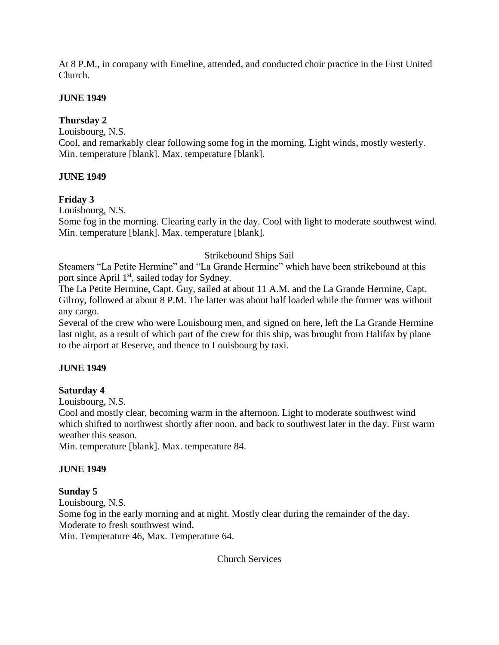At 8 P.M., in company with Emeline, attended, and conducted choir practice in the First United Church.

# **JUNE 1949**

# **Thursday 2**

Louisbourg, N.S.

Cool, and remarkably clear following some fog in the morning. Light winds, mostly westerly. Min. temperature [blank]. Max. temperature [blank].

# **JUNE 1949**

# **Friday 3**

Louisbourg, N.S.

Some fog in the morning. Clearing early in the day. Cool with light to moderate southwest wind. Min. temperature [blank]. Max. temperature [blank].

# Strikebound Ships Sail

Steamers "La Petite Hermine" and "La Grande Hermine" which have been strikebound at this port since April 1<sup>st</sup>, sailed today for Sydney.

The La Petite Hermine, Capt. Guy, sailed at about 11 A.M. and the La Grande Hermine, Capt. Gilroy, followed at about 8 P.M. The latter was about half loaded while the former was without any cargo.

Several of the crew who were Louisbourg men, and signed on here, left the La Grande Hermine last night, as a result of which part of the crew for this ship, was brought from Halifax by plane to the airport at Reserve, and thence to Louisbourg by taxi.

# **JUNE 1949**

# **Saturday 4**

Louisbourg, N.S.

Cool and mostly clear, becoming warm in the afternoon. Light to moderate southwest wind which shifted to northwest shortly after noon, and back to southwest later in the day. First warm weather this season.

Min. temperature [blank]. Max. temperature 84.

# **JUNE 1949**

# **Sunday 5**

Louisbourg, N.S. Some fog in the early morning and at night. Mostly clear during the remainder of the day. Moderate to fresh southwest wind. Min. Temperature 46, Max. Temperature 64.

Church Services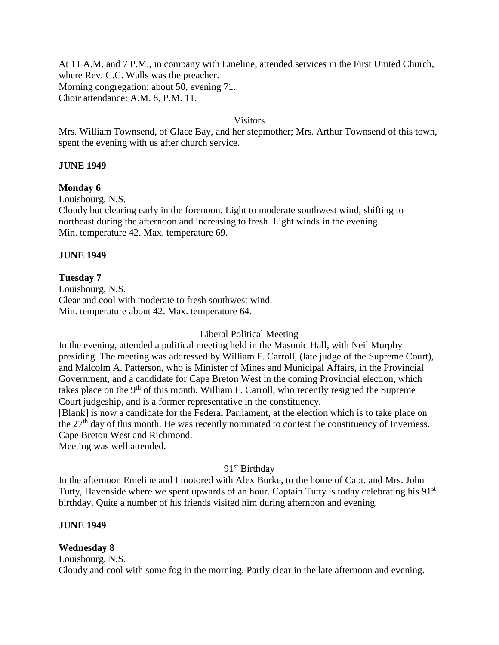At 11 A.M. and 7 P.M., in company with Emeline, attended services in the First United Church, where Rev. C.C. Walls was the preacher. Morning congregation: about 50, evening 71. Choir attendance: A.M. 8, P.M. 11.

#### **Visitors**

Mrs. William Townsend, of Glace Bay, and her stepmother; Mrs. Arthur Townsend of this town, spent the evening with us after church service.

#### **JUNE 1949**

#### **Monday 6**

Louisbourg, N.S.

Cloudy but clearing early in the forenoon. Light to moderate southwest wind, shifting to northeast during the afternoon and increasing to fresh. Light winds in the evening. Min. temperature 42. Max. temperature 69.

#### **JUNE 1949**

#### **Tuesday 7**

Louisbourg, N.S. Clear and cool with moderate to fresh southwest wind. Min. temperature about 42. Max. temperature 64.

#### Liberal Political Meeting

In the evening, attended a political meeting held in the Masonic Hall, with Neil Murphy presiding. The meeting was addressed by William F. Carroll, (late judge of the Supreme Court), and Malcolm A. Patterson, who is Minister of Mines and Municipal Affairs, in the Provincial Government, and a candidate for Cape Breton West in the coming Provincial election, which takes place on the  $9<sup>th</sup>$  of this month. William F. Carroll, who recently resigned the Supreme Court judgeship, and is a former representative in the constituency.

[Blank] is now a candidate for the Federal Parliament, at the election which is to take place on the 27<sup>th</sup> day of this month. He was recently nominated to contest the constituency of Inverness. Cape Breton West and Richmond.

Meeting was well attended.

### 91<sup>st</sup> Birthday

In the afternoon Emeline and I motored with Alex Burke, to the home of Capt. and Mrs. John Tutty, Havenside where we spent upwards of an hour. Captain Tutty is today celebrating his 91<sup>st</sup> birthday. Quite a number of his friends visited him during afternoon and evening.

### **JUNE 1949**

### **Wednesday 8**

Louisbourg, N.S. Cloudy and cool with some fog in the morning. Partly clear in the late afternoon and evening.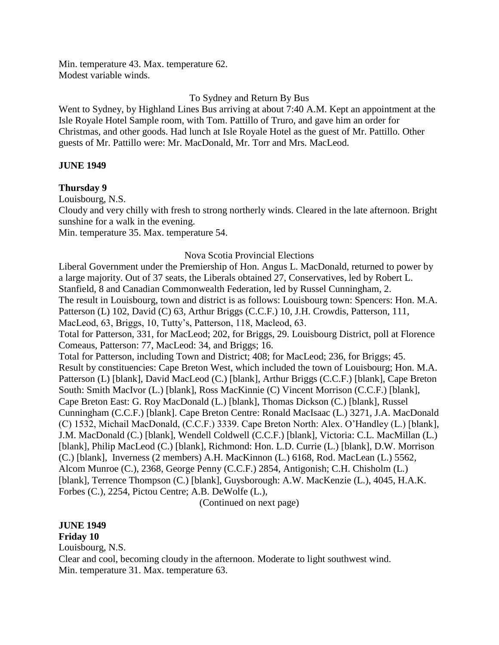Min. temperature 43. Max. temperature 62. Modest variable winds.

### To Sydney and Return By Bus

Went to Sydney, by Highland Lines Bus arriving at about 7:40 A.M. Kept an appointment at the Isle Royale Hotel Sample room, with Tom. Pattillo of Truro, and gave him an order for Christmas, and other goods. Had lunch at Isle Royale Hotel as the guest of Mr. Pattillo. Other guests of Mr. Pattillo were: Mr. MacDonald, Mr. Torr and Mrs. MacLeod.

#### **JUNE 1949**

### **Thursday 9**

Louisbourg, N.S.

Cloudy and very chilly with fresh to strong northerly winds. Cleared in the late afternoon. Bright sunshine for a walk in the evening.

Min. temperature 35. Max. temperature 54.

#### Nova Scotia Provincial Elections

Liberal Government under the Premiership of Hon. Angus L. MacDonald, returned to power by a large majority. Out of 37 seats, the Liberals obtained 27, Conservatives, led by Robert L. Stanfield, 8 and Canadian Commonwealth Federation, led by Russel Cunningham, 2. The result in Louisbourg, town and district is as follows: Louisbourg town: Spencers: Hon. M.A. Patterson (L) 102, David (C) 63, Arthur Briggs (C.C.F.) 10, J.H. Crowdis, Patterson, 111, MacLeod, 63, Briggs, 10, Tutty's, Patterson, 118, Macleod, 63. Total for Patterson, 331, for MacLeod; 202, for Briggs, 29. Louisbourg District, poll at Florence Comeaus, Patterson: 77, MacLeod: 34, and Briggs; 16. Total for Patterson, including Town and District; 408; for MacLeod; 236, for Briggs; 45. Result by constituencies: Cape Breton West, which included the town of Louisbourg; Hon. M.A. Patterson (L) [blank], David MacLeod (C.) [blank], Arthur Briggs (C.C.F.) [blank], Cape Breton South: Smith MacIvor (L.) [blank], Ross MacKinnie (C) Vincent Morrison (C.C.F.) [blank], Cape Breton East: G. Roy MacDonald (L.) [blank], Thomas Dickson (C.) [blank], Russel Cunningham (C.C.F.) [blank]. Cape Breton Centre: Ronald MacIsaac (L.) 3271, J.A. MacDonald (C) 1532, Michail MacDonald, (C.C.F.) 3339. Cape Breton North: Alex. O'Handley (L.) [blank], J.M. MacDonald (C.) [blank], Wendell Coldwell (C.C.F.) [blank], Victoria: C.L. MacMillan (L.) [blank], Philip MacLeod (C.) [blank], Richmond: Hon. L.D. Currie (L.) [blank], D.W. Morrison (C.) [blank], Inverness (2 members) A.H. MacKinnon (L.) 6168, Rod. MacLean (L.) 5562, Alcom Munroe (C.), 2368, George Penny (C.C.F.) 2854, Antigonish; C.H. Chisholm (L.) [blank], Terrence Thompson (C.) [blank], Guysborough: A.W. MacKenzie (L.), 4045, H.A.K. Forbes (C.), 2254, Pictou Centre; A.B. DeWolfe (L.),

(Continued on next page)

### **JUNE 1949**

**Friday 10**

Louisbourg, N.S.

Clear and cool, becoming cloudy in the afternoon. Moderate to light southwest wind. Min. temperature 31. Max. temperature 63.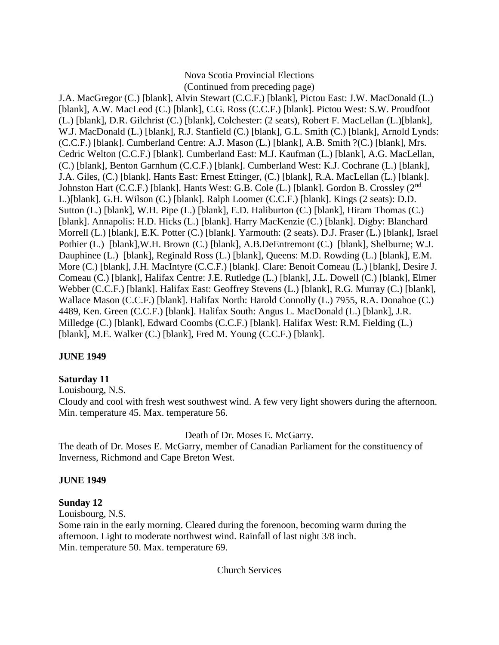#### Nova Scotia Provincial Elections (Continued from preceding page)

J.A. MacGregor (C.) [blank], Alvin Stewart (C.C.F.) [blank], Pictou East: J.W. MacDonald (L.) [blank], A.W. MacLeod (C.) [blank], C.G. Ross (C.C.F.) [blank]. Pictou West: S.W. Proudfoot (L.) [blank], D.R. Gilchrist (C.) [blank], Colchester: (2 seats), Robert F. MacLellan (L.)[blank], W.J. MacDonald (L.) [blank], R.J. Stanfield (C.) [blank], G.L. Smith (C.) [blank], Arnold Lynds: (C.C.F.) [blank]. Cumberland Centre: A.J. Mason (L.) [blank], A.B. Smith ?(C.) [blank], Mrs. Cedric Welton (C.C.F.) [blank]. Cumberland East: M.J. Kaufman (L.) [blank], A.G. MacLellan, (C.) [blank], Benton Garnhum (C.C.F.) [blank]. Cumberland West: K.J. Cochrane (L.) [blank], J.A. Giles, (C.) [blank]. Hants East: Ernest Ettinger, (C.) [blank], R.A. MacLellan (L.) [blank]. Johnston Hart (C.C.F.) [blank]. Hants West: G.B. Cole (L.) [blank]. Gordon B. Crossley (2<sup>nd</sup> L.)[blank]. G.H. Wilson (C.) [blank]. Ralph Loomer (C.C.F.) [blank]. Kings (2 seats): D.D. Sutton (L.) [blank], W.H. Pipe (L.) [blank], E.D. Haliburton (C.) [blank], Hiram Thomas (C.) [blank]. Annapolis: H.D. Hicks (L.) [blank]. Harry MacKenzie (C.) [blank]. Digby: Blanchard Morrell (L.) [blank], E.K. Potter (C.) [blank]. Yarmouth: (2 seats). D.J. Fraser (L.) [blank], Israel Pothier (L.) [blank],W.H. Brown (C.) [blank], A.B.DeEntremont (C.) [blank], Shelburne; W.J. Dauphinee (L.) [blank], Reginald Ross (L.) [blank], Queens: M.D. Rowding (L.) [blank], E.M. More (C.) [blank], J.H. MacIntyre (C.C.F.) [blank]. Clare: Benoit Comeau (L.) [blank], Desire J. Comeau (C.) [blank], Halifax Centre: J.E. Rutledge (L.) [blank], J.L. Dowell (C.) [blank], Elmer Webber (C.C.F.) [blank]. Halifax East: Geoffrey Stevens (L.) [blank], R.G. Murray (C.) [blank], Wallace Mason (C.C.F.) [blank]. Halifax North: Harold Connolly (L.) 7955, R.A. Donahoe (C.) 4489, Ken. Green (C.C.F.) [blank]. Halifax South: Angus L. MacDonald (L.) [blank], J.R. Milledge (C.) [blank], Edward Coombs (C.C.F.) [blank]. Halifax West: R.M. Fielding (L.) [blank], M.E. Walker (C.) [blank], Fred M. Young (C.C.F.) [blank].

# **JUNE 1949**

### **Saturday 11**

Louisbourg, N.S.

Cloudy and cool with fresh west southwest wind. A few very light showers during the afternoon. Min. temperature 45. Max. temperature 56.

# Death of Dr. Moses E. McGarry.

The death of Dr. Moses E. McGarry, member of Canadian Parliament for the constituency of Inverness, Richmond and Cape Breton West.

### **JUNE 1949**

# **Sunday 12**

Louisbourg, N.S.

Some rain in the early morning. Cleared during the forenoon, becoming warm during the afternoon. Light to moderate northwest wind. Rainfall of last night 3/8 inch. Min. temperature 50. Max. temperature 69.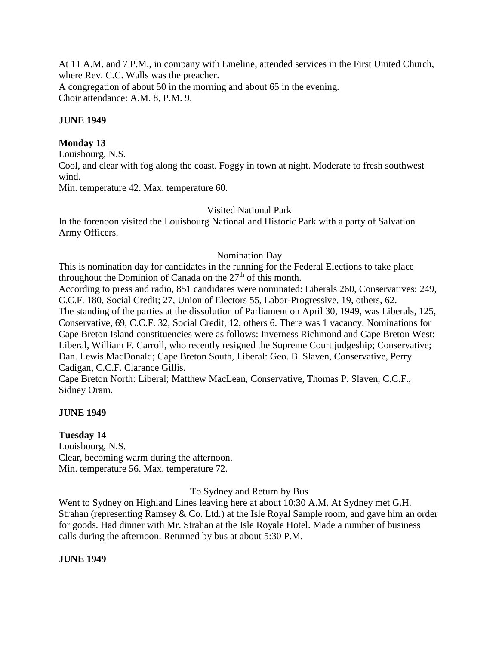At 11 A.M. and 7 P.M., in company with Emeline, attended services in the First United Church, where Rev. C.C. Walls was the preacher. A congregation of about 50 in the morning and about 65 in the evening. Choir attendance: A.M. 8, P.M. 9.

### **JUNE 1949**

### **Monday 13**

Louisbourg, N.S.

Cool, and clear with fog along the coast. Foggy in town at night. Moderate to fresh southwest wind.

Min. temperature 42. Max. temperature 60.

# Visited National Park

In the forenoon visited the Louisbourg National and Historic Park with a party of Salvation Army Officers.

### Nomination Day

This is nomination day for candidates in the running for the Federal Elections to take place throughout the Dominion of Canada on the  $27<sup>th</sup>$  of this month.

According to press and radio, 851 candidates were nominated: Liberals 260, Conservatives: 249, C.C.F. 180, Social Credit; 27, Union of Electors 55, Labor-Progressive, 19, others, 62. The standing of the parties at the dissolution of Parliament on April 30, 1949, was Liberals, 125, Conservative, 69, C.C.F. 32, Social Credit, 12, others 6. There was 1 vacancy. Nominations for Cape Breton Island constituencies were as follows: Inverness Richmond and Cape Breton West: Liberal, William F. Carroll, who recently resigned the Supreme Court judgeship; Conservative; Dan. Lewis MacDonald; Cape Breton South, Liberal: Geo. B. Slaven, Conservative, Perry Cadigan, C.C.F. Clarance Gillis.

Cape Breton North: Liberal; Matthew MacLean, Conservative, Thomas P. Slaven, C.C.F., Sidney Oram.

# **JUNE 1949**

### **Tuesday 14**

Louisbourg, N.S. Clear, becoming warm during the afternoon. Min. temperature 56. Max. temperature 72.

To Sydney and Return by Bus

Went to Sydney on Highland Lines leaving here at about 10:30 A.M. At Sydney met G.H. Strahan (representing Ramsey & Co. Ltd.) at the Isle Royal Sample room, and gave him an order for goods. Had dinner with Mr. Strahan at the Isle Royale Hotel. Made a number of business calls during the afternoon. Returned by bus at about 5:30 P.M.

### **JUNE 1949**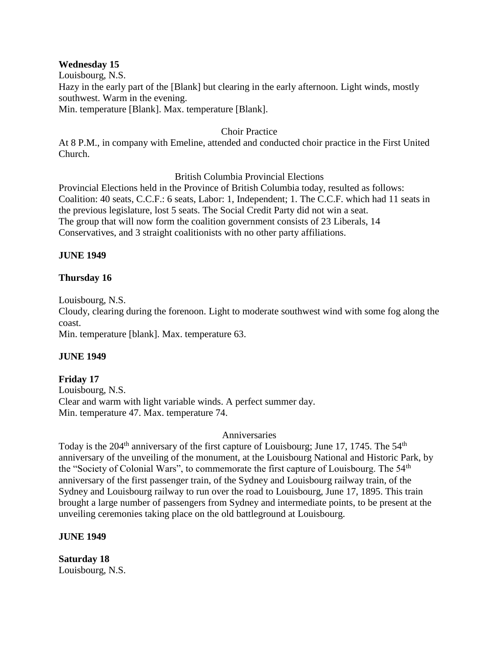### **Wednesday 15**

Louisbourg, N.S.

Hazy in the early part of the [Blank] but clearing in the early afternoon. Light winds, mostly southwest. Warm in the evening.

Min. temperature [Blank]. Max. temperature [Blank].

### Choir Practice

At 8 P.M., in company with Emeline, attended and conducted choir practice in the First United Church.

### British Columbia Provincial Elections

Provincial Elections held in the Province of British Columbia today, resulted as follows: Coalition: 40 seats, C.C.F.: 6 seats, Labor: 1, Independent; 1. The C.C.F. which had 11 seats in the previous legislature, lost 5 seats. The Social Credit Party did not win a seat. The group that will now form the coalition government consists of 23 Liberals, 14 Conservatives, and 3 straight coalitionists with no other party affiliations.

# **JUNE 1949**

# **Thursday 16**

Louisbourg, N.S.

Cloudy, clearing during the forenoon. Light to moderate southwest wind with some fog along the coast.

Min. temperature [blank]. Max. temperature 63.

# **JUNE 1949**

# **Friday 17**

Louisbourg, N.S. Clear and warm with light variable winds. A perfect summer day. Min. temperature 47. Max. temperature 74.

### Anniversaries

Today is the 204<sup>th</sup> anniversary of the first capture of Louisbourg; June 17, 1745. The 54<sup>th</sup> anniversary of the unveiling of the monument, at the Louisbourg National and Historic Park, by the "Society of Colonial Wars", to commemorate the first capture of Louisbourg. The 54<sup>th</sup> anniversary of the first passenger train, of the Sydney and Louisbourg railway train, of the Sydney and Louisbourg railway to run over the road to Louisbourg, June 17, 1895. This train brought a large number of passengers from Sydney and intermediate points, to be present at the unveiling ceremonies taking place on the old battleground at Louisbourg.

### **JUNE 1949**

**Saturday 18** Louisbourg, N.S.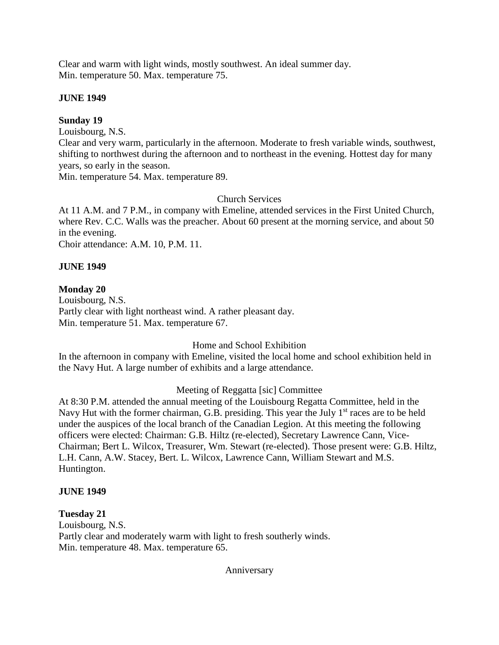Clear and warm with light winds, mostly southwest. An ideal summer day. Min. temperature 50. Max. temperature 75.

### **JUNE 1949**

### **Sunday 19**

Louisbourg, N.S.

Clear and very warm, particularly in the afternoon. Moderate to fresh variable winds, southwest, shifting to northwest during the afternoon and to northeast in the evening. Hottest day for many years, so early in the season.

Min. temperature 54. Max. temperature 89.

# Church Services

At 11 A.M. and 7 P.M., in company with Emeline, attended services in the First United Church, where Rev. C.C. Walls was the preacher. About 60 present at the morning service, and about 50 in the evening.

Choir attendance: A.M. 10, P.M. 11.

# **JUNE 1949**

# **Monday 20**

Louisbourg, N.S. Partly clear with light northeast wind. A rather pleasant day. Min. temperature 51. Max. temperature 67.

# Home and School Exhibition

In the afternoon in company with Emeline, visited the local home and school exhibition held in the Navy Hut. A large number of exhibits and a large attendance.

# Meeting of Reggatta [sic] Committee

At 8:30 P.M. attended the annual meeting of the Louisbourg Regatta Committee, held in the Navy Hut with the former chairman, G.B. presiding. This year the July  $1<sup>st</sup>$  races are to be held under the auspices of the local branch of the Canadian Legion. At this meeting the following officers were elected: Chairman: G.B. Hiltz (re-elected), Secretary Lawrence Cann, Vice-Chairman; Bert L. Wilcox, Treasurer, Wm. Stewart (re-elected). Those present were: G.B. Hiltz, L.H. Cann, A.W. Stacey, Bert. L. Wilcox, Lawrence Cann, William Stewart and M.S. Huntington.

### **JUNE 1949**

### **Tuesday 21**

Louisbourg, N.S. Partly clear and moderately warm with light to fresh southerly winds. Min. temperature 48. Max. temperature 65.

Anniversary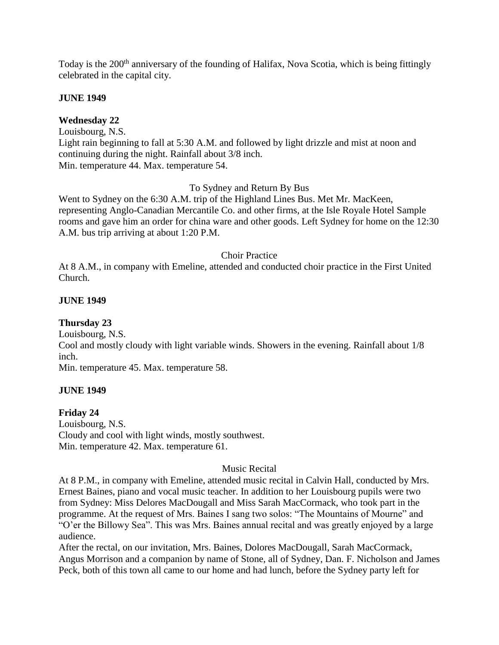Today is the 200<sup>th</sup> anniversary of the founding of Halifax, Nova Scotia, which is being fittingly celebrated in the capital city.

#### **JUNE 1949**

# **Wednesday 22**

Louisbourg, N.S.

Light rain beginning to fall at 5:30 A.M. and followed by light drizzle and mist at noon and continuing during the night. Rainfall about 3/8 inch. Min. temperature 44. Max. temperature 54.

To Sydney and Return By Bus

Went to Sydney on the 6:30 A.M. trip of the Highland Lines Bus. Met Mr. MacKeen, representing Anglo-Canadian Mercantile Co. and other firms, at the Isle Royale Hotel Sample rooms and gave him an order for china ware and other goods. Left Sydney for home on the 12:30 A.M. bus trip arriving at about 1:20 P.M.

#### Choir Practice

At 8 A.M., in company with Emeline, attended and conducted choir practice in the First United Church.

#### **JUNE 1949**

**Thursday 23**

Louisbourg, N.S. Cool and mostly cloudy with light variable winds. Showers in the evening. Rainfall about 1/8 inch.

Min. temperature 45. Max. temperature 58.

### **JUNE 1949**

#### **Friday 24**

Louisbourg, N.S. Cloudy and cool with light winds, mostly southwest. Min. temperature 42. Max. temperature 61.

#### Music Recital

At 8 P.M., in company with Emeline, attended music recital in Calvin Hall, conducted by Mrs. Ernest Baines, piano and vocal music teacher. In addition to her Louisbourg pupils were two from Sydney: Miss Delores MacDougall and Miss Sarah MacCormack, who took part in the programme. At the request of Mrs. Baines I sang two solos: "The Mountains of Mourne" and "O'er the Billowy Sea". This was Mrs. Baines annual recital and was greatly enjoyed by a large audience.

After the rectal, on our invitation, Mrs. Baines, Dolores MacDougall, Sarah MacCormack, Angus Morrison and a companion by name of Stone, all of Sydney, Dan. F. Nicholson and James Peck, both of this town all came to our home and had lunch, before the Sydney party left for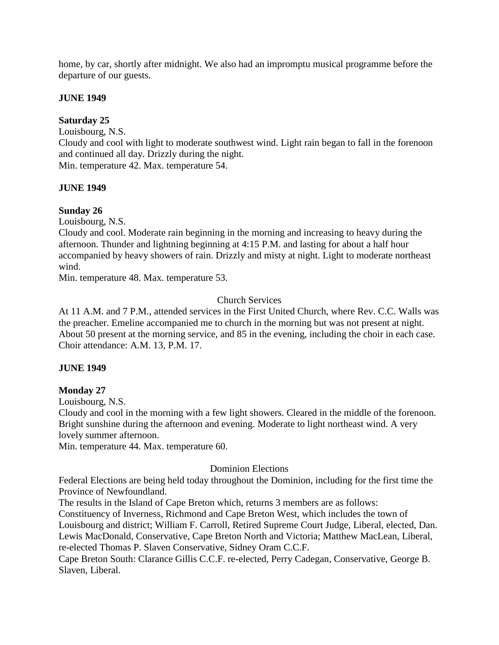home, by car, shortly after midnight. We also had an impromptu musical programme before the departure of our guests.

### **JUNE 1949**

### **Saturday 25**

Louisbourg, N.S.

Cloudy and cool with light to moderate southwest wind. Light rain began to fall in the forenoon and continued all day. Drizzly during the night.

Min. temperature 42. Max. temperature 54.

### **JUNE 1949**

# **Sunday 26**

Louisbourg, N.S.

Cloudy and cool. Moderate rain beginning in the morning and increasing to heavy during the afternoon. Thunder and lightning beginning at 4:15 P.M. and lasting for about a half hour accompanied by heavy showers of rain. Drizzly and misty at night. Light to moderate northeast wind.

Min. temperature 48. Max. temperature 53.

# Church Services

At 11 A.M. and 7 P.M., attended services in the First United Church, where Rev. C.C. Walls was the preacher. Emeline accompanied me to church in the morning but was not present at night. About 50 present at the morning service, and 85 in the evening, including the choir in each case. Choir attendance: A.M. 13, P.M. 17.

# **JUNE 1949**

# **Monday 27**

Louisbourg, N.S.

Cloudy and cool in the morning with a few light showers. Cleared in the middle of the forenoon. Bright sunshine during the afternoon and evening. Moderate to light northeast wind. A very lovely summer afternoon.

Min. temperature 44. Max. temperature 60.

### Dominion Elections

Federal Elections are being held today throughout the Dominion, including for the first time the Province of Newfoundland.

The results in the Island of Cape Breton which, returns 3 members are as follows:

Constituency of Inverness, Richmond and Cape Breton West, which includes the town of Louisbourg and district; William F. Carroll, Retired Supreme Court Judge, Liberal, elected, Dan. Lewis MacDonald, Conservative, Cape Breton North and Victoria; Matthew MacLean, Liberal, re-elected Thomas P. Slaven Conservative, Sidney Oram C.C.F.

Cape Breton South: Clarance Gillis C.C.F. re-elected, Perry Cadegan, Conservative, George B. Slaven, Liberal.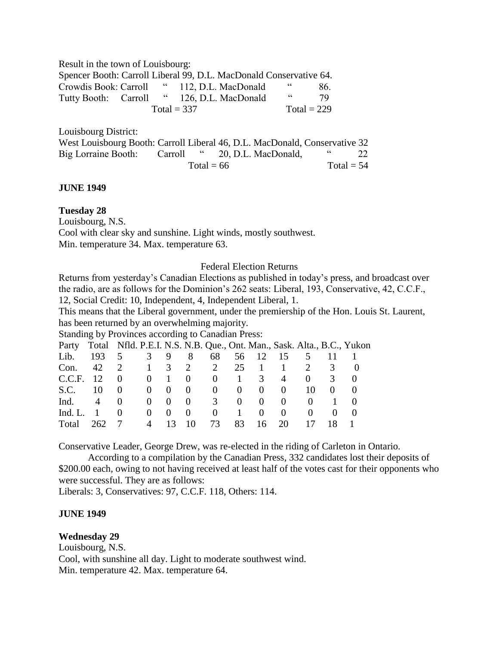Result in the town of Louisbourg:

Spencer Booth: Carroll Liberal 99, D.L. MacDonald Conservative 64. Crowdis Book: Carroll " 112, D.L. MacDonald " 86. Tutty Booth: Carroll " 126, D.L. MacDonald " 79  $Total = 337$   $Total = 229$ 

Louisbourg District:

| West Louisbourg Booth: Carroll Liberal 46, D.L. MacDonald, Conservative 32 |            |                               |  |    |
|----------------------------------------------------------------------------|------------|-------------------------------|--|----|
| Big Lorraine Booth:                                                        |            | Carroll " 20, D.L. MacDonald, |  | 22 |
|                                                                            | Total = 66 | Total $= 54$                  |  |    |

#### **JUNE 1949**

### **Tuesday 28**

Louisbourg, N.S.

Cool with clear sky and sunshine. Light winds, mostly southwest. Min. temperature 34. Max. temperature 63.

#### Federal Election Returns

Returns from yesterday's Canadian Elections as published in today's press, and broadcast over the radio, are as follows for the Dominion's 262 seats: Liberal, 193, Conservative, 42, C.C.F., 12, Social Credit: 10, Independent, 4, Independent Liberal, 1.

This means that the Liberal government, under the premiership of the Hon. Louis St. Laurent, has been returned by an overwhelming majority.

Standing by Provinces according to Canadian Press:

| Party Total Nfld. P.E.I. N.S. N.B. Que., Ont. Man., Sask. Alta., B.C., Yukon |                |                                |    |                     |                             |             |                                                             |                  |          |                  |  |
|------------------------------------------------------------------------------|----------------|--------------------------------|----|---------------------|-----------------------------|-------------|-------------------------------------------------------------|------------------|----------|------------------|--|
| Lib.                                                                         | 193            | $5^{\circ}$                    |    | $3 \quad 9 \quad 8$ | 68                          |             | 56 12 15                                                    |                  |          |                  |  |
| Con.                                                                         |                | 42 2 1 3 2 2                   |    |                     |                             |             | $25 \t1 \t1$                                                |                  | 2        | $\mathcal{R}$    |  |
| C.C.F. 12                                                                    |                | $0 \qquad 0 \qquad 1 \qquad 0$ |    |                     |                             |             | $0 \quad 1 \quad 3$                                         | $\overline{4}$   | $\Omega$ | $\mathbf{3}$     |  |
| S.C.                                                                         | -10            |                                |    |                     |                             |             | $\begin{matrix} 0 & 0 & 0 & 0 & 0 & 0 & 0 & 0 \end{matrix}$ |                  | 10       | $\left( \right)$ |  |
| $\text{Ind.} \qquad 4$                                                       |                | $\theta$                       |    |                     | $0 \quad 0 \quad 0 \quad 3$ |             | $0 \quad 0$                                                 | $\theta$         |          | $(1)$ 1          |  |
| Ind. $L_{\cdot}$                                                             | $\blacksquare$ | $\Omega$                       | () | $0 \quad 0$         |                             | $0 \quad 1$ | $\overline{0}$                                              | $\left( \right)$ |          | (1)              |  |
| Total                                                                        | 262 7          |                                |    | $4 \t13 \t10$       | 73                          | 83          |                                                             | 16 20            |          | 18               |  |

Conservative Leader, George Drew, was re-elected in the riding of Carleton in Ontario.

According to a compilation by the Canadian Press, 332 candidates lost their deposits of \$200.00 each, owing to not having received at least half of the votes cast for their opponents who were successful. They are as follows:

Liberals: 3, Conservatives: 97, C.C.F. 118, Others: 114.

### **JUNE 1949**

**Wednesday 29**

Louisbourg, N.S. Cool, with sunshine all day. Light to moderate southwest wind. Min. temperature 42. Max. temperature 64.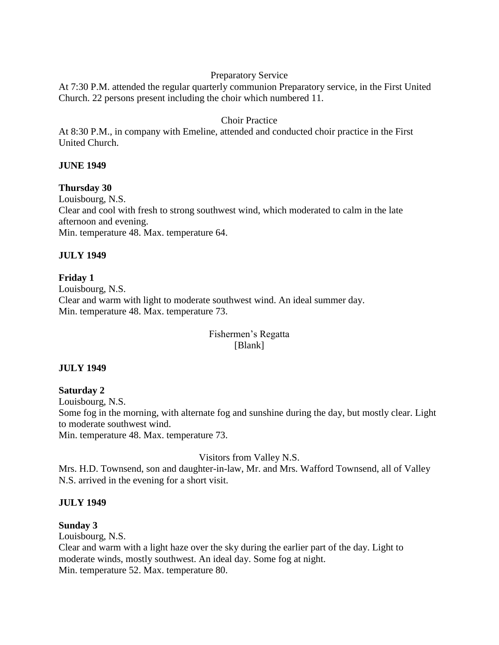### Preparatory Service

At 7:30 P.M. attended the regular quarterly communion Preparatory service, in the First United Church. 22 persons present including the choir which numbered 11.

### Choir Practice

At 8:30 P.M., in company with Emeline, attended and conducted choir practice in the First United Church.

### **JUNE 1949**

**Thursday 30** Louisbourg, N.S. Clear and cool with fresh to strong southwest wind, which moderated to calm in the late afternoon and evening. Min. temperature 48. Max. temperature 64.

### **JULY 1949**

### **Friday 1**

Louisbourg, N.S. Clear and warm with light to moderate southwest wind. An ideal summer day. Min. temperature 48. Max. temperature 73.

# Fishermen's Regatta [Blank]

### **JULY 1949**

**Saturday 2** Louisbourg, N.S. Some fog in the morning, with alternate fog and sunshine during the day, but mostly clear. Light to moderate southwest wind.

Min. temperature 48. Max. temperature 73.

Visitors from Valley N.S.

Mrs. H.D. Townsend, son and daughter-in-law, Mr. and Mrs. Wafford Townsend, all of Valley N.S. arrived in the evening for a short visit.

### **JULY 1949**

#### **Sunday 3**

Louisbourg, N.S.

Clear and warm with a light haze over the sky during the earlier part of the day. Light to moderate winds, mostly southwest. An ideal day. Some fog at night. Min. temperature 52. Max. temperature 80.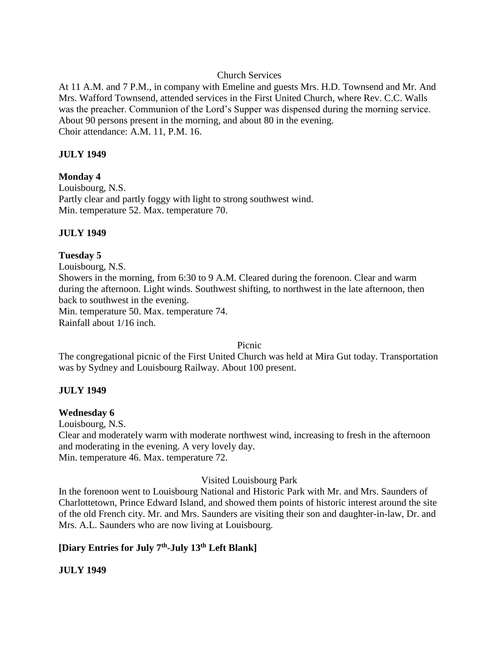### Church Services

At 11 A.M. and 7 P.M., in company with Emeline and guests Mrs. H.D. Townsend and Mr. And Mrs. Wafford Townsend, attended services in the First United Church, where Rev. C.C. Walls was the preacher. Communion of the Lord's Supper was dispensed during the morning service. About 90 persons present in the morning, and about 80 in the evening. Choir attendance: A.M. 11, P.M. 16.

### **JULY 1949**

### **Monday 4**

Louisbourg, N.S. Partly clear and partly foggy with light to strong southwest wind. Min. temperature 52. Max. temperature 70.

### **JULY 1949**

### **Tuesday 5**

Louisbourg, N.S. Showers in the morning, from 6:30 to 9 A.M. Cleared during the forenoon. Clear and warm during the afternoon. Light winds. Southwest shifting, to northwest in the late afternoon, then back to southwest in the evening. Min. temperature 50. Max. temperature 74. Rainfall about 1/16 inch.

Picnic

The congregational picnic of the First United Church was held at Mira Gut today. Transportation was by Sydney and Louisbourg Railway. About 100 present.

### **JULY 1949**

### **Wednesday 6**

Louisbourg, N.S.

Clear and moderately warm with moderate northwest wind, increasing to fresh in the afternoon and moderating in the evening. A very lovely day. Min. temperature 46. Max. temperature 72.

### Visited Louisbourg Park

In the forenoon went to Louisbourg National and Historic Park with Mr. and Mrs. Saunders of Charlottetown, Prince Edward Island, and showed them points of historic interest around the site of the old French city. Mr. and Mrs. Saunders are visiting their son and daughter-in-law, Dr. and Mrs. A.L. Saunders who are now living at Louisbourg.

# **[Diary Entries for July 7th -July 13th Left Blank]**

# **JULY 1949**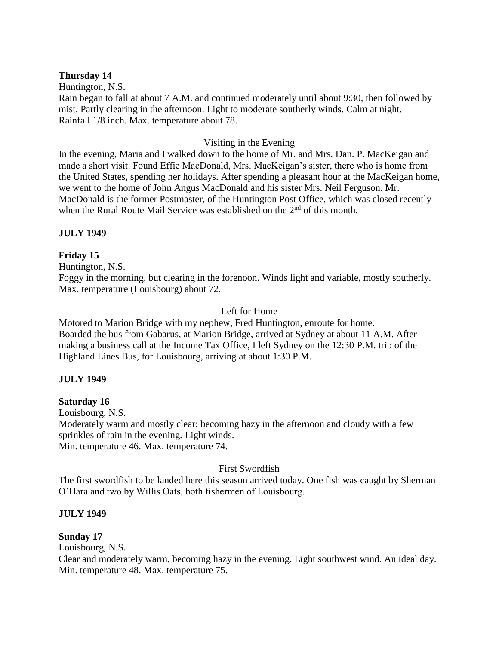### **Thursday 14**

Huntington, N.S.

Rain began to fall at about 7 A.M. and continued moderately until about 9:30, then followed by mist. Partly clearing in the afternoon. Light to moderate southerly winds. Calm at night. Rainfall 1/8 inch. Max. temperature about 78.

### Visiting in the Evening

In the evening, Maria and I walked down to the home of Mr. and Mrs. Dan. P. MacKeigan and made a short visit. Found Effie MacDonald, Mrs. MacKeigan's sister, there who is home from the United States, spending her holidays. After spending a pleasant hour at the MacKeigan home, we went to the home of John Angus MacDonald and his sister Mrs. Neil Ferguson. Mr. MacDonald is the former Postmaster, of the Huntington Post Office, which was closed recently when the Rural Route Mail Service was established on the 2<sup>nd</sup> of this month.

### **JULY 1949**

# **Friday 15**

Huntington, N.S.

Foggy in the morning, but clearing in the forenoon. Winds light and variable, mostly southerly. Max. temperature (Louisbourg) about 72.

### Left for Home

Motored to Marion Bridge with my nephew, Fred Huntington, enroute for home. Boarded the bus from Gabarus, at Marion Bridge, arrived at Sydney at about 11 A.M. After making a business call at the Income Tax Office, I left Sydney on the 12:30 P.M. trip of the Highland Lines Bus, for Louisbourg, arriving at about 1:30 P.M.

### **JULY 1949**

**Saturday 16**

Louisbourg, N.S. Moderately warm and mostly clear; becoming hazy in the afternoon and cloudy with a few sprinkles of rain in the evening. Light winds.

Min. temperature 46. Max. temperature 74.

First Swordfish

The first swordfish to be landed here this season arrived today. One fish was caught by Sherman O'Hara and two by Willis Oats, both fishermen of Louisbourg.

### **JULY 1949**

**Sunday 17**

Louisbourg, N.S.

Clear and moderately warm, becoming hazy in the evening. Light southwest wind. An ideal day. Min. temperature 48. Max. temperature 75.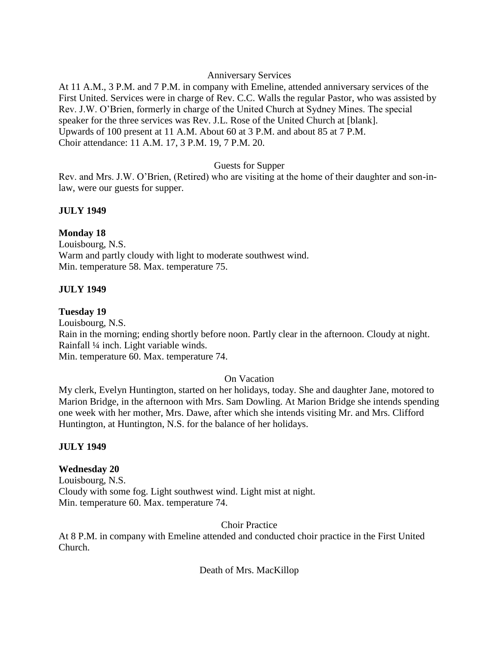### Anniversary Services

At 11 A.M., 3 P.M. and 7 P.M. in company with Emeline, attended anniversary services of the First United. Services were in charge of Rev. C.C. Walls the regular Pastor, who was assisted by Rev. J.W. O'Brien, formerly in charge of the United Church at Sydney Mines. The special speaker for the three services was Rev. J.L. Rose of the United Church at [blank]. Upwards of 100 present at 11 A.M. About 60 at 3 P.M. and about 85 at 7 P.M. Choir attendance: 11 A.M. 17, 3 P.M. 19, 7 P.M. 20.

### Guests for Supper

Rev. and Mrs. J.W. O'Brien, (Retired) who are visiting at the home of their daughter and son-inlaw, were our guests for supper.

# **JULY 1949**

# **Monday 18**

Louisbourg, N.S. Warm and partly cloudy with light to moderate southwest wind. Min. temperature 58. Max. temperature 75.

# **JULY 1949**

### **Tuesday 19**

Louisbourg, N.S. Rain in the morning; ending shortly before noon. Partly clear in the afternoon. Cloudy at night. Rainfall ¼ inch. Light variable winds. Min. temperature 60. Max. temperature 74.

# On Vacation

My clerk, Evelyn Huntington, started on her holidays, today. She and daughter Jane, motored to Marion Bridge, in the afternoon with Mrs. Sam Dowling. At Marion Bridge she intends spending one week with her mother, Mrs. Dawe, after which she intends visiting Mr. and Mrs. Clifford Huntington, at Huntington, N.S. for the balance of her holidays.

# **JULY 1949**

# **Wednesday 20**

Louisbourg, N.S. Cloudy with some fog. Light southwest wind. Light mist at night. Min. temperature 60. Max. temperature 74.

Choir Practice

At 8 P.M. in company with Emeline attended and conducted choir practice in the First United Church.

# Death of Mrs. MacKillop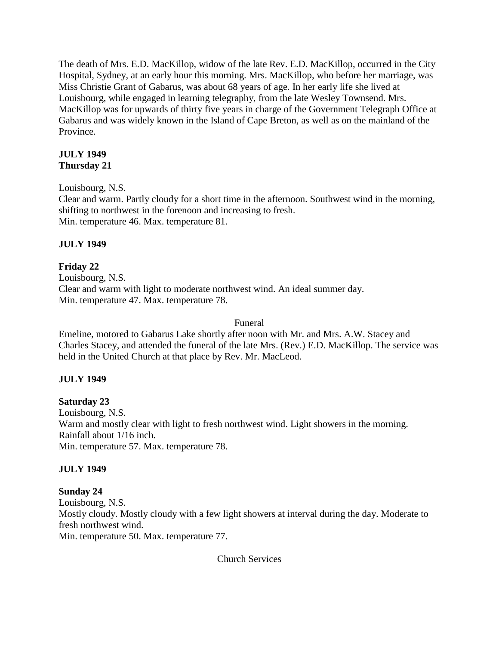The death of Mrs. E.D. MacKillop, widow of the late Rev. E.D. MacKillop, occurred in the City Hospital, Sydney, at an early hour this morning. Mrs. MacKillop, who before her marriage, was Miss Christie Grant of Gabarus, was about 68 years of age. In her early life she lived at Louisbourg, while engaged in learning telegraphy, from the late Wesley Townsend. Mrs. MacKillop was for upwards of thirty five years in charge of the Government Telegraph Office at Gabarus and was widely known in the Island of Cape Breton, as well as on the mainland of the Province.

### **JULY 1949 Thursday 21**

Louisbourg, N.S.

Clear and warm. Partly cloudy for a short time in the afternoon. Southwest wind in the morning, shifting to northwest in the forenoon and increasing to fresh. Min. temperature 46. Max. temperature 81.

# **JULY 1949**

**Friday 22** Louisbourg, N.S. Clear and warm with light to moderate northwest wind. An ideal summer day. Min. temperature 47. Max. temperature 78.

### Funeral

Emeline, motored to Gabarus Lake shortly after noon with Mr. and Mrs. A.W. Stacey and Charles Stacey, and attended the funeral of the late Mrs. (Rev.) E.D. MacKillop. The service was held in the United Church at that place by Rev. Mr. MacLeod.

# **JULY 1949**

**Saturday 23** Louisbourg, N.S. Warm and mostly clear with light to fresh northwest wind. Light showers in the morning. Rainfall about 1/16 inch. Min. temperature 57. Max. temperature 78.

# **JULY 1949**

# **Sunday 24**

Louisbourg, N.S. Mostly cloudy. Mostly cloudy with a few light showers at interval during the day. Moderate to fresh northwest wind. Min. temperature 50. Max. temperature 77.

Church Services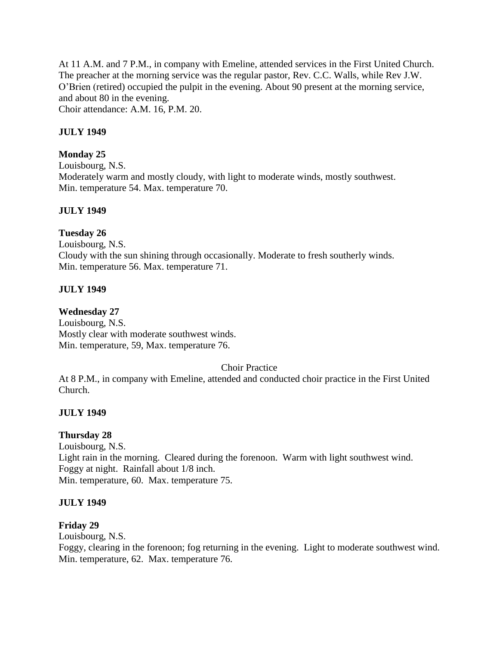At 11 A.M. and 7 P.M., in company with Emeline, attended services in the First United Church. The preacher at the morning service was the regular pastor, Rev. C.C. Walls, while Rev J.W. O'Brien (retired) occupied the pulpit in the evening. About 90 present at the morning service, and about 80 in the evening. Choir attendance: A.M. 16, P.M. 20.

### **JULY 1949**

### **Monday 25**

Louisbourg, N.S. Moderately warm and mostly cloudy, with light to moderate winds, mostly southwest. Min. temperature 54. Max. temperature 70.

### **JULY 1949**

### **Tuesday 26**

Louisbourg, N.S. Cloudy with the sun shining through occasionally. Moderate to fresh southerly winds. Min. temperature 56. Max. temperature 71.

### **JULY 1949**

### **Wednesday 27**

Louisbourg, N.S. Mostly clear with moderate southwest winds. Min. temperature, 59, Max. temperature 76.

### Choir Practice

At 8 P.M., in company with Emeline, attended and conducted choir practice in the First United Church.

### **JULY 1949**

### **Thursday 28**

Louisbourg, N.S. Light rain in the morning. Cleared during the forenoon. Warm with light southwest wind. Foggy at night. Rainfall about 1/8 inch. Min. temperature, 60. Max. temperature 75.

### **JULY 1949**

### **Friday 29**

Louisbourg, N.S.

Foggy, clearing in the forenoon; fog returning in the evening. Light to moderate southwest wind. Min. temperature, 62. Max. temperature 76.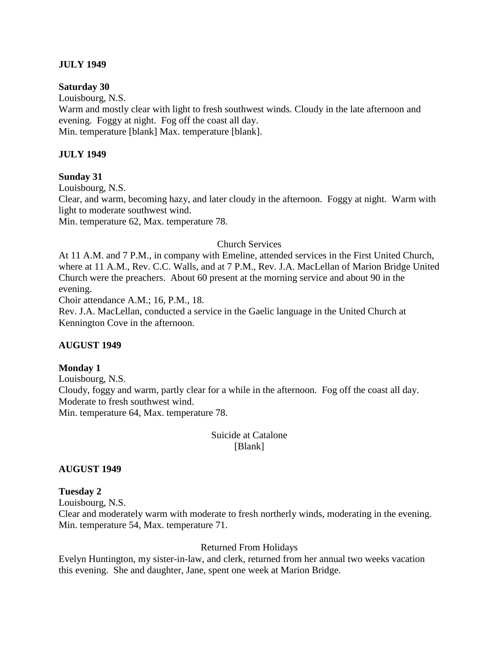### **JULY 1949**

#### **Saturday 30**

Louisbourg, N.S.

Warm and mostly clear with light to fresh southwest winds. Cloudy in the late afternoon and evening. Foggy at night. Fog off the coast all day.

Min. temperature [blank] Max. temperature [blank].

### **JULY 1949**

#### **Sunday 31**

Louisbourg, N.S. Clear, and warm, becoming hazy, and later cloudy in the afternoon. Foggy at night. Warm with light to moderate southwest wind.

Min. temperature 62, Max. temperature 78.

### Church Services

At 11 A.M. and 7 P.M., in company with Emeline, attended services in the First United Church, where at 11 A.M., Rev. C.C. Walls, and at 7 P.M., Rev. J.A. MacLellan of Marion Bridge United Church were the preachers. About 60 present at the morning service and about 90 in the evening.

Choir attendance A.M.; 16, P.M., 18.

Rev. J.A. MacLellan, conducted a service in the Gaelic language in the United Church at Kennington Cove in the afternoon.

### **AUGUST 1949**

#### **Monday 1**

Louisbourg, N.S. Cloudy, foggy and warm, partly clear for a while in the afternoon. Fog off the coast all day. Moderate to fresh southwest wind. Min. temperature 64, Max. temperature 78.

> Suicide at Catalone [Blank]

### **AUGUST 1949**

#### **Tuesday 2**

Louisbourg, N.S.

Clear and moderately warm with moderate to fresh northerly winds, moderating in the evening. Min. temperature 54, Max. temperature 71.

### Returned From Holidays

Evelyn Huntington, my sister-in-law, and clerk, returned from her annual two weeks vacation this evening. She and daughter, Jane, spent one week at Marion Bridge.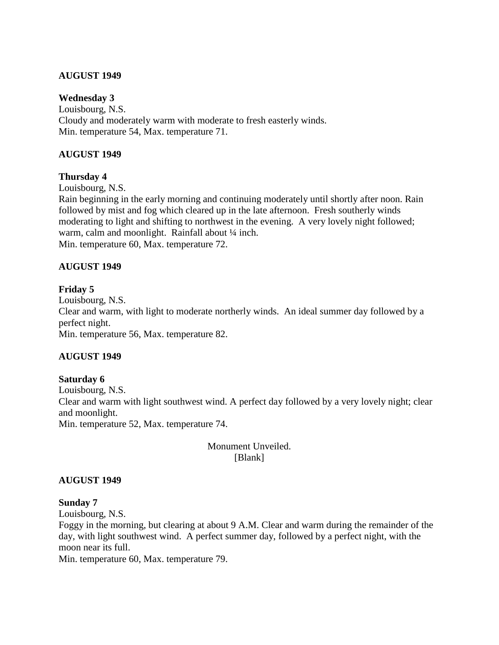### **AUGUST 1949**

### **Wednesday 3**

Louisbourg, N.S. Cloudy and moderately warm with moderate to fresh easterly winds. Min. temperature 54, Max. temperature 71.

### **AUGUST 1949**

### **Thursday 4**

Louisbourg, N.S.

Rain beginning in the early morning and continuing moderately until shortly after noon. Rain followed by mist and fog which cleared up in the late afternoon. Fresh southerly winds moderating to light and shifting to northwest in the evening. A very lovely night followed; warm, calm and moonlight. Rainfall about 1/4 inch. Min. temperature 60, Max. temperature 72.

### **AUGUST 1949**

### **Friday 5**

Louisbourg, N.S. Clear and warm, with light to moderate northerly winds. An ideal summer day followed by a perfect night. Min. temperature 56, Max. temperature 82.

### **AUGUST 1949**

### **Saturday 6**

Louisbourg, N.S. Clear and warm with light southwest wind. A perfect day followed by a very lovely night; clear and moonlight. Min. temperature 52, Max. temperature 74.

> Monument Unveiled. [Blank]

### **AUGUST 1949**

### **Sunday 7**

Louisbourg, N.S.

Foggy in the morning, but clearing at about 9 A.M. Clear and warm during the remainder of the day, with light southwest wind. A perfect summer day, followed by a perfect night, with the moon near its full.

Min. temperature 60, Max. temperature 79.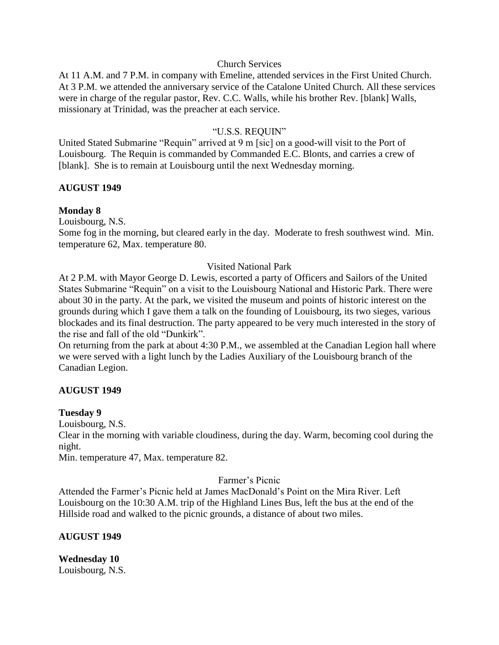#### Church Services

At 11 A.M. and 7 P.M. in company with Emeline, attended services in the First United Church. At 3 P.M. we attended the anniversary service of the Catalone United Church. All these services were in charge of the regular pastor, Rev. C.C. Walls, while his brother Rev. [blank] Walls, missionary at Trinidad, was the preacher at each service.

### "U.S.S. REQUIN"

United Stated Submarine "Requin" arrived at 9 m [sic] on a good-will visit to the Port of Louisbourg. The Requin is commanded by Commanded E.C. Blonts, and carries a crew of [blank]. She is to remain at Louisbourg until the next Wednesday morning.

### **AUGUST 1949**

### **Monday 8**

Louisbourg, N.S.

Some fog in the morning, but cleared early in the day. Moderate to fresh southwest wind. Min. temperature 62, Max. temperature 80.

#### Visited National Park

At 2 P.M. with Mayor George D. Lewis, escorted a party of Officers and Sailors of the United States Submarine "Requin" on a visit to the Louisbourg National and Historic Park. There were about 30 in the party. At the park, we visited the museum and points of historic interest on the grounds during which I gave them a talk on the founding of Louisbourg, its two sieges, various blockades and its final destruction. The party appeared to be very much interested in the story of the rise and fall of the old "Dunkirk".

On returning from the park at about 4:30 P.M., we assembled at the Canadian Legion hall where we were served with a light lunch by the Ladies Auxiliary of the Louisbourg branch of the Canadian Legion.

### **AUGUST 1949**

#### **Tuesday 9**

Louisbourg, N.S.

Clear in the morning with variable cloudiness, during the day. Warm, becoming cool during the night.

Min. temperature 47, Max. temperature 82.

### Farmer's Picnic

Attended the Farmer's Picnic held at James MacDonald's Point on the Mira River. Left Louisbourg on the 10:30 A.M. trip of the Highland Lines Bus, left the bus at the end of the Hillside road and walked to the picnic grounds, a distance of about two miles.

#### **AUGUST 1949**

**Wednesday 10** Louisbourg, N.S.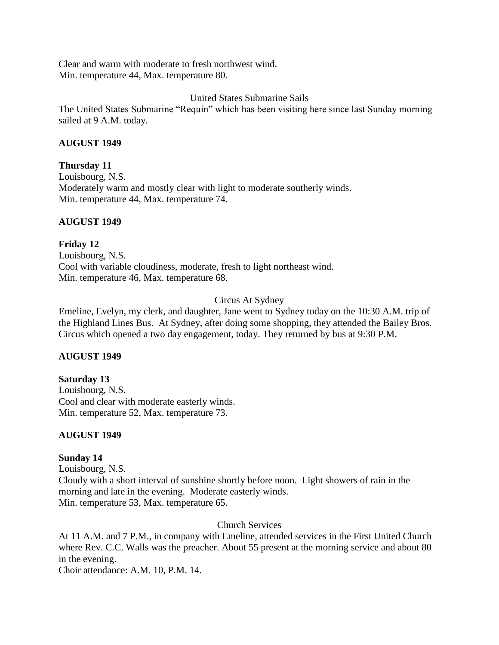Clear and warm with moderate to fresh northwest wind. Min. temperature 44, Max. temperature 80.

## United States Submarine Sails

The United States Submarine "Requin" which has been visiting here since last Sunday morning sailed at 9 A.M. today.

## **AUGUST 1949**

## **Thursday 11**

Louisbourg, N.S. Moderately warm and mostly clear with light to moderate southerly winds. Min. temperature 44, Max. temperature 74.

## **AUGUST 1949**

## **Friday 12** Louisbourg, N.S. Cool with variable cloudiness, moderate, fresh to light northeast wind. Min. temperature 46, Max. temperature 68.

# Circus At Sydney

Emeline, Evelyn, my clerk, and daughter, Jane went to Sydney today on the 10:30 A.M. trip of the Highland Lines Bus. At Sydney, after doing some shopping, they attended the Bailey Bros. Circus which opened a two day engagement, today. They returned by bus at 9:30 P.M.

# **AUGUST 1949**

# **Saturday 13**

Louisbourg, N.S. Cool and clear with moderate easterly winds. Min. temperature 52, Max. temperature 73.

# **AUGUST 1949**

# **Sunday 14**

Louisbourg, N.S. Cloudy with a short interval of sunshine shortly before noon. Light showers of rain in the morning and late in the evening. Moderate easterly winds. Min. temperature 53, Max. temperature 65.

## Church Services

At 11 A.M. and 7 P.M., in company with Emeline, attended services in the First United Church where Rev. C.C. Walls was the preacher. About 55 present at the morning service and about 80 in the evening.

Choir attendance: A.M. 10, P.M. 14.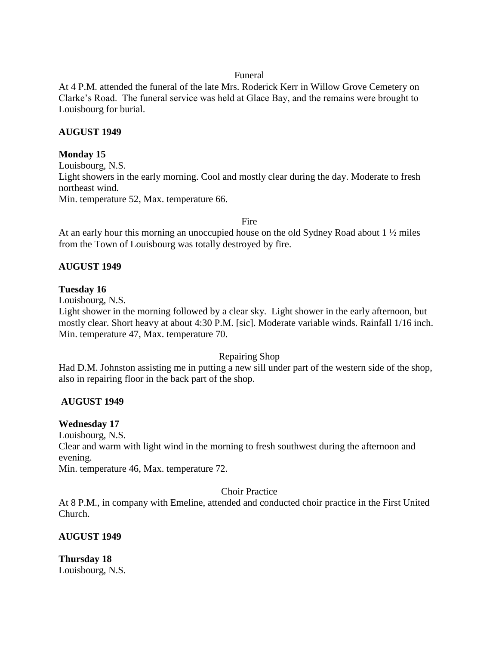#### Funeral

At 4 P.M. attended the funeral of the late Mrs. Roderick Kerr in Willow Grove Cemetery on Clarke's Road. The funeral service was held at Glace Bay, and the remains were brought to Louisbourg for burial.

## **AUGUST 1949**

## **Monday 15**

Louisbourg, N.S. Light showers in the early morning. Cool and mostly clear during the day. Moderate to fresh northeast wind. Min. temperature 52, Max. temperature 66.

Fire

At an early hour this morning an unoccupied house on the old Sydney Road about 1 ½ miles from the Town of Louisbourg was totally destroyed by fire.

## **AUGUST 1949**

## **Tuesday 16**

Louisbourg, N.S.

Light shower in the morning followed by a clear sky. Light shower in the early afternoon, but mostly clear. Short heavy at about 4:30 P.M. [sic]. Moderate variable winds. Rainfall 1/16 inch. Min. temperature 47, Max. temperature 70.

## Repairing Shop

Had D.M. Johnston assisting me in putting a new sill under part of the western side of the shop, also in repairing floor in the back part of the shop.

# **AUGUST 1949**

# **Wednesday 17**

Louisbourg, N.S.

Clear and warm with light wind in the morning to fresh southwest during the afternoon and evening.

Min. temperature 46, Max. temperature 72.

Choir Practice

At 8 P.M., in company with Emeline, attended and conducted choir practice in the First United Church.

## **AUGUST 1949**

**Thursday 18** Louisbourg, N.S.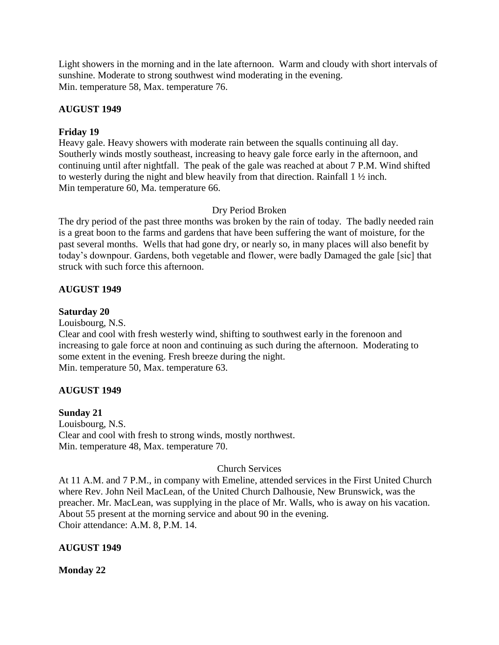Light showers in the morning and in the late afternoon. Warm and cloudy with short intervals of sunshine. Moderate to strong southwest wind moderating in the evening. Min. temperature 58, Max. temperature 76.

## **AUGUST 1949**

## **Friday 19**

Heavy gale. Heavy showers with moderate rain between the squalls continuing all day. Southerly winds mostly southeast, increasing to heavy gale force early in the afternoon, and continuing until after nightfall. The peak of the gale was reached at about 7 P.M. Wind shifted to westerly during the night and blew heavily from that direction. Rainfall 1 ½ inch. Min temperature 60, Ma. temperature 66.

## Dry Period Broken

The dry period of the past three months was broken by the rain of today. The badly needed rain is a great boon to the farms and gardens that have been suffering the want of moisture, for the past several months. Wells that had gone dry, or nearly so, in many places will also benefit by today's downpour. Gardens, both vegetable and flower, were badly Damaged the gale [sic] that struck with such force this afternoon.

## **AUGUST 1949**

## **Saturday 20**

Louisbourg, N.S.

Clear and cool with fresh westerly wind, shifting to southwest early in the forenoon and increasing to gale force at noon and continuing as such during the afternoon. Moderating to some extent in the evening. Fresh breeze during the night. Min. temperature 50, Max. temperature 63.

## **AUGUST 1949**

## **Sunday 21**

Louisbourg, N.S. Clear and cool with fresh to strong winds, mostly northwest. Min. temperature 48, Max. temperature 70.

## Church Services

At 11 A.M. and 7 P.M., in company with Emeline, attended services in the First United Church where Rev. John Neil MacLean, of the United Church Dalhousie, New Brunswick, was the preacher. Mr. MacLean, was supplying in the place of Mr. Walls, who is away on his vacation. About 55 present at the morning service and about 90 in the evening. Choir attendance: A.M. 8, P.M. 14.

## **AUGUST 1949**

**Monday 22**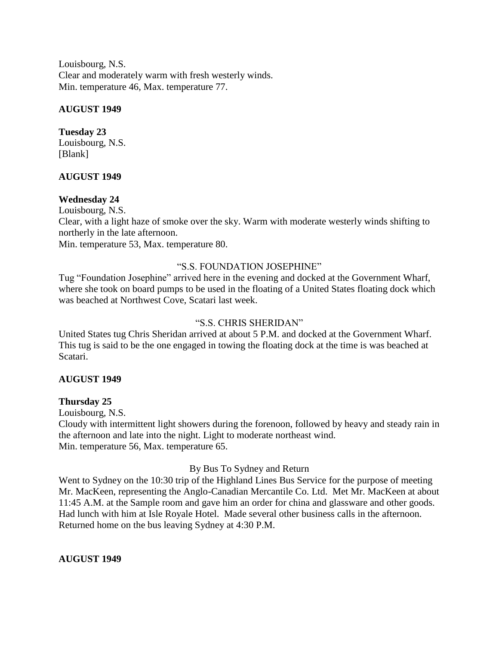Louisbourg, N.S. Clear and moderately warm with fresh westerly winds. Min. temperature 46, Max. temperature 77.

# **AUGUST 1949**

# **Tuesday 23**

Louisbourg, N.S. [Blank]

# **AUGUST 1949**

# **Wednesday 24**

Louisbourg, N.S.

Clear, with a light haze of smoke over the sky. Warm with moderate westerly winds shifting to northerly in the late afternoon.

Min. temperature 53, Max. temperature 80.

# "S.S. FOUNDATION JOSEPHINE"

Tug "Foundation Josephine" arrived here in the evening and docked at the Government Wharf, where she took on board pumps to be used in the floating of a United States floating dock which was beached at Northwest Cove, Scatari last week.

# "S.S. CHRIS SHERIDAN"

United States tug Chris Sheridan arrived at about 5 P.M. and docked at the Government Wharf. This tug is said to be the one engaged in towing the floating dock at the time is was beached at Scatari.

# **AUGUST 1949**

# **Thursday 25**

Louisbourg, N.S.

Cloudy with intermittent light showers during the forenoon, followed by heavy and steady rain in the afternoon and late into the night. Light to moderate northeast wind. Min. temperature 56, Max. temperature 65.

# By Bus To Sydney and Return

Went to Sydney on the 10:30 trip of the Highland Lines Bus Service for the purpose of meeting Mr. MacKeen, representing the Anglo-Canadian Mercantile Co. Ltd. Met Mr. MacKeen at about 11:45 A.M. at the Sample room and gave him an order for china and glassware and other goods. Had lunch with him at Isle Royale Hotel. Made several other business calls in the afternoon. Returned home on the bus leaving Sydney at 4:30 P.M.

# **AUGUST 1949**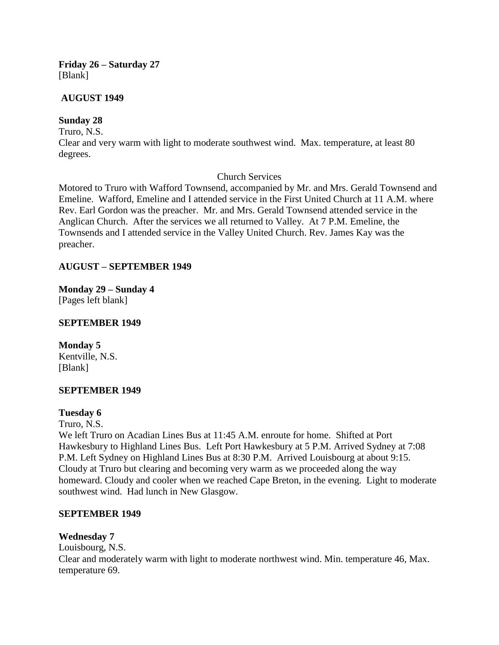## **Friday 26 – Saturday 27** [Blank]

## **AUGUST 1949**

# **Sunday 28**

Truro, N.S.

Clear and very warm with light to moderate southwest wind. Max. temperature, at least 80 degrees.

# Church Services

Motored to Truro with Wafford Townsend, accompanied by Mr. and Mrs. Gerald Townsend and Emeline. Wafford, Emeline and I attended service in the First United Church at 11 A.M. where Rev. Earl Gordon was the preacher. Mr. and Mrs. Gerald Townsend attended service in the Anglican Church. After the services we all returned to Valley. At 7 P.M. Emeline, the Townsends and I attended service in the Valley United Church. Rev. James Kay was the preacher.

# **AUGUST – SEPTEMBER 1949**

**Monday 29 – Sunday 4** [Pages left blank]

## **SEPTEMBER 1949**

**Monday 5** Kentville, N.S. [Blank]

# **SEPTEMBER 1949**

## **Tuesday 6**

Truro, N.S.

We left Truro on Acadian Lines Bus at 11:45 A.M. enroute for home. Shifted at Port Hawkesbury to Highland Lines Bus. Left Port Hawkesbury at 5 P.M. Arrived Sydney at 7:08 P.M. Left Sydney on Highland Lines Bus at 8:30 P.M. Arrived Louisbourg at about 9:15. Cloudy at Truro but clearing and becoming very warm as we proceeded along the way homeward. Cloudy and cooler when we reached Cape Breton, in the evening. Light to moderate southwest wind. Had lunch in New Glasgow.

## **SEPTEMBER 1949**

# **Wednesday 7**

Louisbourg, N.S. Clear and moderately warm with light to moderate northwest wind. Min. temperature 46, Max. temperature 69.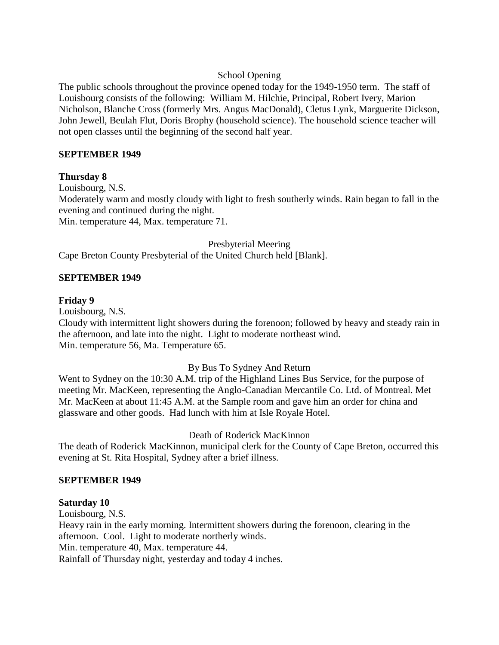## School Opening

The public schools throughout the province opened today for the 1949-1950 term. The staff of Louisbourg consists of the following: William M. Hilchie, Principal, Robert Ivery, Marion Nicholson, Blanche Cross (formerly Mrs. Angus MacDonald), Cletus Lynk, Marguerite Dickson, John Jewell, Beulah Flut, Doris Brophy (household science). The household science teacher will not open classes until the beginning of the second half year.

## **SEPTEMBER 1949**

## **Thursday 8**

Louisbourg, N.S. Moderately warm and mostly cloudy with light to fresh southerly winds. Rain began to fall in the evening and continued during the night. Min. temperature 44, Max. temperature 71.

#### Presbyterial Meering

Cape Breton County Presbyterial of the United Church held [Blank].

## **SEPTEMBER 1949**

## **Friday 9**

Louisbourg, N.S.

Cloudy with intermittent light showers during the forenoon; followed by heavy and steady rain in the afternoon, and late into the night. Light to moderate northeast wind. Min. temperature 56, Ma. Temperature 65.

## By Bus To Sydney And Return

Went to Sydney on the 10:30 A.M. trip of the Highland Lines Bus Service, for the purpose of meeting Mr. MacKeen, representing the Anglo-Canadian Mercantile Co. Ltd. of Montreal. Met Mr. MacKeen at about 11:45 A.M. at the Sample room and gave him an order for china and glassware and other goods. Had lunch with him at Isle Royale Hotel.

## Death of Roderick MacKinnon

The death of Roderick MacKinnon, municipal clerk for the County of Cape Breton, occurred this evening at St. Rita Hospital, Sydney after a brief illness.

## **SEPTEMBER 1949**

## **Saturday 10**

Louisbourg, N.S.

Heavy rain in the early morning. Intermittent showers during the forenoon, clearing in the afternoon. Cool. Light to moderate northerly winds. Min. temperature 40, Max. temperature 44.

Rainfall of Thursday night, yesterday and today 4 inches.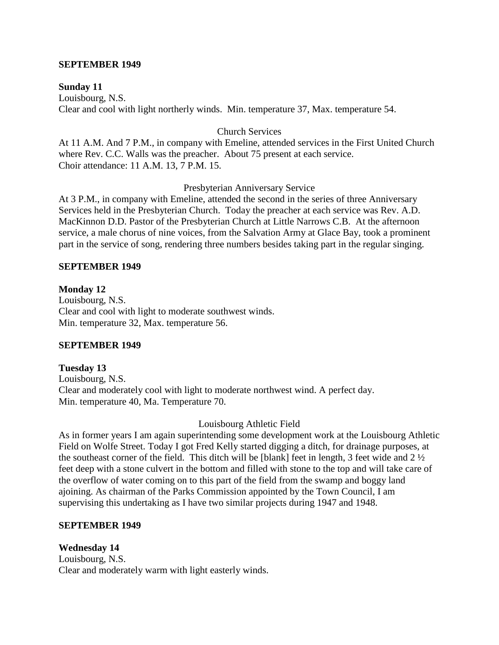#### **SEPTEMBER 1949**

#### **Sunday 11**

Louisbourg, N.S. Clear and cool with light northerly winds. Min. temperature 37, Max. temperature 54.

#### Church Services

At 11 A.M. And 7 P.M., in company with Emeline, attended services in the First United Church where Rev. C.C. Walls was the preacher. About 75 present at each service. Choir attendance: 11 A.M. 13, 7 P.M. 15.

#### Presbyterian Anniversary Service

At 3 P.M., in company with Emeline, attended the second in the series of three Anniversary Services held in the Presbyterian Church. Today the preacher at each service was Rev. A.D. MacKinnon D.D. Pastor of the Presbyterian Church at Little Narrows C.B. At the afternoon service, a male chorus of nine voices, from the Salvation Army at Glace Bay, took a prominent part in the service of song, rendering three numbers besides taking part in the regular singing.

#### **SEPTEMBER 1949**

#### **Monday 12**

Louisbourg, N.S. Clear and cool with light to moderate southwest winds. Min. temperature 32, Max. temperature 56.

#### **SEPTEMBER 1949**

## **Tuesday 13**

Louisbourg, N.S. Clear and moderately cool with light to moderate northwest wind. A perfect day. Min. temperature 40, Ma. Temperature 70.

#### Louisbourg Athletic Field

As in former years I am again superintending some development work at the Louisbourg Athletic Field on Wolfe Street. Today I got Fred Kelly started digging a ditch, for drainage purposes, at the southeast corner of the field. This ditch will be [blank] feet in length, 3 feet wide and 2 ½ feet deep with a stone culvert in the bottom and filled with stone to the top and will take care of the overflow of water coming on to this part of the field from the swamp and boggy land ajoining. As chairman of the Parks Commission appointed by the Town Council, I am supervising this undertaking as I have two similar projects during 1947 and 1948.

#### **SEPTEMBER 1949**

## **Wednesday 14**

Louisbourg, N.S. Clear and moderately warm with light easterly winds.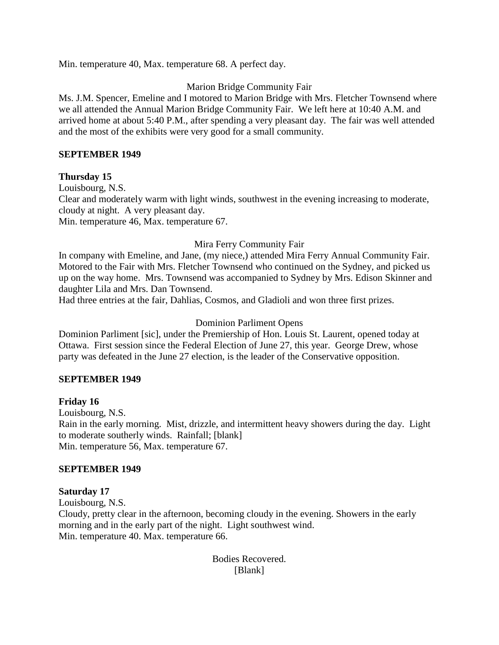Min. temperature 40, Max. temperature 68. A perfect day.

# Marion Bridge Community Fair

Ms. J.M. Spencer, Emeline and I motored to Marion Bridge with Mrs. Fletcher Townsend where we all attended the Annual Marion Bridge Community Fair. We left here at 10:40 A.M. and arrived home at about 5:40 P.M., after spending a very pleasant day. The fair was well attended and the most of the exhibits were very good for a small community.

## **SEPTEMBER 1949**

## **Thursday 15**

Louisbourg, N.S. Clear and moderately warm with light winds, southwest in the evening increasing to moderate, cloudy at night. A very pleasant day. Min. temperature 46, Max. temperature 67.

# Mira Ferry Community Fair

In company with Emeline, and Jane, (my niece,) attended Mira Ferry Annual Community Fair. Motored to the Fair with Mrs. Fletcher Townsend who continued on the Sydney, and picked us up on the way home. Mrs. Townsend was accompanied to Sydney by Mrs. Edison Skinner and daughter Lila and Mrs. Dan Townsend.

Had three entries at the fair, Dahlias, Cosmos, and Gladioli and won three first prizes.

# Dominion Parliment Opens

Dominion Parliment [sic], under the Premiership of Hon. Louis St. Laurent, opened today at Ottawa. First session since the Federal Election of June 27, this year. George Drew, whose party was defeated in the June 27 election, is the leader of the Conservative opposition.

# **SEPTEMBER 1949**

## **Friday 16**

Louisbourg, N.S. Rain in the early morning. Mist, drizzle, and intermittent heavy showers during the day. Light to moderate southerly winds. Rainfall; [blank] Min. temperature 56, Max. temperature 67.

## **SEPTEMBER 1949**

## **Saturday 17**

Louisbourg, N.S. Cloudy, pretty clear in the afternoon, becoming cloudy in the evening. Showers in the early morning and in the early part of the night. Light southwest wind. Min. temperature 40. Max. temperature 66.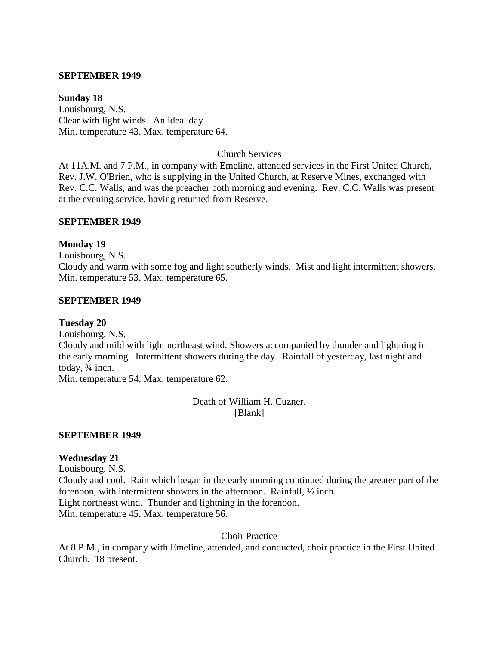#### **SEPTEMBER 1949**

#### **Sunday 18**

Louisbourg, N.S. Clear with light winds. An ideal day. Min. temperature 43. Max. temperature 64.

Church Services

At 11A.M. and 7 P.M., in company with Emeline, attended services in the First United Church, Rev. J.W. O'Brien, who is supplying in the United Church, at Reserve Mines, exchanged with Rev. C.C. Walls, and was the preacher both morning and evening. Rev. C.C. Walls was present at the evening service, having returned from Reserve.

#### **SEPTEMBER 1949**

## **Monday 19**

Louisbourg, N.S.

Cloudy and warm with some fog and light southerly winds. Mist and light intermittent showers. Min. temperature 53, Max. temperature 65.

#### **SEPTEMBER 1949**

#### **Tuesday 20**

Louisbourg, N.S.

Cloudy and mild with light northeast wind. Showers accompanied by thunder and lightning in the early morning. Intermittent showers during the day. Rainfall of yesterday, last night and today, ¾ inch.

Min. temperature 54, Max. temperature 62.

Death of William H. Cuzner. [Blank]

## **SEPTEMBER 1949**

## **Wednesday 21**

Louisbourg, N.S.

Cloudy and cool. Rain which began in the early morning continued during the greater part of the forenoon, with intermittent showers in the afternoon. Rainfall, ½ inch. Light northeast wind. Thunder and lightning in the forenoon. Min. temperature 45, Max. temperature 56.

Choir Practice

At 8 P.M., in company with Emeline, attended, and conducted, choir practice in the First United Church. 18 present.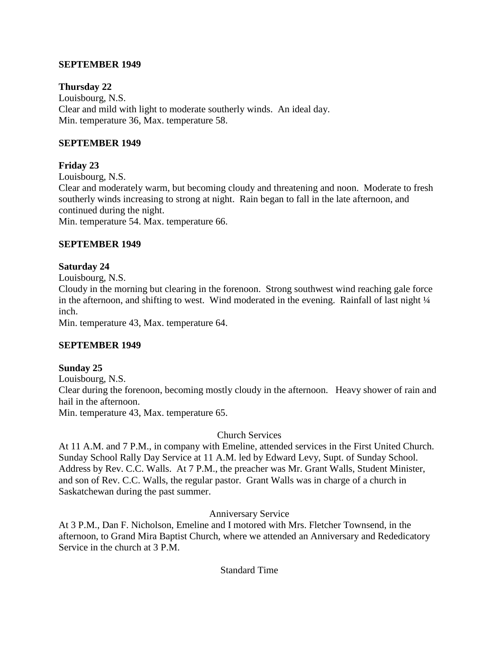## **SEPTEMBER 1949**

## **Thursday 22**

Louisbourg, N.S. Clear and mild with light to moderate southerly winds. An ideal day. Min. temperature 36, Max. temperature 58.

## **SEPTEMBER 1949**

## **Friday 23**

Louisbourg, N.S.

Clear and moderately warm, but becoming cloudy and threatening and noon. Moderate to fresh southerly winds increasing to strong at night. Rain began to fall in the late afternoon, and continued during the night.

Min. temperature 54. Max. temperature 66.

## **SEPTEMBER 1949**

## **Saturday 24**

Louisbourg, N.S.

Cloudy in the morning but clearing in the forenoon. Strong southwest wind reaching gale force in the afternoon, and shifting to west. Wind moderated in the evening. Rainfall of last night  $\frac{1}{4}$ inch.

Min. temperature 43, Max. temperature 64.

## **SEPTEMBER 1949**

## **Sunday 25**

Louisbourg, N.S. Clear during the forenoon, becoming mostly cloudy in the afternoon. Heavy shower of rain and hail in the afternoon. Min. temperature 43, Max. temperature 65.

## Church Services

At 11 A.M. and 7 P.M., in company with Emeline, attended services in the First United Church. Sunday School Rally Day Service at 11 A.M. led by Edward Levy, Supt. of Sunday School. Address by Rev. C.C. Walls. At 7 P.M., the preacher was Mr. Grant Walls, Student Minister, and son of Rev. C.C. Walls, the regular pastor. Grant Walls was in charge of a church in Saskatchewan during the past summer.

## Anniversary Service

At 3 P.M., Dan F. Nicholson, Emeline and I motored with Mrs. Fletcher Townsend, in the afternoon, to Grand Mira Baptist Church, where we attended an Anniversary and Rededicatory Service in the church at 3 P.M.

## Standard Time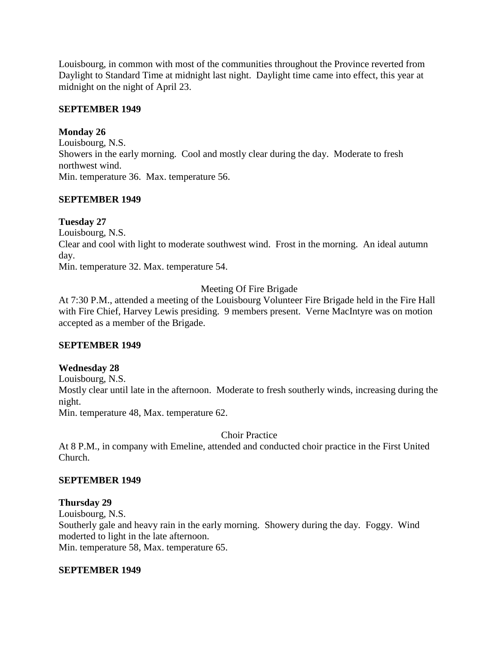Louisbourg, in common with most of the communities throughout the Province reverted from Daylight to Standard Time at midnight last night. Daylight time came into effect, this year at midnight on the night of April 23.

## **SEPTEMBER 1949**

## **Monday 26**

Louisbourg, N.S. Showers in the early morning. Cool and mostly clear during the day. Moderate to fresh northwest wind. Min. temperature 36. Max. temperature 56.

## **SEPTEMBER 1949**

# **Tuesday 27**

Louisbourg, N.S.

Clear and cool with light to moderate southwest wind. Frost in the morning. An ideal autumn day.

Min. temperature 32. Max. temperature 54.

# Meeting Of Fire Brigade

At 7:30 P.M., attended a meeting of the Louisbourg Volunteer Fire Brigade held in the Fire Hall with Fire Chief, Harvey Lewis presiding. 9 members present. Verne MacIntyre was on motion accepted as a member of the Brigade.

# **SEPTEMBER 1949**

# **Wednesday 28**

Louisbourg, N.S.

Mostly clear until late in the afternoon. Moderate to fresh southerly winds, increasing during the night.

Min. temperature 48, Max. temperature 62.

Choir Practice

At 8 P.M., in company with Emeline, attended and conducted choir practice in the First United Church.

## **SEPTEMBER 1949**

# **Thursday 29**

Louisbourg, N.S.

Southerly gale and heavy rain in the early morning. Showery during the day. Foggy. Wind moderted to light in the late afternoon.

Min. temperature 58, Max. temperature 65.

## **SEPTEMBER 1949**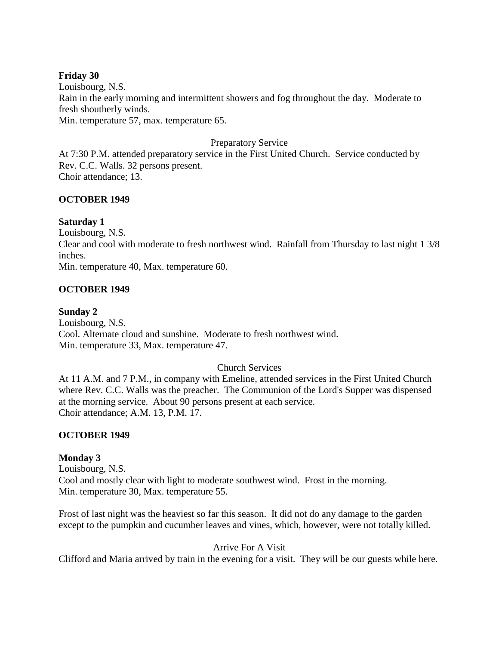## **Friday 30**

Louisbourg, N.S. Rain in the early morning and intermittent showers and fog throughout the day. Moderate to fresh shoutherly winds. Min. temperature 57, max. temperature 65.

## Preparatory Service

At 7:30 P.M. attended preparatory service in the First United Church. Service conducted by Rev. C.C. Walls. 32 persons present. Choir attendance; 13.

## **OCTOBER 1949**

## **Saturday 1**

Louisbourg, N.S. Clear and cool with moderate to fresh northwest wind. Rainfall from Thursday to last night 1 3/8 inches.

Min. temperature 40, Max. temperature 60.

## **OCTOBER 1949**

## **Sunday 2**

Louisbourg, N.S. Cool. Alternate cloud and sunshine. Moderate to fresh northwest wind. Min. temperature 33, Max. temperature 47.

## Church Services

At 11 A.M. and 7 P.M., in company with Emeline, attended services in the First United Church where Rev. C.C. Walls was the preacher. The Communion of the Lord's Supper was dispensed at the morning service. About 90 persons present at each service. Choir attendance; A.M. 13, P.M. 17.

## **OCTOBER 1949**

# **Monday 3**

Louisbourg, N.S. Cool and mostly clear with light to moderate southwest wind. Frost in the morning. Min. temperature 30, Max. temperature 55.

Frost of last night was the heaviest so far this season. It did not do any damage to the garden except to the pumpkin and cucumber leaves and vines, which, however, were not totally killed.

Arrive For A Visit

Clifford and Maria arrived by train in the evening for a visit. They will be our guests while here.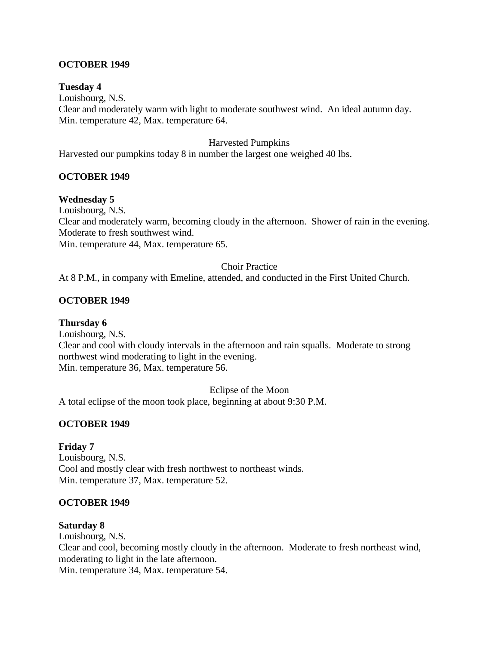## **OCTOBER 1949**

## **Tuesday 4**

Louisbourg, N.S. Clear and moderately warm with light to moderate southwest wind. An ideal autumn day. Min. temperature 42, Max. temperature 64.

## Harvested Pumpkins

Harvested our pumpkins today 8 in number the largest one weighed 40 lbs.

## **OCTOBER 1949**

## **Wednesday 5**

Louisbourg, N.S. Clear and moderately warm, becoming cloudy in the afternoon. Shower of rain in the evening. Moderate to fresh southwest wind. Min. temperature 44, Max. temperature 65.

# Choir Practice

At 8 P.M., in company with Emeline, attended, and conducted in the First United Church.

## **OCTOBER 1949**

## **Thursday 6**

Louisbourg, N.S. Clear and cool with cloudy intervals in the afternoon and rain squalls. Moderate to strong northwest wind moderating to light in the evening. Min. temperature 36, Max. temperature 56.

Eclipse of the Moon

A total eclipse of the moon took place, beginning at about 9:30 P.M.

## **OCTOBER 1949**

## **Friday 7**

Louisbourg, N.S. Cool and mostly clear with fresh northwest to northeast winds. Min. temperature 37, Max. temperature 52.

## **OCTOBER 1949**

## **Saturday 8**

Louisbourg, N.S. Clear and cool, becoming mostly cloudy in the afternoon. Moderate to fresh northeast wind, moderating to light in the late afternoon.

Min. temperature 34, Max. temperature 54.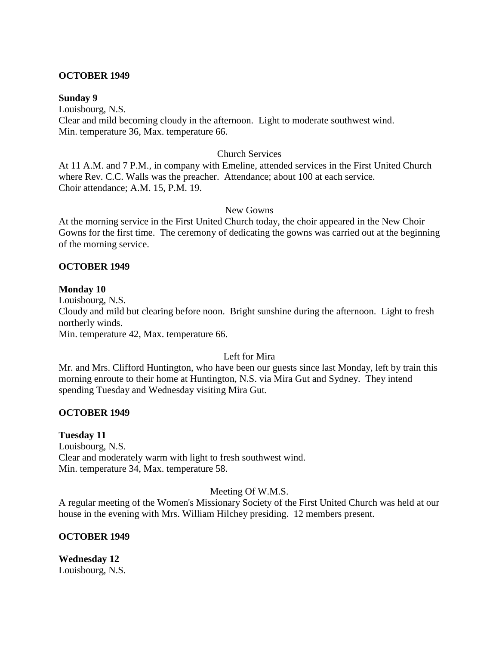#### **OCTOBER 1949**

#### **Sunday 9**

Louisbourg, N.S. Clear and mild becoming cloudy in the afternoon. Light to moderate southwest wind. Min. temperature 36, Max. temperature 66.

#### Church Services

At 11 A.M. and 7 P.M., in company with Emeline, attended services in the First United Church where Rev. C.C. Walls was the preacher. Attendance; about 100 at each service. Choir attendance; A.M. 15, P.M. 19.

#### New Gowns

At the morning service in the First United Church today, the choir appeared in the New Choir Gowns for the first time. The ceremony of dedicating the gowns was carried out at the beginning of the morning service.

## **OCTOBER 1949**

## **Monday 10**

Louisbourg, N.S. Cloudy and mild but clearing before noon. Bright sunshine during the afternoon. Light to fresh northerly winds. Min. temperature 42, Max. temperature 66.

## Left for Mira

Mr. and Mrs. Clifford Huntington, who have been our guests since last Monday, left by train this morning enroute to their home at Huntington, N.S. via Mira Gut and Sydney. They intend spending Tuesday and Wednesday visiting Mira Gut.

## **OCTOBER 1949**

## **Tuesday 11**

Louisbourg, N.S. Clear and moderately warm with light to fresh southwest wind. Min. temperature 34, Max. temperature 58.

## Meeting Of W.M.S.

A regular meeting of the Women's Missionary Society of the First United Church was held at our house in the evening with Mrs. William Hilchey presiding. 12 members present.

## **OCTOBER 1949**

**Wednesday 12** Louisbourg, N.S.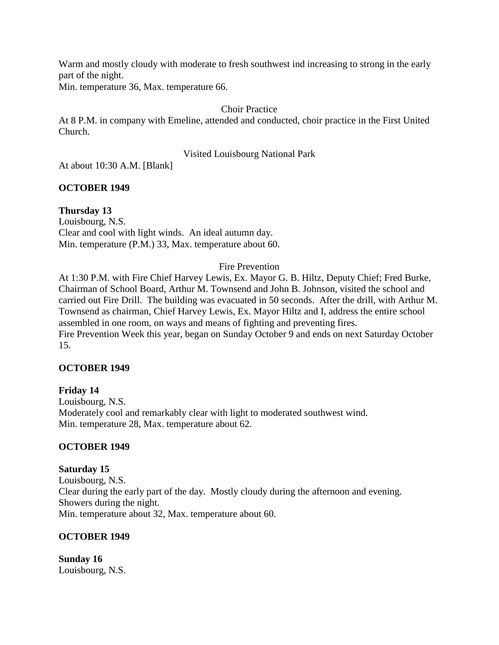Warm and mostly cloudy with moderate to fresh southwest ind increasing to strong in the early part of the night.

Min. temperature 36, Max. temperature 66.

# Choir Practice

At 8 P.M. in company with Emeline, attended and conducted, choir practice in the First United Church.

# Visited Louisbourg National Park

At about 10:30 A.M. [Blank]

# **OCTOBER 1949**

# **Thursday 13**

Louisbourg, N.S. Clear and cool with light winds. An ideal autumn day. Min. temperature (P.M.) 33, Max. temperature about 60.

# Fire Prevention

At 1:30 P.M. with Fire Chief Harvey Lewis, Ex. Mayor G. B. Hiltz, Deputy Chief; Fred Burke, Chairman of School Board, Arthur M. Townsend and John B. Johnson, visited the school and carried out Fire Drill. The building was evacuated in 50 seconds. After the drill, with Arthur M. Townsend as chairman, Chief Harvey Lewis, Ex. Mayor Hiltz and I, address the entire school assembled in one room, on ways and means of fighting and preventing fires. Fire Prevention Week this year, began on Sunday October 9 and ends on next Saturday October 15.

# **OCTOBER 1949**

## **Friday 14** Louisbourg, N.S. Moderately cool and remarkably clear with light to moderated southwest wind. Min. temperature 28, Max. temperature about 62.

# **OCTOBER 1949**

# **Saturday 15**

Louisbourg, N.S. Clear during the early part of the day. Mostly cloudy during the afternoon and evening. Showers during the night. Min. temperature about 32, Max. temperature about 60.

# **OCTOBER 1949**

**Sunday 16** Louisbourg, N.S.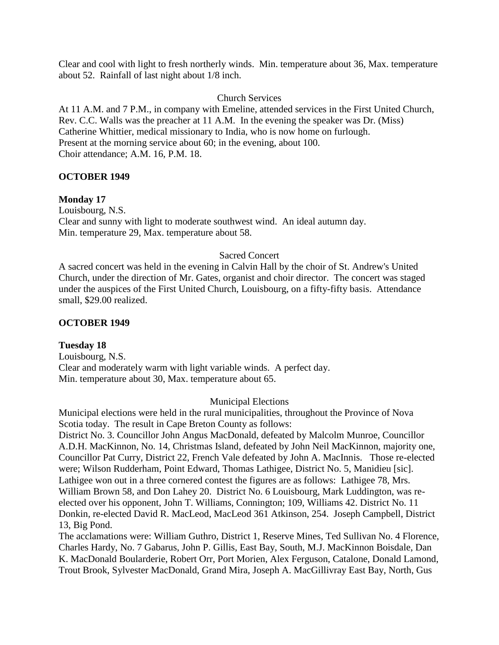Clear and cool with light to fresh northerly winds. Min. temperature about 36, Max. temperature about 52. Rainfall of last night about 1/8 inch.

Church Services

At 11 A.M. and 7 P.M., in company with Emeline, attended services in the First United Church, Rev. C.C. Walls was the preacher at 11 A.M. In the evening the speaker was Dr. (Miss) Catherine Whittier, medical missionary to India, who is now home on furlough. Present at the morning service about 60; in the evening, about 100. Choir attendance; A.M. 16, P.M. 18.

## **OCTOBER 1949**

#### **Monday 17**

Louisbourg, N.S. Clear and sunny with light to moderate southwest wind. An ideal autumn day. Min. temperature 29, Max. temperature about 58.

#### Sacred Concert

A sacred concert was held in the evening in Calvin Hall by the choir of St. Andrew's United Church, under the direction of Mr. Gates, organist and choir director. The concert was staged under the auspices of the First United Church, Louisbourg, on a fifty-fifty basis. Attendance small, \$29.00 realized.

#### **OCTOBER 1949**

**Tuesday 18** Louisbourg, N.S. Clear and moderately warm with light variable winds. A perfect day. Min. temperature about 30, Max. temperature about 65.

#### Municipal Elections

Municipal elections were held in the rural municipalities, throughout the Province of Nova Scotia today. The result in Cape Breton County as follows:

District No. 3. Councillor John Angus MacDonald, defeated by Malcolm Munroe, Councillor A.D.H. MacKinnon, No. 14, Christmas Island, defeated by John Neil MacKinnon, majority one, Councillor Pat Curry, District 22, French Vale defeated by John A. MacInnis. Those re-elected were; Wilson Rudderham, Point Edward, Thomas Lathigee, District No. 5, Manidieu [sic]. Lathigee won out in a three cornered contest the figures are as follows: Lathigee 78, Mrs. William Brown 58, and Don Lahey 20. District No. 6 Louisbourg, Mark Luddington, was reelected over his opponent, John T. Williams, Connington; 109, Williams 42. District No. 11 Donkin, re-elected David R. MacLeod, MacLeod 361 Atkinson, 254. Joseph Campbell, District 13, Big Pond.

The acclamations were: William Guthro, District 1, Reserve Mines, Ted Sullivan No. 4 Florence, Charles Hardy, No. 7 Gabarus, John P. Gillis, East Bay, South, M.J. MacKinnon Boisdale, Dan K. MacDonald Boularderie, Robert Orr, Port Morien, Alex Ferguson, Catalone, Donald Lamond, Trout Brook, Sylvester MacDonald, Grand Mira, Joseph A. MacGillivray East Bay, North, Gus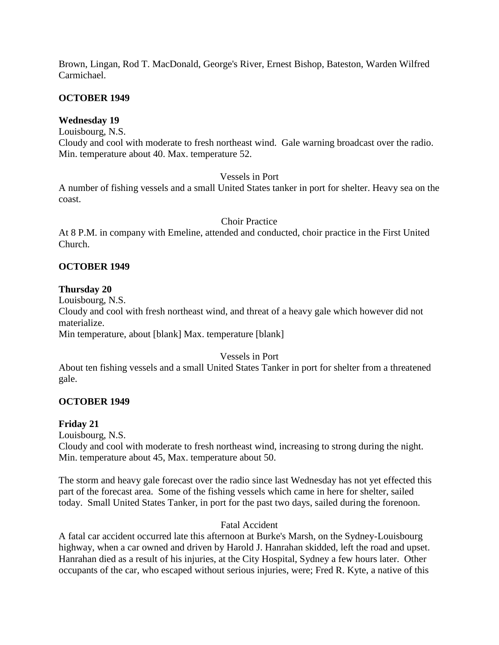Brown, Lingan, Rod T. MacDonald, George's River, Ernest Bishop, Bateston, Warden Wilfred Carmichael.

## **OCTOBER 1949**

## **Wednesday 19**

Louisbourg, N.S.

Cloudy and cool with moderate to fresh northeast wind. Gale warning broadcast over the radio. Min. temperature about 40. Max. temperature 52.

## Vessels in Port

A number of fishing vessels and a small United States tanker in port for shelter. Heavy sea on the coast.

## Choir Practice

At 8 P.M. in company with Emeline, attended and conducted, choir practice in the First United Church.

## **OCTOBER 1949**

## **Thursday 20**

Louisbourg, N.S. Cloudy and cool with fresh northeast wind, and threat of a heavy gale which however did not materialize. Min temperature, about [blank] Max. temperature [blank]

## Vessels in Port

About ten fishing vessels and a small United States Tanker in port for shelter from a threatened gale.

# **OCTOBER 1949**

# **Friday 21**

Louisbourg, N.S. Cloudy and cool with moderate to fresh northeast wind, increasing to strong during the night. Min. temperature about 45, Max. temperature about 50.

The storm and heavy gale forecast over the radio since last Wednesday has not yet effected this part of the forecast area. Some of the fishing vessels which came in here for shelter, sailed today. Small United States Tanker, in port for the past two days, sailed during the forenoon.

## Fatal Accident

A fatal car accident occurred late this afternoon at Burke's Marsh, on the Sydney-Louisbourg highway, when a car owned and driven by Harold J. Hanrahan skidded, left the road and upset. Hanrahan died as a result of his injuries, at the City Hospital, Sydney a few hours later. Other occupants of the car, who escaped without serious injuries, were; Fred R. Kyte, a native of this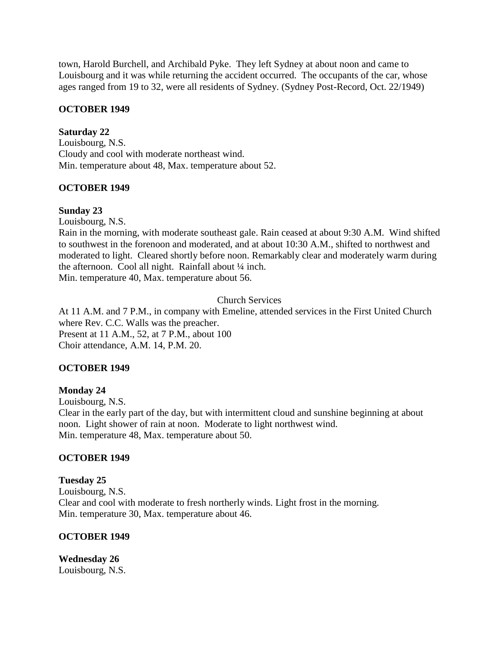town, Harold Burchell, and Archibald Pyke. They left Sydney at about noon and came to Louisbourg and it was while returning the accident occurred. The occupants of the car, whose ages ranged from 19 to 32, were all residents of Sydney. (Sydney Post-Record, Oct. 22/1949)

## **OCTOBER 1949**

## **Saturday 22**

Louisbourg, N.S. Cloudy and cool with moderate northeast wind. Min. temperature about 48, Max. temperature about 52.

# **OCTOBER 1949**

## **Sunday 23**

Louisbourg, N.S.

Rain in the morning, with moderate southeast gale. Rain ceased at about 9:30 A.M. Wind shifted to southwest in the forenoon and moderated, and at about 10:30 A.M., shifted to northwest and moderated to light. Cleared shortly before noon. Remarkably clear and moderately warm during the afternoon. Cool all night. Rainfall about ¼ inch. Min. temperature 40, Max. temperature about 56.

## Church Services

At 11 A.M. and 7 P.M., in company with Emeline, attended services in the First United Church where Rev. C.C. Walls was the preacher. Present at 11 A.M., 52, at 7 P.M., about 100 Choir attendance, A.M. 14, P.M. 20.

# **OCTOBER 1949**

## **Monday 24**

Louisbourg, N.S. Clear in the early part of the day, but with intermittent cloud and sunshine beginning at about noon. Light shower of rain at noon. Moderate to light northwest wind. Min. temperature 48, Max. temperature about 50.

# **OCTOBER 1949**

**Tuesday 25** Louisbourg, N.S. Clear and cool with moderate to fresh northerly winds. Light frost in the morning. Min. temperature 30, Max. temperature about 46.

## **OCTOBER 1949**

**Wednesday 26** Louisbourg, N.S.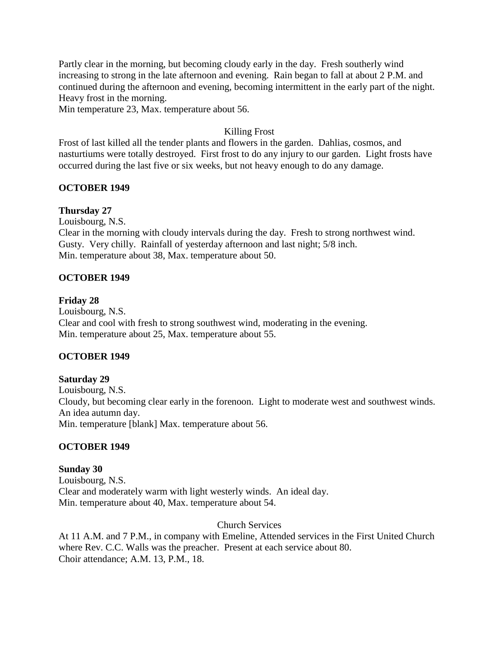Partly clear in the morning, but becoming cloudy early in the day. Fresh southerly wind increasing to strong in the late afternoon and evening. Rain began to fall at about 2 P.M. and continued during the afternoon and evening, becoming intermittent in the early part of the night. Heavy frost in the morning.

Min temperature 23, Max. temperature about 56.

## Killing Frost

Frost of last killed all the tender plants and flowers in the garden. Dahlias, cosmos, and nasturtiums were totally destroyed. First frost to do any injury to our garden. Light frosts have occurred during the last five or six weeks, but not heavy enough to do any damage.

## **OCTOBER 1949**

## **Thursday 27**

Louisbourg, N.S.

Clear in the morning with cloudy intervals during the day. Fresh to strong northwest wind. Gusty. Very chilly. Rainfall of yesterday afternoon and last night; 5/8 inch. Min. temperature about 38, Max. temperature about 50.

## **OCTOBER 1949**

#### **Friday 28**

Louisbourg, N.S. Clear and cool with fresh to strong southwest wind, moderating in the evening. Min. temperature about 25, Max. temperature about 55.

## **OCTOBER 1949**

## **Saturday 29**

Louisbourg, N.S. Cloudy, but becoming clear early in the forenoon. Light to moderate west and southwest winds. An idea autumn day. Min. temperature [blank] Max. temperature about 56.

## **OCTOBER 1949**

## **Sunday 30**

Louisbourg, N.S. Clear and moderately warm with light westerly winds. An ideal day. Min. temperature about 40, Max. temperature about 54.

## Church Services

At 11 A.M. and 7 P.M., in company with Emeline, Attended services in the First United Church where Rev. C.C. Walls was the preacher. Present at each service about 80. Choir attendance; A.M. 13, P.M., 18.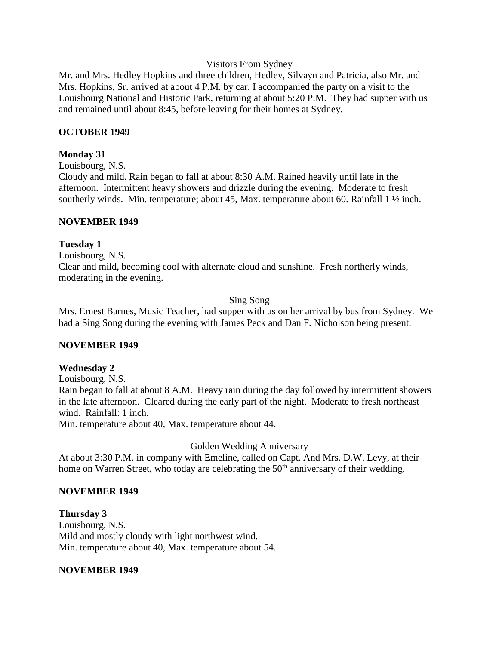#### Visitors From Sydney

Mr. and Mrs. Hedley Hopkins and three children, Hedley, Silvayn and Patricia, also Mr. and Mrs. Hopkins, Sr. arrived at about 4 P.M. by car. I accompanied the party on a visit to the Louisbourg National and Historic Park, returning at about 5:20 P.M. They had supper with us and remained until about 8:45, before leaving for their homes at Sydney.

#### **OCTOBER 1949**

#### **Monday 31**

Louisbourg, N.S.

Cloudy and mild. Rain began to fall at about 8:30 A.M. Rained heavily until late in the afternoon. Intermittent heavy showers and drizzle during the evening. Moderate to fresh southerly winds. Min. temperature; about 45, Max. temperature about 60. Rainfall  $1 \frac{1}{2}$  inch.

#### **NOVEMBER 1949**

#### **Tuesday 1**

Louisbourg, N.S. Clear and mild, becoming cool with alternate cloud and sunshine. Fresh northerly winds, moderating in the evening.

#### Sing Song

Mrs. Ernest Barnes, Music Teacher, had supper with us on her arrival by bus from Sydney. We had a Sing Song during the evening with James Peck and Dan F. Nicholson being present.

## **NOVEMBER 1949**

## **Wednesday 2**

Louisbourg, N.S.

Rain began to fall at about 8 A.M. Heavy rain during the day followed by intermittent showers in the late afternoon. Cleared during the early part of the night. Moderate to fresh northeast wind. Rainfall: 1 inch.

Min. temperature about 40, Max. temperature about 44.

## Golden Wedding Anniversary

At about 3:30 P.M. in company with Emeline, called on Capt. And Mrs. D.W. Levy, at their home on Warren Street, who today are celebrating the 50<sup>th</sup> anniversary of their wedding.

## **NOVEMBER 1949**

**Thursday 3** Louisbourg, N.S. Mild and mostly cloudy with light northwest wind. Min. temperature about 40, Max. temperature about 54.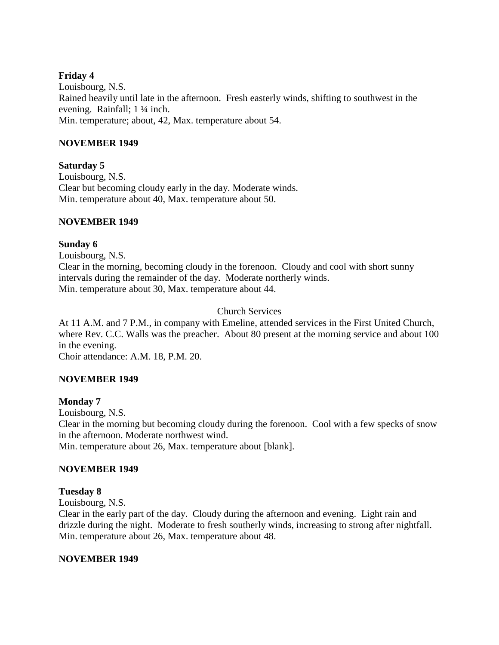## **Friday 4**

Louisbourg, N.S. Rained heavily until late in the afternoon. Fresh easterly winds, shifting to southwest in the evening. Rainfall; 1 ¼ inch. Min. temperature; about, 42, Max. temperature about 54.

## **NOVEMBER 1949**

## **Saturday 5**

Louisbourg, N.S. Clear but becoming cloudy early in the day. Moderate winds. Min. temperature about 40, Max. temperature about 50.

## **NOVEMBER 1949**

## **Sunday 6**

Louisbourg, N.S.

Clear in the morning, becoming cloudy in the forenoon. Cloudy and cool with short sunny intervals during the remainder of the day. Moderate northerly winds. Min. temperature about 30, Max. temperature about 44.

## Church Services

At 11 A.M. and 7 P.M., in company with Emeline, attended services in the First United Church, where Rev. C.C. Walls was the preacher. About 80 present at the morning service and about 100 in the evening.

Choir attendance: A.M. 18, P.M. 20.

# **NOVEMBER 1949**

## **Monday 7**

Louisbourg, N.S. Clear in the morning but becoming cloudy during the forenoon. Cool with a few specks of snow in the afternoon. Moderate northwest wind.

Min. temperature about 26, Max. temperature about [blank].

## **NOVEMBER 1949**

## **Tuesday 8**

Louisbourg, N.S.

Clear in the early part of the day. Cloudy during the afternoon and evening. Light rain and drizzle during the night. Moderate to fresh southerly winds, increasing to strong after nightfall. Min. temperature about 26, Max. temperature about 48.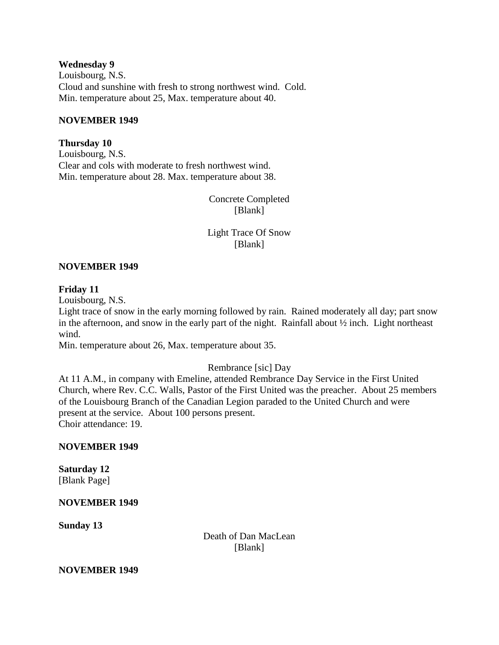#### **Wednesday 9**

Louisbourg, N.S. Cloud and sunshine with fresh to strong northwest wind. Cold. Min. temperature about 25, Max. temperature about 40.

#### **NOVEMBER 1949**

## **Thursday 10**

Louisbourg, N.S. Clear and cols with moderate to fresh northwest wind. Min. temperature about 28. Max. temperature about 38.

> Concrete Completed [Blank]

> Light Trace Of Snow [Blank]

## **NOVEMBER 1949**

## **Friday 11**

Louisbourg, N.S.

Light trace of snow in the early morning followed by rain. Rained moderately all day; part snow in the afternoon, and snow in the early part of the night. Rainfall about ½ inch. Light northeast wind.

Min. temperature about 26, Max. temperature about 35.

## Rembrance [sic] Day

At 11 A.M., in company with Emeline, attended Rembrance Day Service in the First United Church, where Rev. C.C. Walls, Pastor of the First United was the preacher. About 25 members of the Louisbourg Branch of the Canadian Legion paraded to the United Church and were present at the service. About 100 persons present. Choir attendance: 19.

## **NOVEMBER 1949**

#### **Saturday 12** [Blank Page]

## **NOVEMBER 1949**

**Sunday 13**

Death of Dan MacLean [Blank]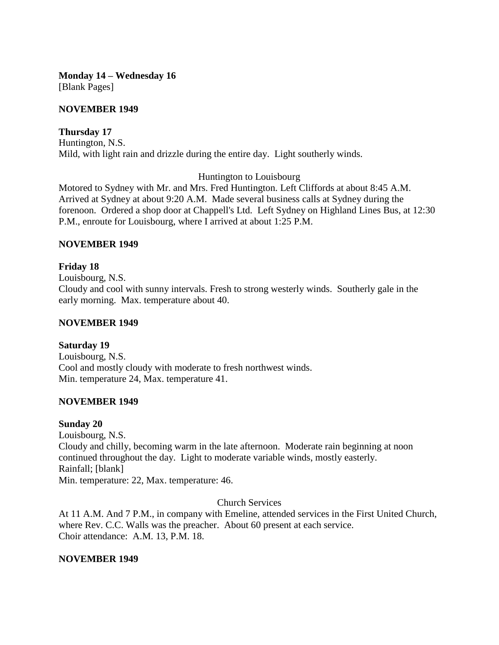**Monday 14 – Wednesday 16** [Blank Pages]

## **NOVEMBER 1949**

## **Thursday 17**

Huntington, N.S. Mild, with light rain and drizzle during the entire day. Light southerly winds.

Huntington to Louisbourg

Motored to Sydney with Mr. and Mrs. Fred Huntington. Left Cliffords at about 8:45 A.M. Arrived at Sydney at about 9:20 A.M. Made several business calls at Sydney during the forenoon. Ordered a shop door at Chappell's Ltd. Left Sydney on Highland Lines Bus, at 12:30 P.M., enroute for Louisbourg, where I arrived at about 1:25 P.M.

## **NOVEMBER 1949**

## **Friday 18**

Louisbourg, N.S.

Cloudy and cool with sunny intervals. Fresh to strong westerly winds. Southerly gale in the early morning. Max. temperature about 40.

## **NOVEMBER 1949**

## **Saturday 19**

Louisbourg, N.S. Cool and mostly cloudy with moderate to fresh northwest winds. Min. temperature 24, Max. temperature 41.

## **NOVEMBER 1949**

#### **Sunday 20**

Louisbourg, N.S. Cloudy and chilly, becoming warm in the late afternoon. Moderate rain beginning at noon continued throughout the day. Light to moderate variable winds, mostly easterly. Rainfall; [blank] Min. temperature: 22, Max. temperature: 46.

Church Services

At 11 A.M. And 7 P.M., in company with Emeline, attended services in the First United Church, where Rev. C.C. Walls was the preacher. About 60 present at each service. Choir attendance: A.M. 13, P.M. 18.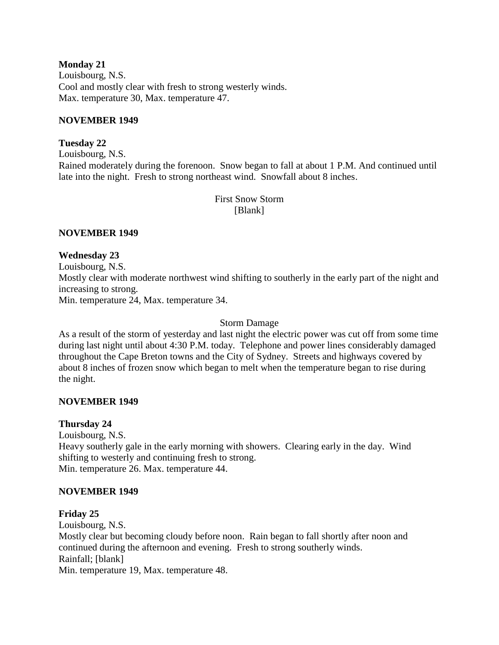**Monday 21** Louisbourg, N.S. Cool and mostly clear with fresh to strong westerly winds. Max. temperature 30, Max. temperature 47.

## **NOVEMBER 1949**

## **Tuesday 22**

Louisbourg, N.S. Rained moderately during the forenoon. Snow began to fall at about 1 P.M. And continued until late into the night. Fresh to strong northeast wind. Snowfall about 8 inches.

> First Snow Storm [Blank]

## **NOVEMBER 1949**

## **Wednesday 23**

Louisbourg, N.S. Mostly clear with moderate northwest wind shifting to southerly in the early part of the night and increasing to strong. Min. temperature 24, Max. temperature 34.

Storm Damage

As a result of the storm of yesterday and last night the electric power was cut off from some time during last night until about 4:30 P.M. today. Telephone and power lines considerably damaged throughout the Cape Breton towns and the City of Sydney. Streets and highways covered by about 8 inches of frozen snow which began to melt when the temperature began to rise during the night.

## **NOVEMBER 1949**

## **Thursday 24**

Louisbourg, N.S. Heavy southerly gale in the early morning with showers. Clearing early in the day. Wind shifting to westerly and continuing fresh to strong. Min. temperature 26. Max. temperature 44.

## **NOVEMBER 1949**

## **Friday 25**

Louisbourg, N.S. Mostly clear but becoming cloudy before noon. Rain began to fall shortly after noon and continued during the afternoon and evening. Fresh to strong southerly winds. Rainfall; [blank] Min. temperature 19, Max. temperature 48.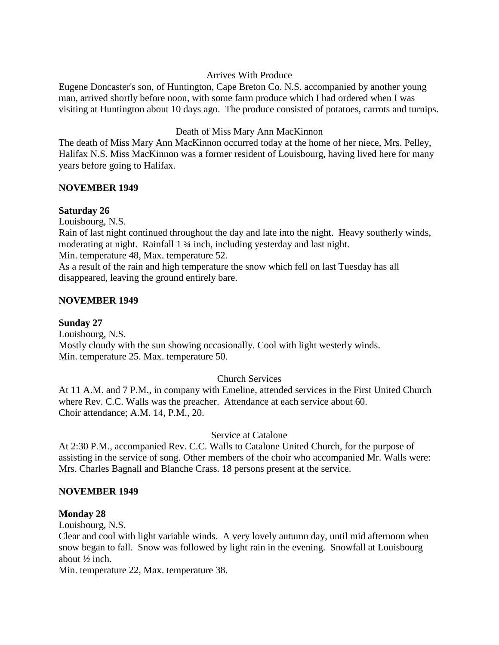## Arrives With Produce

Eugene Doncaster's son, of Huntington, Cape Breton Co. N.S. accompanied by another young man, arrived shortly before noon, with some farm produce which I had ordered when I was visiting at Huntington about 10 days ago. The produce consisted of potatoes, carrots and turnips.

## Death of Miss Mary Ann MacKinnon

The death of Miss Mary Ann MacKinnon occurred today at the home of her niece, Mrs. Pelley, Halifax N.S. Miss MacKinnon was a former resident of Louisbourg, having lived here for many years before going to Halifax.

## **NOVEMBER 1949**

## **Saturday 26**

Louisbourg, N.S.

Rain of last night continued throughout the day and late into the night. Heavy southerly winds, moderating at night. Rainfall 1 ¾ inch, including yesterday and last night.

Min. temperature 48, Max. temperature 52.

As a result of the rain and high temperature the snow which fell on last Tuesday has all disappeared, leaving the ground entirely bare.

## **NOVEMBER 1949**

**Sunday 27** Louisbourg, N.S.

Mostly cloudy with the sun showing occasionally. Cool with light westerly winds. Min. temperature 25. Max. temperature 50.

# Church Services

At 11 A.M. and 7 P.M., in company with Emeline, attended services in the First United Church where Rev. C.C. Walls was the preacher. Attendance at each service about 60. Choir attendance; A.M. 14, P.M., 20.

Service at Catalone

At 2:30 P.M., accompanied Rev. C.C. Walls to Catalone United Church, for the purpose of assisting in the service of song. Other members of the choir who accompanied Mr. Walls were: Mrs. Charles Bagnall and Blanche Crass. 18 persons present at the service.

## **NOVEMBER 1949**

## **Monday 28**

Louisbourg, N.S.

Clear and cool with light variable winds. A very lovely autumn day, until mid afternoon when snow began to fall. Snow was followed by light rain in the evening. Snowfall at Louisbourg about ½ inch.

Min. temperature 22, Max. temperature 38.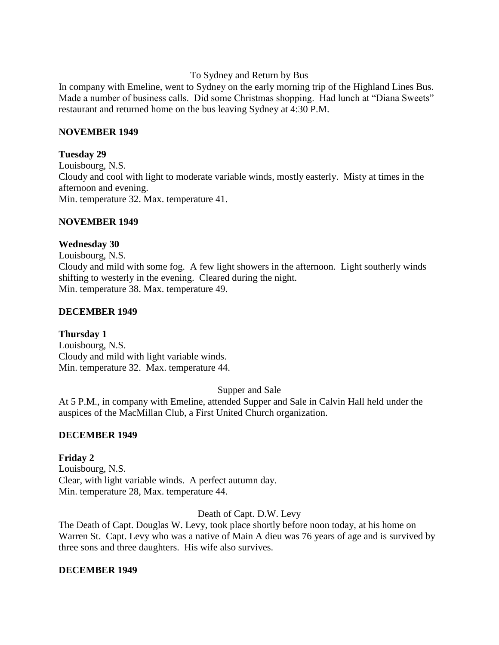To Sydney and Return by Bus

In company with Emeline, went to Sydney on the early morning trip of the Highland Lines Bus. Made a number of business calls. Did some Christmas shopping. Had lunch at "Diana Sweets" restaurant and returned home on the bus leaving Sydney at 4:30 P.M.

## **NOVEMBER 1949**

## **Tuesday 29**

Louisbourg, N.S. Cloudy and cool with light to moderate variable winds, mostly easterly. Misty at times in the afternoon and evening. Min. temperature 32. Max. temperature 41.

## **NOVEMBER 1949**

## **Wednesday 30**

Louisbourg, N.S. Cloudy and mild with some fog. A few light showers in the afternoon. Light southerly winds shifting to westerly in the evening. Cleared during the night. Min. temperature 38. Max. temperature 49.

## **DECEMBER 1949**

# **Thursday 1**

Louisbourg, N.S. Cloudy and mild with light variable winds. Min. temperature 32. Max. temperature 44.

Supper and Sale

At 5 P.M., in company with Emeline, attended Supper and Sale in Calvin Hall held under the auspices of the MacMillan Club, a First United Church organization.

# **DECEMBER 1949**

## **Friday 2** Louisbourg, N.S. Clear, with light variable winds. A perfect autumn day. Min. temperature 28, Max. temperature 44.

Death of Capt. D.W. Levy

The Death of Capt. Douglas W. Levy, took place shortly before noon today, at his home on Warren St. Capt. Levy who was a native of Main A dieu was 76 years of age and is survived by three sons and three daughters. His wife also survives.

## **DECEMBER 1949**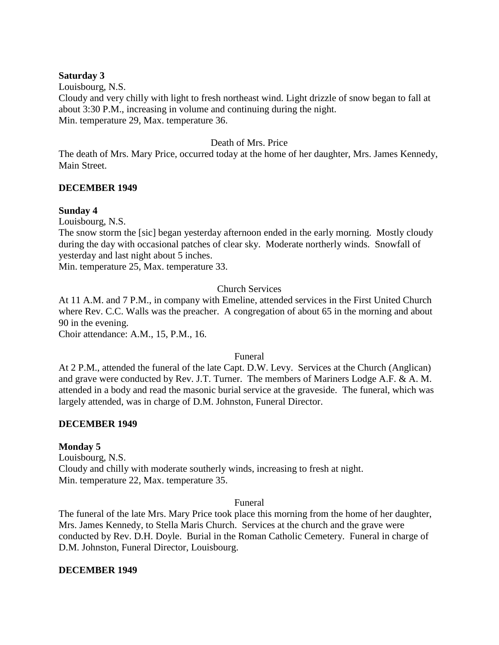#### **Saturday 3**

Louisbourg, N.S. Cloudy and very chilly with light to fresh northeast wind. Light drizzle of snow began to fall at about 3:30 P.M., increasing in volume and continuing during the night. Min. temperature 29, Max. temperature 36.

## Death of Mrs. Price

The death of Mrs. Mary Price, occurred today at the home of her daughter, Mrs. James Kennedy, Main Street.

## **DECEMBER 1949**

#### **Sunday 4**

Louisbourg, N.S.

The snow storm the [sic] began yesterday afternoon ended in the early morning. Mostly cloudy during the day with occasional patches of clear sky. Moderate northerly winds. Snowfall of yesterday and last night about 5 inches.

Min. temperature 25, Max. temperature 33.

## Church Services

At 11 A.M. and 7 P.M., in company with Emeline, attended services in the First United Church where Rev. C.C. Walls was the preacher. A congregation of about 65 in the morning and about 90 in the evening. Choir attendance: A.M., 15, P.M., 16.

#### Funeral

At 2 P.M., attended the funeral of the late Capt. D.W. Levy. Services at the Church (Anglican) and grave were conducted by Rev. J.T. Turner. The members of Mariners Lodge A.F. & A. M. attended in a body and read the masonic burial service at the graveside. The funeral, which was largely attended, was in charge of D.M. Johnston, Funeral Director.

#### **DECEMBER 1949**

#### **Monday 5**

Louisbourg, N.S. Cloudy and chilly with moderate southerly winds, increasing to fresh at night. Min. temperature 22, Max. temperature 35.

#### Funeral

The funeral of the late Mrs. Mary Price took place this morning from the home of her daughter, Mrs. James Kennedy, to Stella Maris Church. Services at the church and the grave were conducted by Rev. D.H. Doyle. Burial in the Roman Catholic Cemetery. Funeral in charge of D.M. Johnston, Funeral Director, Louisbourg.

#### **DECEMBER 1949**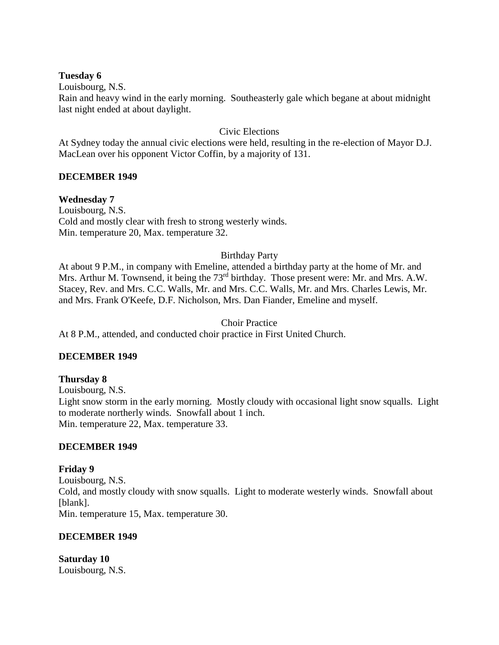## **Tuesday 6**

Louisbourg, N.S.

Rain and heavy wind in the early morning. Southeasterly gale which begane at about midnight last night ended at about daylight.

## Civic Elections

At Sydney today the annual civic elections were held, resulting in the re-election of Mayor D.J. MacLean over his opponent Victor Coffin, by a majority of 131.

## **DECEMBER 1949**

## **Wednesday 7**

Louisbourg, N.S. Cold and mostly clear with fresh to strong westerly winds. Min. temperature 20, Max. temperature 32.

## Birthday Party

At about 9 P.M., in company with Emeline, attended a birthday party at the home of Mr. and Mrs. Arthur M. Townsend, it being the 73<sup>rd</sup> birthday. Those present were: Mr. and Mrs. A.W. Stacey, Rev. and Mrs. C.C. Walls, Mr. and Mrs. C.C. Walls, Mr. and Mrs. Charles Lewis, Mr. and Mrs. Frank O'Keefe, D.F. Nicholson, Mrs. Dan Fiander, Emeline and myself.

## Choir Practice

At 8 P.M., attended, and conducted choir practice in First United Church.

## **DECEMBER 1949**

## **Thursday 8**

Louisbourg, N.S. Light snow storm in the early morning. Mostly cloudy with occasional light snow squalls. Light to moderate northerly winds. Snowfall about 1 inch. Min. temperature 22, Max. temperature 33.

## **DECEMBER 1949**

**Friday 9** Louisbourg, N.S. Cold, and mostly cloudy with snow squalls. Light to moderate westerly winds. Snowfall about [blank]. Min. temperature 15, Max. temperature 30.

## **DECEMBER 1949**

**Saturday 10** Louisbourg, N.S.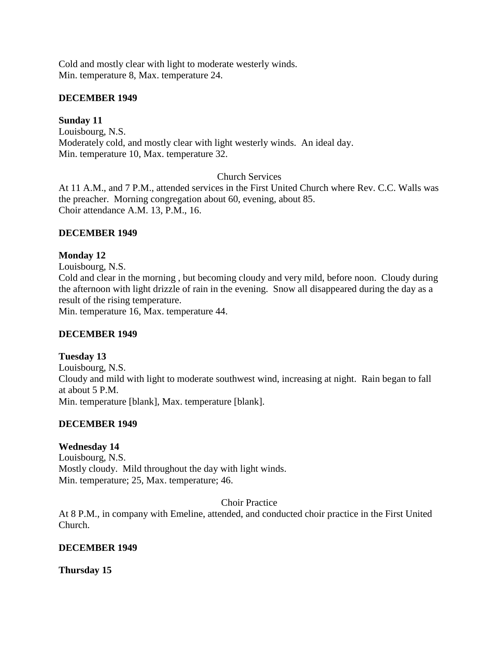Cold and mostly clear with light to moderate westerly winds. Min. temperature 8, Max. temperature 24.

## **DECEMBER 1949**

## **Sunday 11**

Louisbourg, N.S. Moderately cold, and mostly clear with light westerly winds. An ideal day. Min. temperature 10, Max. temperature 32.

Church Services

At 11 A.M., and 7 P.M., attended services in the First United Church where Rev. C.C. Walls was the preacher. Morning congregation about 60, evening, about 85. Choir attendance A.M. 13, P.M., 16.

## **DECEMBER 1949**

## **Monday 12**

Louisbourg, N.S. Cold and clear in the morning , but becoming cloudy and very mild, before noon. Cloudy during the afternoon with light drizzle of rain in the evening. Snow all disappeared during the day as a result of the rising temperature. Min. temperature 16, Max. temperature 44.

## **DECEMBER 1949**

# **Tuesday 13**

Louisbourg, N.S. Cloudy and mild with light to moderate southwest wind, increasing at night. Rain began to fall at about 5 P.M. Min. temperature [blank], Max. temperature [blank].

# **DECEMBER 1949**

# **Wednesday 14**

Louisbourg, N.S. Mostly cloudy. Mild throughout the day with light winds. Min. temperature; 25, Max. temperature; 46.

Choir Practice

At 8 P.M., in company with Emeline, attended, and conducted choir practice in the First United Church.

## **DECEMBER 1949**

**Thursday 15**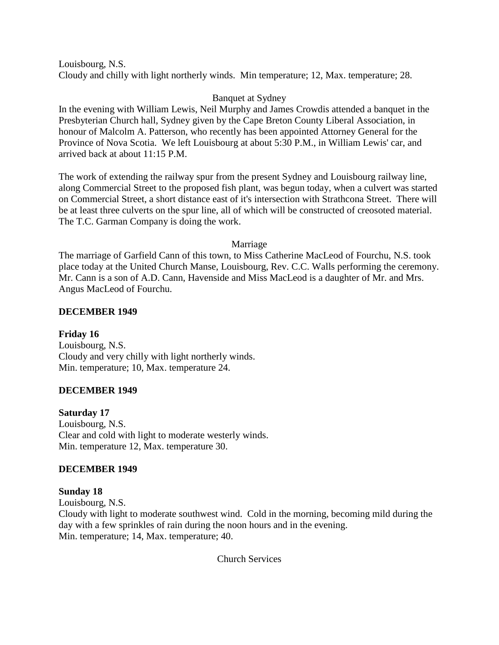Louisbourg, N.S. Cloudy and chilly with light northerly winds. Min temperature; 12, Max. temperature; 28.

## Banquet at Sydney

In the evening with William Lewis, Neil Murphy and James Crowdis attended a banquet in the Presbyterian Church hall, Sydney given by the Cape Breton County Liberal Association, in honour of Malcolm A. Patterson, who recently has been appointed Attorney General for the Province of Nova Scotia. We left Louisbourg at about 5:30 P.M., in William Lewis' car, and arrived back at about 11:15 P.M.

The work of extending the railway spur from the present Sydney and Louisbourg railway line, along Commercial Street to the proposed fish plant, was begun today, when a culvert was started on Commercial Street, a short distance east of it's intersection with Strathcona Street. There will be at least three culverts on the spur line, all of which will be constructed of creosoted material. The T.C. Garman Company is doing the work.

#### Marriage

The marriage of Garfield Cann of this town, to Miss Catherine MacLeod of Fourchu, N.S. took place today at the United Church Manse, Louisbourg, Rev. C.C. Walls performing the ceremony. Mr. Cann is a son of A.D. Cann, Havenside and Miss MacLeod is a daughter of Mr. and Mrs. Angus MacLeod of Fourchu.

## **DECEMBER 1949**

**Friday 16** Louisbourg, N.S. Cloudy and very chilly with light northerly winds. Min. temperature; 10, Max. temperature 24.

## **DECEMBER 1949**

**Saturday 17** Louisbourg, N.S. Clear and cold with light to moderate westerly winds. Min. temperature 12, Max. temperature 30.

#### **DECEMBER 1949**

## **Sunday 18**

Louisbourg, N.S.

Cloudy with light to moderate southwest wind. Cold in the morning, becoming mild during the day with a few sprinkles of rain during the noon hours and in the evening. Min. temperature; 14, Max. temperature; 40.

Church Services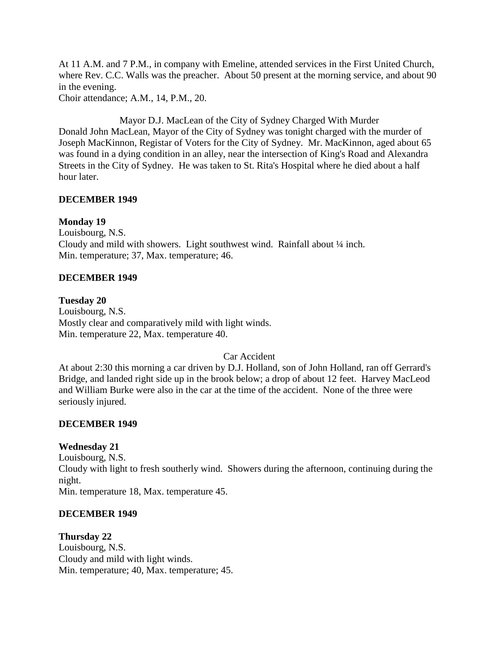At 11 A.M. and 7 P.M., in company with Emeline, attended services in the First United Church, where Rev. C.C. Walls was the preacher. About 50 present at the morning service, and about 90 in the evening.

Choir attendance; A.M., 14, P.M., 20.

Mayor D.J. MacLean of the City of Sydney Charged With Murder Donald John MacLean, Mayor of the City of Sydney was tonight charged with the murder of Joseph MacKinnon, Registar of Voters for the City of Sydney. Mr. MacKinnon, aged about 65 was found in a dying condition in an alley, near the intersection of King's Road and Alexandra Streets in the City of Sydney. He was taken to St. Rita's Hospital where he died about a half hour later.

## **DECEMBER 1949**

#### **Monday 19**

Louisbourg, N.S. Cloudy and mild with showers. Light southwest wind. Rainfall about  $\frac{1}{4}$  inch. Min. temperature; 37, Max. temperature; 46.

#### **DECEMBER 1949**

# **Tuesday 20**

Louisbourg, N.S. Mostly clear and comparatively mild with light winds. Min. temperature 22, Max. temperature 40.

## Car Accident

At about 2:30 this morning a car driven by D.J. Holland, son of John Holland, ran off Gerrard's Bridge, and landed right side up in the brook below; a drop of about 12 feet. Harvey MacLeod and William Burke were also in the car at the time of the accident. None of the three were seriously injured.

## **DECEMBER 1949**

## **Wednesday 21**

Louisbourg, N.S. Cloudy with light to fresh southerly wind. Showers during the afternoon, continuing during the night. Min. temperature 18, Max. temperature 45.

## **DECEMBER 1949**

## **Thursday 22**

Louisbourg, N.S. Cloudy and mild with light winds. Min. temperature; 40, Max. temperature; 45.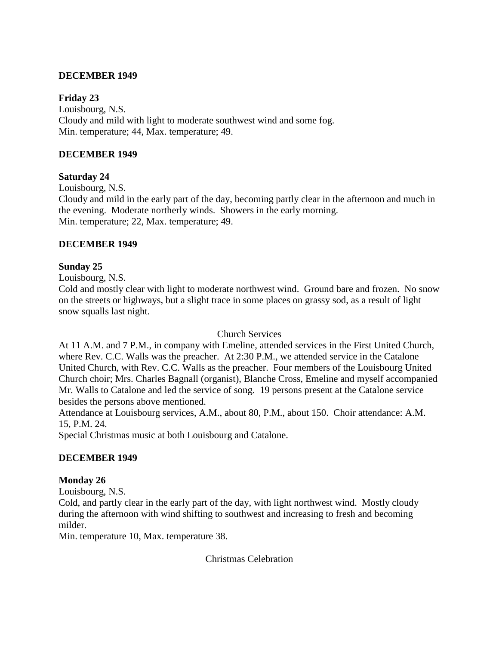## **DECEMBER 1949**

## **Friday 23**

Louisbourg, N.S. Cloudy and mild with light to moderate southwest wind and some fog. Min. temperature; 44, Max. temperature; 49.

## **DECEMBER 1949**

## **Saturday 24**

Louisbourg, N.S.

Cloudy and mild in the early part of the day, becoming partly clear in the afternoon and much in the evening. Moderate northerly winds. Showers in the early morning. Min. temperature; 22, Max. temperature; 49.

## **DECEMBER 1949**

## **Sunday 25**

Louisbourg, N.S.

Cold and mostly clear with light to moderate northwest wind. Ground bare and frozen. No snow on the streets or highways, but a slight trace in some places on grassy sod, as a result of light snow squalls last night.

## Church Services

At 11 A.M. and 7 P.M., in company with Emeline, attended services in the First United Church, where Rev. C.C. Walls was the preacher. At 2:30 P.M., we attended service in the Catalone United Church, with Rev. C.C. Walls as the preacher. Four members of the Louisbourg United Church choir; Mrs. Charles Bagnall (organist), Blanche Cross, Emeline and myself accompanied Mr. Walls to Catalone and led the service of song. 19 persons present at the Catalone service besides the persons above mentioned.

Attendance at Louisbourg services, A.M., about 80, P.M., about 150. Choir attendance: A.M. 15, P.M. 24.

Special Christmas music at both Louisbourg and Catalone.

# **DECEMBER 1949**

## **Monday 26**

Louisbourg, N.S.

Cold, and partly clear in the early part of the day, with light northwest wind. Mostly cloudy during the afternoon with wind shifting to southwest and increasing to fresh and becoming milder.

Min. temperature 10, Max. temperature 38.

Christmas Celebration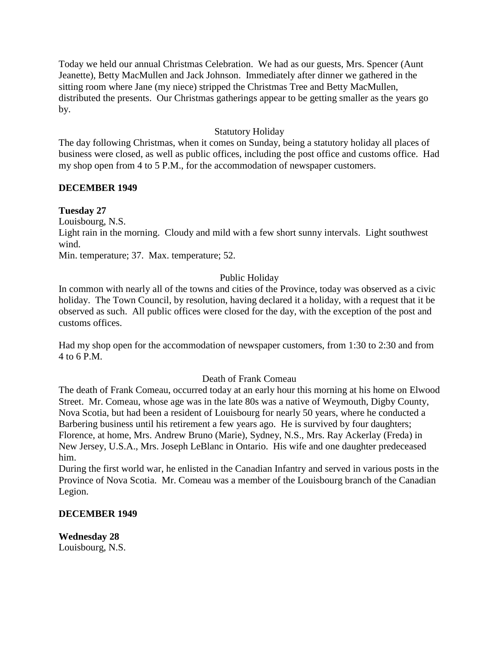Today we held our annual Christmas Celebration. We had as our guests, Mrs. Spencer (Aunt Jeanette), Betty MacMullen and Jack Johnson. Immediately after dinner we gathered in the sitting room where Jane (my niece) stripped the Christmas Tree and Betty MacMullen, distributed the presents. Our Christmas gatherings appear to be getting smaller as the years go by.

## Statutory Holiday

The day following Christmas, when it comes on Sunday, being a statutory holiday all places of business were closed, as well as public offices, including the post office and customs office. Had my shop open from 4 to 5 P.M., for the accommodation of newspaper customers.

## **DECEMBER 1949**

## **Tuesday 27**

Louisbourg, N.S.

Light rain in the morning. Cloudy and mild with a few short sunny intervals. Light southwest wind.

Min. temperature; 37. Max. temperature; 52.

## Public Holiday

In common with nearly all of the towns and cities of the Province, today was observed as a civic holiday. The Town Council, by resolution, having declared it a holiday, with a request that it be observed as such. All public offices were closed for the day, with the exception of the post and customs offices.

Had my shop open for the accommodation of newspaper customers, from 1:30 to 2:30 and from 4 to 6 P.M.

## Death of Frank Comeau

The death of Frank Comeau, occurred today at an early hour this morning at his home on Elwood Street. Mr. Comeau, whose age was in the late 80s was a native of Weymouth, Digby County, Nova Scotia, but had been a resident of Louisbourg for nearly 50 years, where he conducted a Barbering business until his retirement a few years ago. He is survived by four daughters; Florence, at home, Mrs. Andrew Bruno (Marie), Sydney, N.S., Mrs. Ray Ackerlay (Freda) in New Jersey, U.S.A., Mrs. Joseph LeBlanc in Ontario. His wife and one daughter predeceased him.

During the first world war, he enlisted in the Canadian Infantry and served in various posts in the Province of Nova Scotia. Mr. Comeau was a member of the Louisbourg branch of the Canadian Legion.

## **DECEMBER 1949**

**Wednesday 28** Louisbourg, N.S.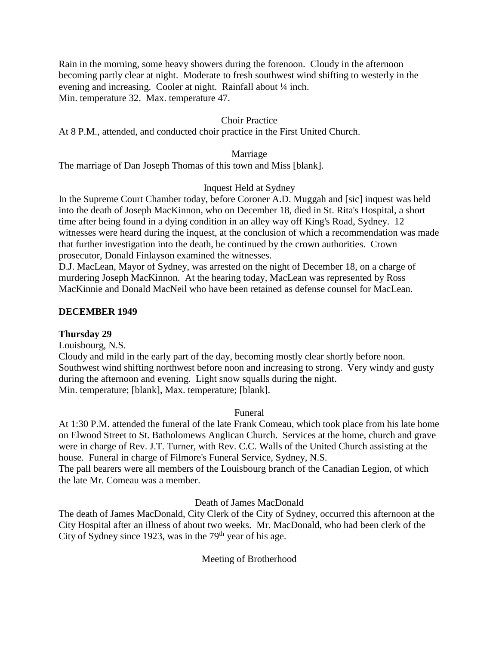Rain in the morning, some heavy showers during the forenoon. Cloudy in the afternoon becoming partly clear at night. Moderate to fresh southwest wind shifting to westerly in the evening and increasing. Cooler at night. Rainfall about ¼ inch. Min. temperature 32. Max. temperature 47.

## Choir Practice

At 8 P.M., attended, and conducted choir practice in the First United Church.

Marriage

The marriage of Dan Joseph Thomas of this town and Miss [blank].

## Inquest Held at Sydney

In the Supreme Court Chamber today, before Coroner A.D. Muggah and [sic] inquest was held into the death of Joseph MacKinnon, who on December 18, died in St. Rita's Hospital, a short time after being found in a dying condition in an alley way off King's Road, Sydney. 12 witnesses were heard during the inquest, at the conclusion of which a recommendation was made that further investigation into the death, be continued by the crown authorities. Crown prosecutor, Donald Finlayson examined the witnesses.

D.J. MacLean, Mayor of Sydney, was arrested on the night of December 18, on a charge of murdering Joseph MacKinnon. At the hearing today, MacLean was represented by Ross MacKinnie and Donald MacNeil who have been retained as defense counsel for MacLean.

#### **DECEMBER 1949**

## **Thursday 29**

Louisbourg, N.S.

Cloudy and mild in the early part of the day, becoming mostly clear shortly before noon. Southwest wind shifting northwest before noon and increasing to strong. Very windy and gusty during the afternoon and evening. Light snow squalls during the night. Min. temperature; [blank], Max. temperature; [blank].

#### Funeral

At 1:30 P.M. attended the funeral of the late Frank Comeau, which took place from his late home on Elwood Street to St. Batholomews Anglican Church. Services at the home, church and grave were in charge of Rev. J.T. Turner, with Rev. C.C. Walls of the United Church assisting at the house. Funeral in charge of Filmore's Funeral Service, Sydney, N.S. The pall bearers were all members of the Louisbourg branch of the Canadian Legion, of which the late Mr. Comeau was a member.

Death of James MacDonald

The death of James MacDonald, City Clerk of the City of Sydney, occurred this afternoon at the City Hospital after an illness of about two weeks. Mr. MacDonald, who had been clerk of the City of Sydney since 1923, was in the  $79<sup>th</sup>$  year of his age.

## Meeting of Brotherhood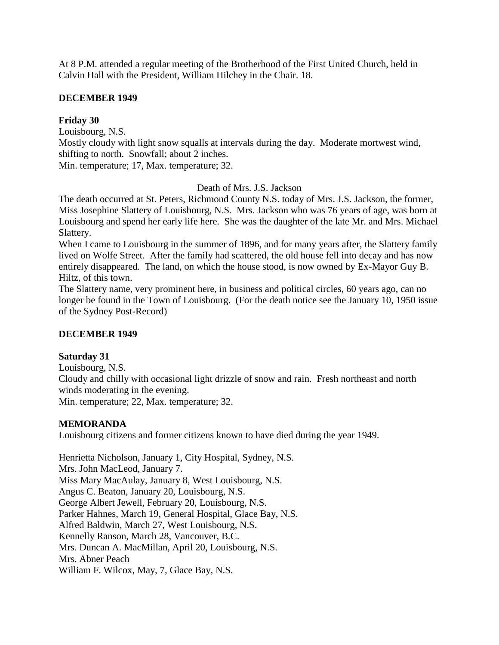At 8 P.M. attended a regular meeting of the Brotherhood of the First United Church, held in Calvin Hall with the President, William Hilchey in the Chair. 18.

## **DECEMBER 1949**

# **Friday 30**

Louisbourg, N.S.

Mostly cloudy with light snow squalls at intervals during the day. Moderate mortwest wind, shifting to north. Snowfall; about 2 inches.

Min. temperature; 17, Max. temperature; 32.

## Death of Mrs. J.S. Jackson

The death occurred at St. Peters, Richmond County N.S. today of Mrs. J.S. Jackson, the former, Miss Josephine Slattery of Louisbourg, N.S. Mrs. Jackson who was 76 years of age, was born at Louisbourg and spend her early life here. She was the daughter of the late Mr. and Mrs. Michael Slattery.

When I came to Louisbourg in the summer of 1896, and for many years after, the Slattery family lived on Wolfe Street. After the family had scattered, the old house fell into decay and has now entirely disappeared. The land, on which the house stood, is now owned by Ex-Mayor Guy B. Hiltz, of this town.

The Slattery name, very prominent here, in business and political circles, 60 years ago, can no longer be found in the Town of Louisbourg. (For the death notice see the January 10, 1950 issue of the Sydney Post-Record)

# **DECEMBER 1949**

# **Saturday 31**

Louisbourg, N.S.

Cloudy and chilly with occasional light drizzle of snow and rain. Fresh northeast and north winds moderating in the evening.

Min. temperature; 22, Max. temperature; 32.

# **MEMORANDA**

Louisbourg citizens and former citizens known to have died during the year 1949.

Henrietta Nicholson, January 1, City Hospital, Sydney, N.S. Mrs. John MacLeod, January 7. Miss Mary MacAulay, January 8, West Louisbourg, N.S. Angus C. Beaton, January 20, Louisbourg, N.S. George Albert Jewell, February 20, Louisbourg, N.S. Parker Hahnes, March 19, General Hospital, Glace Bay, N.S. Alfred Baldwin, March 27, West Louisbourg, N.S. Kennelly Ranson, March 28, Vancouver, B.C. Mrs. Duncan A. MacMillan, April 20, Louisbourg, N.S. Mrs. Abner Peach William F. Wilcox, May, 7, Glace Bay, N.S.